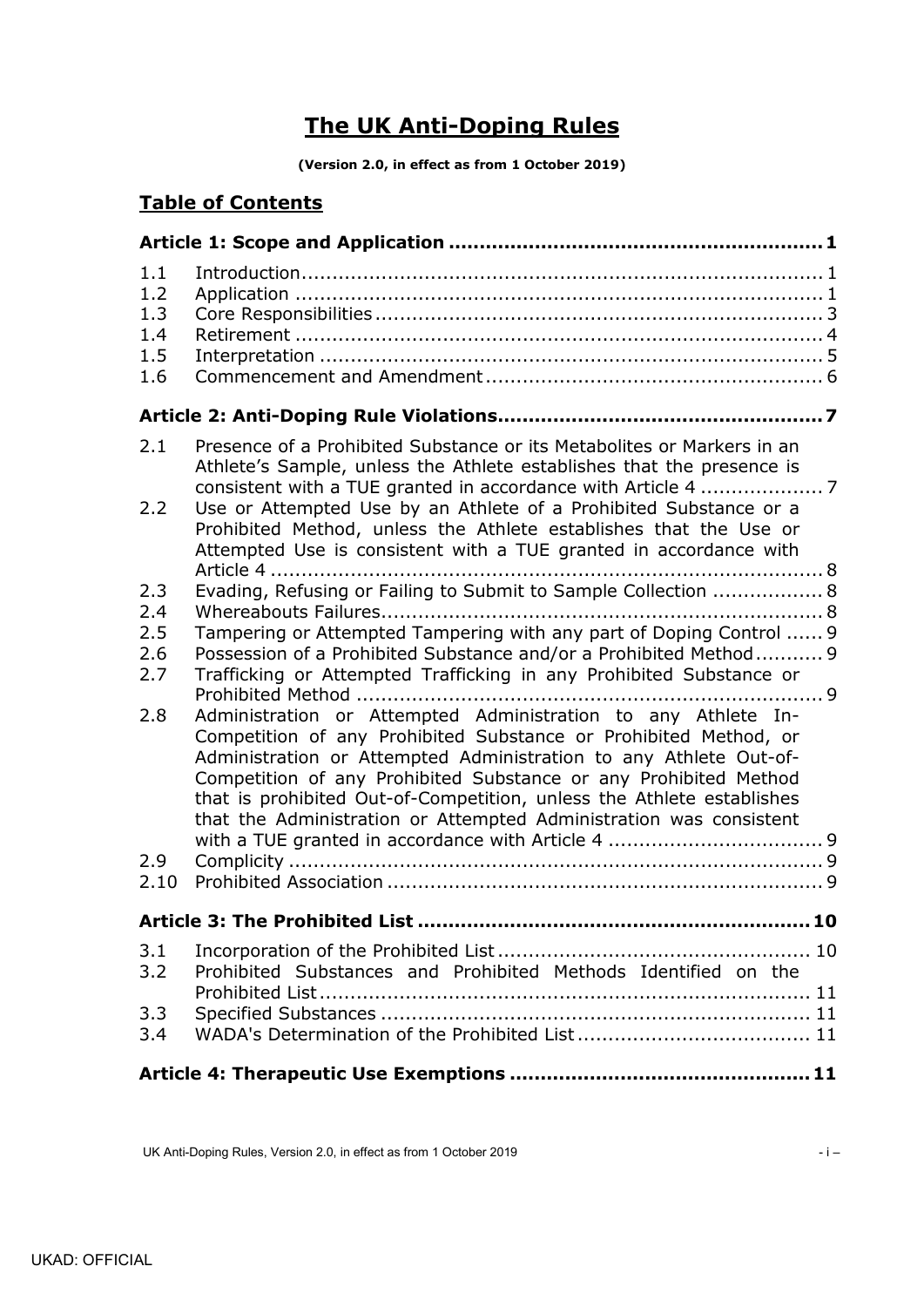# **The UK Anti-Doping Rules**

**(Version 2.0, in effect as from 1 October 2019)**

# **Table of Contents**

| 1.1<br>1.2<br>1.3 |                                                                                                                                                                                                                                                                                                                                                                                                                           |    |  |  |
|-------------------|---------------------------------------------------------------------------------------------------------------------------------------------------------------------------------------------------------------------------------------------------------------------------------------------------------------------------------------------------------------------------------------------------------------------------|----|--|--|
| 1.4               |                                                                                                                                                                                                                                                                                                                                                                                                                           |    |  |  |
| 1.5               |                                                                                                                                                                                                                                                                                                                                                                                                                           |    |  |  |
| 1.6               |                                                                                                                                                                                                                                                                                                                                                                                                                           |    |  |  |
|                   |                                                                                                                                                                                                                                                                                                                                                                                                                           |    |  |  |
| 2.1               | Presence of a Prohibited Substance or its Metabolites or Markers in an<br>Athlete's Sample, unless the Athlete establishes that the presence is                                                                                                                                                                                                                                                                           |    |  |  |
| 2.2               | Use or Attempted Use by an Athlete of a Prohibited Substance or a<br>Prohibited Method, unless the Athlete establishes that the Use or<br>Attempted Use is consistent with a TUE granted in accordance with                                                                                                                                                                                                               |    |  |  |
| 2.3               | Evading, Refusing or Failing to Submit to Sample Collection  8                                                                                                                                                                                                                                                                                                                                                            |    |  |  |
| 2.4               |                                                                                                                                                                                                                                                                                                                                                                                                                           |    |  |  |
| 2.5               | Tampering or Attempted Tampering with any part of Doping Control  9                                                                                                                                                                                                                                                                                                                                                       |    |  |  |
| 2.6               | Possession of a Prohibited Substance and/or a Prohibited Method 9                                                                                                                                                                                                                                                                                                                                                         |    |  |  |
| 2.7               | Trafficking or Attempted Trafficking in any Prohibited Substance or                                                                                                                                                                                                                                                                                                                                                       |    |  |  |
| 2.8               | Administration or Attempted Administration to any Athlete In-<br>Competition of any Prohibited Substance or Prohibited Method, or<br>Administration or Attempted Administration to any Athlete Out-of-<br>Competition of any Prohibited Substance or any Prohibited Method<br>that is prohibited Out-of-Competition, unless the Athlete establishes<br>that the Administration or Attempted Administration was consistent |    |  |  |
| 2.9               |                                                                                                                                                                                                                                                                                                                                                                                                                           |    |  |  |
| 2.10              |                                                                                                                                                                                                                                                                                                                                                                                                                           |    |  |  |
|                   | <b>Article 3: The Prohibited List.</b>                                                                                                                                                                                                                                                                                                                                                                                    | 10 |  |  |
| 3.1               |                                                                                                                                                                                                                                                                                                                                                                                                                           |    |  |  |
| 3.2               | Prohibited Substances and Prohibited Methods Identified on the                                                                                                                                                                                                                                                                                                                                                            |    |  |  |
| 3.3               |                                                                                                                                                                                                                                                                                                                                                                                                                           |    |  |  |
| 3.4               |                                                                                                                                                                                                                                                                                                                                                                                                                           |    |  |  |
|                   |                                                                                                                                                                                                                                                                                                                                                                                                                           |    |  |  |

UK Anti-Doping Rules, Version 2.0, in effect as from 1 October 2019 **and Servers 2019** - i –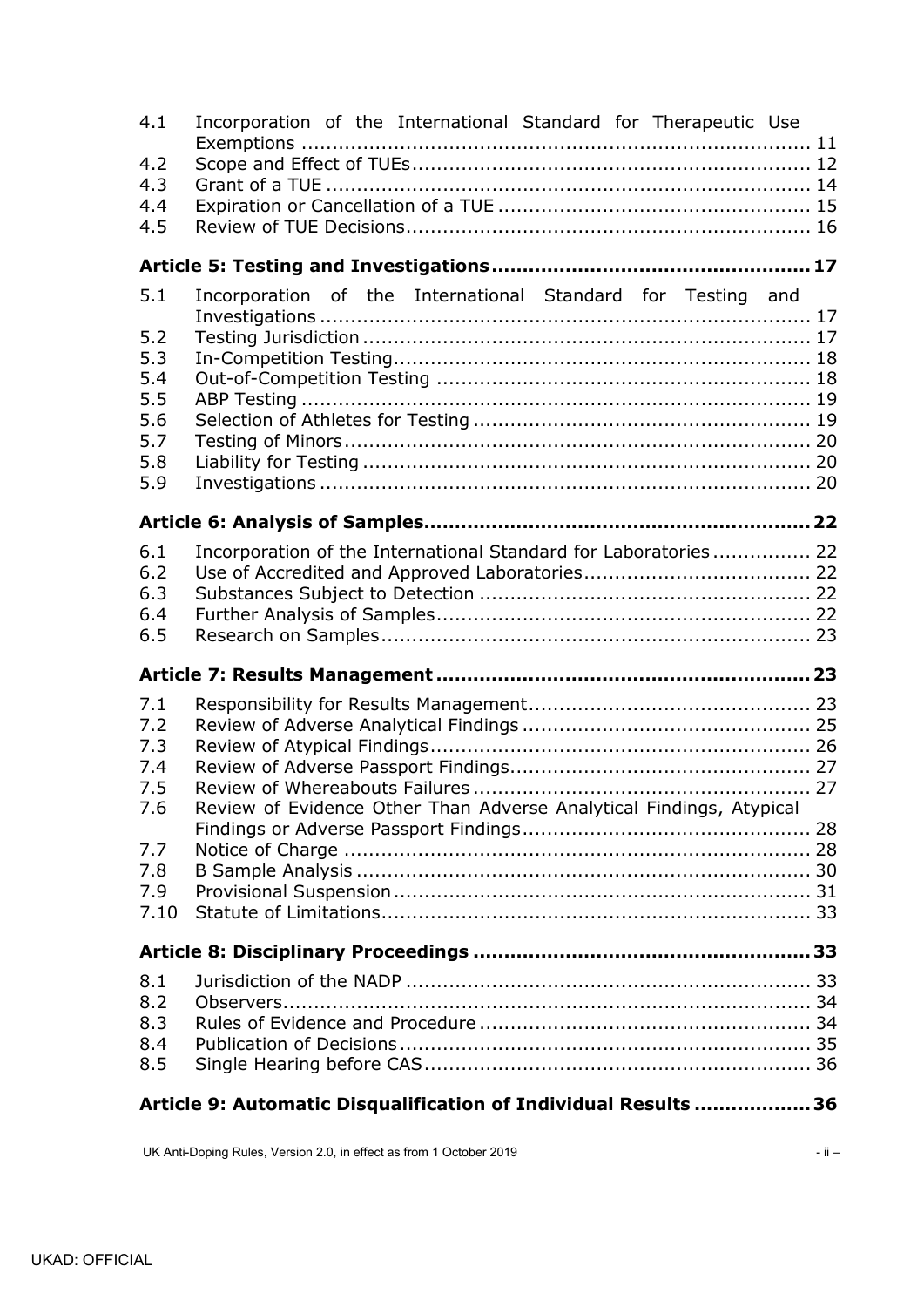| 7.7<br>7.8<br>7.9<br>7.10<br>8.1<br>8.2<br>8.3<br>8.4<br>8.5 |                                                                     |  |
|--------------------------------------------------------------|---------------------------------------------------------------------|--|
|                                                              |                                                                     |  |
|                                                              |                                                                     |  |
| 7.6                                                          | Review of Evidence Other Than Adverse Analytical Findings, Atypical |  |
| 7.1<br>7.2<br>7.3<br>7.4<br>7.5                              |                                                                     |  |
|                                                              |                                                                     |  |
| 6.1<br>6.2<br>6.3<br>6.4<br>6.5                              | Incorporation of the International Standard for Laboratories 22     |  |
|                                                              |                                                                     |  |
| 5.1<br>5.2<br>5.3<br>5.4<br>5.5<br>5.6<br>5.7<br>5.8<br>5.9  | Incorporation of the International Standard for Testing and         |  |
|                                                              |                                                                     |  |
| 4.3<br>4.4<br>4.5                                            | Incorporation of the International Standard for Therapeutic Use     |  |
| 4.1<br>4.2                                                   |                                                                     |  |

UK Anti-Doping Rules, Version 2.0, in effect as from 1 October 2019 **and Struck 2019** - ii –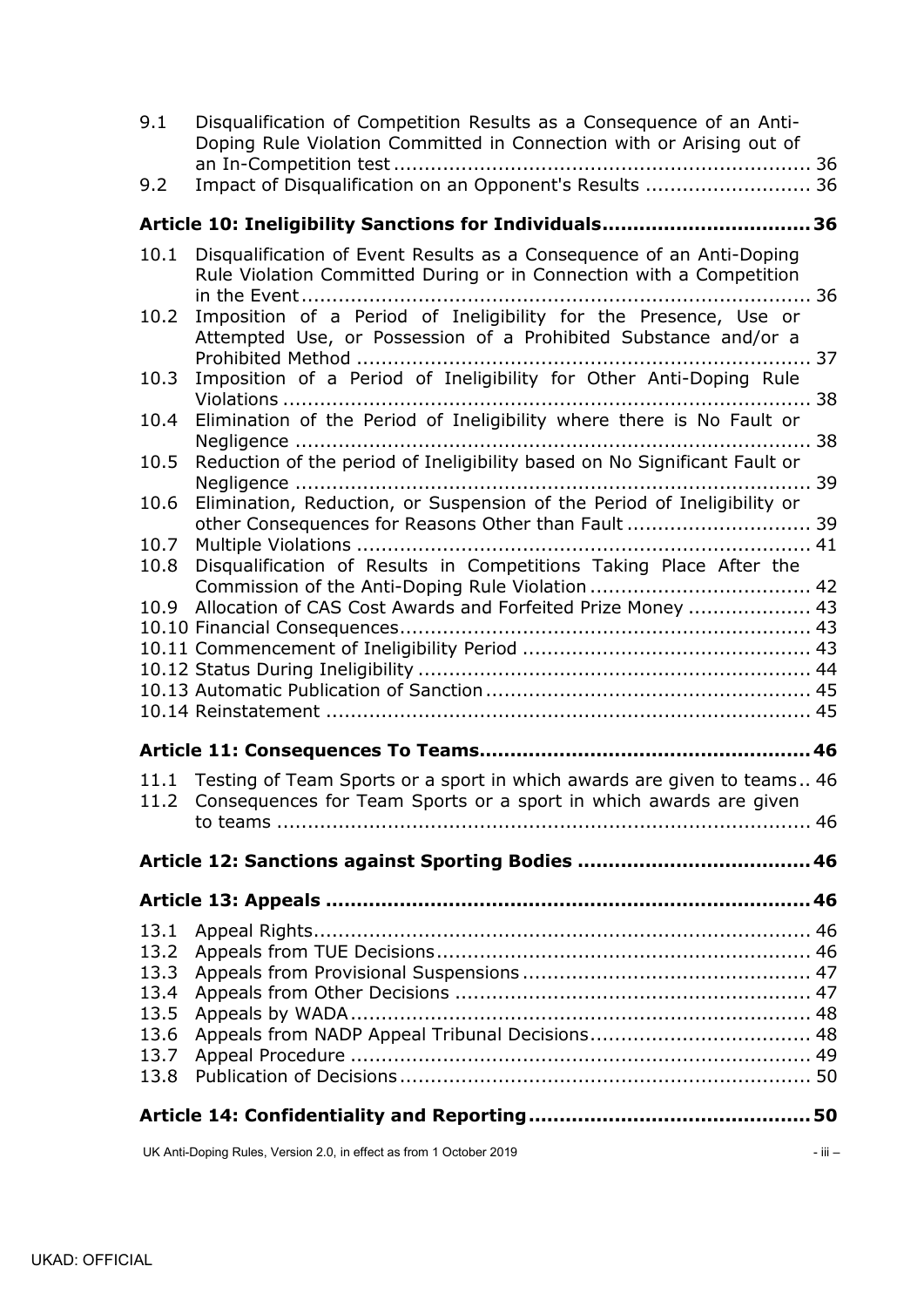| 9.1<br>9.2   | Disqualification of Competition Results as a Consequence of an Anti-<br>Doping Rule Violation Committed in Connection with or Arising out of<br>Impact of Disqualification on an Opponent's Results  36 |  |  |
|--------------|---------------------------------------------------------------------------------------------------------------------------------------------------------------------------------------------------------|--|--|
|              |                                                                                                                                                                                                         |  |  |
|              | Article 10: Ineligibility Sanctions for Individuals 36                                                                                                                                                  |  |  |
| 10.1         | Disqualification of Event Results as a Consequence of an Anti-Doping<br>Rule Violation Committed During or in Connection with a Competition                                                             |  |  |
| 10.2         | Imposition of a Period of Ineligibility for the Presence, Use or<br>Attempted Use, or Possession of a Prohibited Substance and/or a                                                                     |  |  |
| 10.3         | Imposition of a Period of Ineligibility for Other Anti-Doping Rule                                                                                                                                      |  |  |
| 10.4         | Elimination of the Period of Ineligibility where there is No Fault or                                                                                                                                   |  |  |
| 10.5         | Reduction of the period of Ineligibility based on No Significant Fault or                                                                                                                               |  |  |
| 10.6<br>10.7 | Elimination, Reduction, or Suspension of the Period of Ineligibility or                                                                                                                                 |  |  |
| 10.8         | Disqualification of Results in Competitions Taking Place After the                                                                                                                                      |  |  |
| 10.9         | Allocation of CAS Cost Awards and Forfeited Prize Money  43                                                                                                                                             |  |  |
|              |                                                                                                                                                                                                         |  |  |
|              |                                                                                                                                                                                                         |  |  |
|              |                                                                                                                                                                                                         |  |  |
|              |                                                                                                                                                                                                         |  |  |
|              |                                                                                                                                                                                                         |  |  |
|              |                                                                                                                                                                                                         |  |  |
| 11.1<br>11.2 | Testing of Team Sports or a sport in which awards are given to teams 46<br>Consequences for Team Sports or a sport in which awards are given                                                            |  |  |
|              |                                                                                                                                                                                                         |  |  |
|              |                                                                                                                                                                                                         |  |  |
|              |                                                                                                                                                                                                         |  |  |
| 13.1         |                                                                                                                                                                                                         |  |  |
| 13.2         |                                                                                                                                                                                                         |  |  |
| 13.3         |                                                                                                                                                                                                         |  |  |
| 13.4         |                                                                                                                                                                                                         |  |  |
| 13.5         |                                                                                                                                                                                                         |  |  |
| 13.6         |                                                                                                                                                                                                         |  |  |
| 13.7         |                                                                                                                                                                                                         |  |  |
| 13.8         |                                                                                                                                                                                                         |  |  |
|              |                                                                                                                                                                                                         |  |  |

UK Anti-Doping Rules, Version 2.0, in effect as from 1 October 2019 **and Struck 2019** - iii –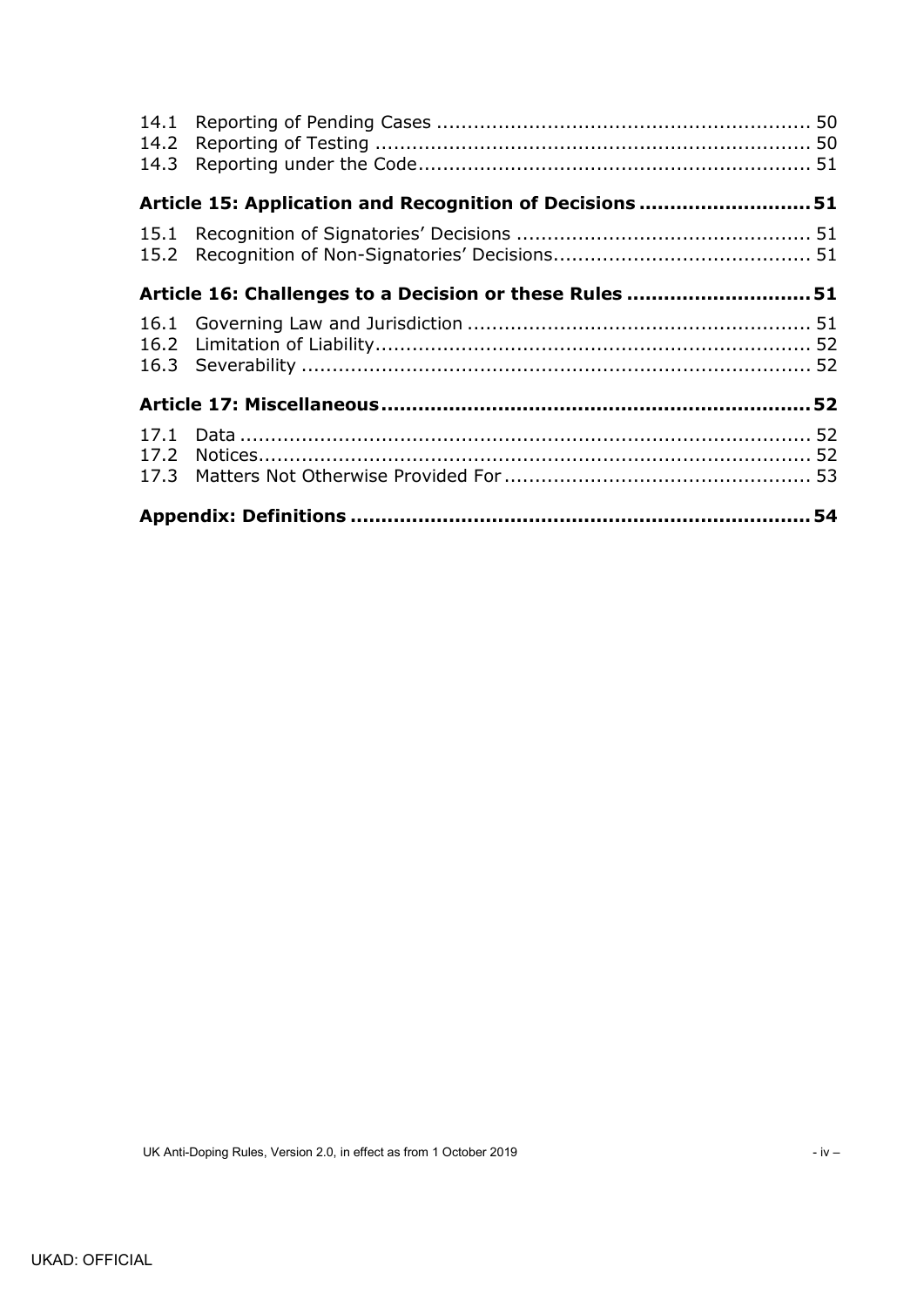| 14.3         |                                                         |  |  |
|--------------|---------------------------------------------------------|--|--|
|              | Article 15: Application and Recognition of Decisions 51 |  |  |
|              |                                                         |  |  |
|              | Article 16: Challenges to a Decision or these Rules 51  |  |  |
|              |                                                         |  |  |
|              |                                                         |  |  |
| 17.1<br>17.2 |                                                         |  |  |
|              | 54                                                      |  |  |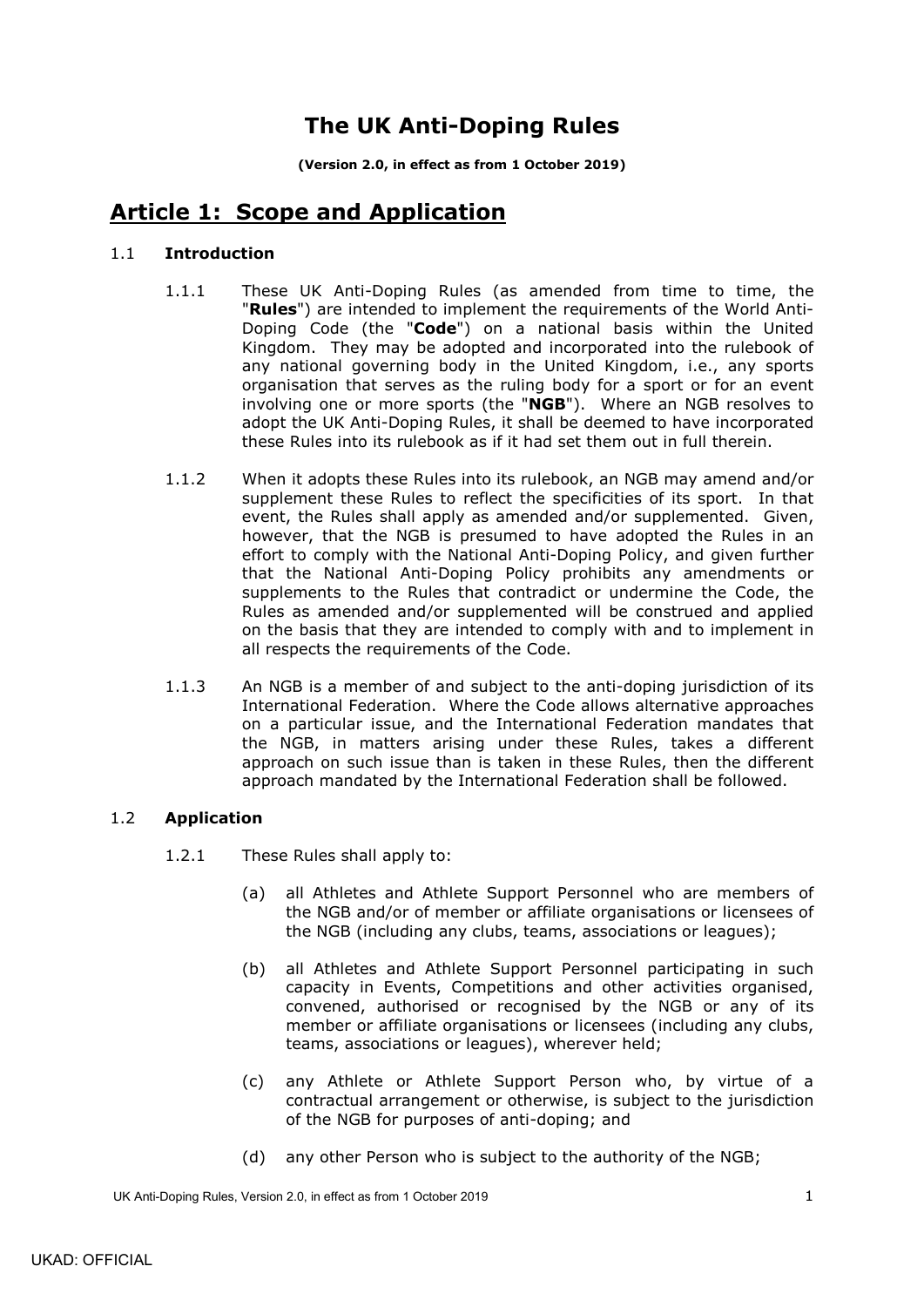# **The UK Anti-Doping Rules**

**(Version 2.0, in effect as from 1 October 2019)**

# <span id="page-4-0"></span>**Article 1: Scope and Application**

## <span id="page-4-3"></span><span id="page-4-1"></span>1.1 **Introduction**

- 1.1.1 These UK Anti-Doping Rules (as amended from time to time, the "**Rules**") are intended to implement the requirements of the World Anti-Doping Code (the "**Code**") on a national basis within the United Kingdom. They may be adopted and incorporated into the rulebook of any national governing body in the United Kingdom, i.e., any sports organisation that serves as the ruling body for a sport or for an event involving one or more sports (the "**NGB**"). Where an NGB resolves to adopt the UK Anti-Doping Rules, it shall be deemed to have incorporated these Rules into its rulebook as if it had set them out in full therein.
- 1.1.2 When it adopts these Rules into its rulebook, an NGB may amend and/or supplement these Rules to reflect the specificities of its sport. In that event, the Rules shall apply as amended and/or supplemented. Given, however, that the NGB is presumed to have adopted the Rules in an effort to comply with the National Anti-Doping Policy, and given further that the National Anti-Doping Policy prohibits any amendments or supplements to the Rules that contradict or undermine the Code, the Rules as amended and/or supplemented will be construed and applied on the basis that they are intended to comply with and to implement in all respects the requirements of the Code.
- 1.1.3 An NGB is a member of and subject to the anti-doping jurisdiction of its International Federation. Where the Code allows alternative approaches on a particular issue, and the International Federation mandates that the NGB, in matters arising under these Rules, takes a different approach on such issue than is taken in these Rules, then the different approach mandated by the International Federation shall be followed.

## <span id="page-4-2"></span>1.2 **Application**

- 1.2.1 These Rules shall apply to:
	- (a) all Athletes and Athlete Support Personnel who are members of the NGB and/or of member or affiliate organisations or licensees of the NGB (including any clubs, teams, associations or leagues);
	- (b) all Athletes and Athlete Support Personnel participating in such capacity in Events, Competitions and other activities organised, convened, authorised or recognised by the NGB or any of its member or affiliate organisations or licensees (including any clubs, teams, associations or leagues), wherever held;
	- (c) any Athlete or Athlete Support Person who, by virtue of a contractual arrangement or otherwise, is subject to the jurisdiction of the NGB for purposes of anti-doping; and
	- (d) any other Person who is subject to the authority of the NGB;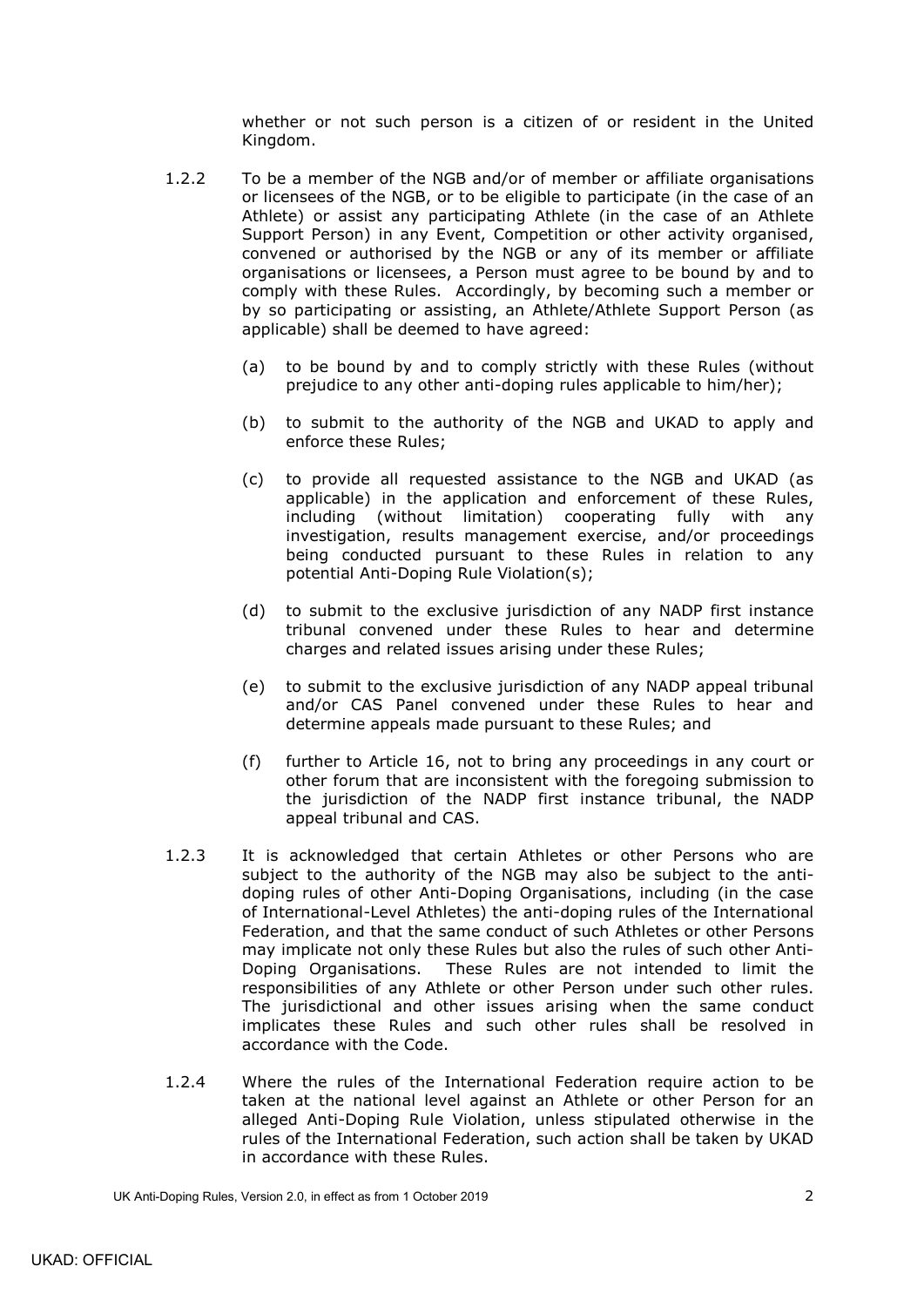whether or not such person is a citizen of or resident in the United Kingdom.

- 1.2.2 To be a member of the NGB and/or of member or affiliate organisations or licensees of the NGB, or to be eligible to participate (in the case of an Athlete) or assist any participating Athlete (in the case of an Athlete Support Person) in any Event, Competition or other activity organised, convened or authorised by the NGB or any of its member or affiliate organisations or licensees, a Person must agree to be bound by and to comply with these Rules. Accordingly, by becoming such a member or by so participating or assisting, an Athlete/Athlete Support Person (as applicable) shall be deemed to have agreed:
	- (a) to be bound by and to comply strictly with these Rules (without prejudice to any other anti-doping rules applicable to him/her);
	- (b) to submit to the authority of the NGB and UKAD to apply and enforce these Rules;
	- (c) to provide all requested assistance to the NGB and UKAD (as applicable) in the application and enforcement of these Rules, including (without limitation) cooperating fully with any investigation, results management exercise, and/or proceedings being conducted pursuant to these Rules in relation to any potential Anti-Doping Rule Violation(s);
	- (d) to submit to the exclusive jurisdiction of any NADP first instance tribunal convened under these Rules to hear and determine charges and related issues arising under these Rules;
	- (e) to submit to the exclusive jurisdiction of any NADP appeal tribunal and/or CAS Panel convened under these Rules to hear and determine appeals made pursuant to these Rules; and
	- (f) further to Article 16, not to bring any proceedings in any court or other forum that are inconsistent with the foregoing submission to the jurisdiction of the NADP first instance tribunal, the NADP appeal tribunal and CAS.
- 1.2.3 It is acknowledged that certain Athletes or other Persons who are subject to the authority of the NGB may also be subject to the antidoping rules of other Anti-Doping Organisations, including (in the case of International-Level Athletes) the anti-doping rules of the International Federation, and that the same conduct of such Athletes or other Persons may implicate not only these Rules but also the rules of such other Anti-Doping Organisations. These Rules are not intended to limit the responsibilities of any Athlete or other Person under such other rules. The jurisdictional and other issues arising when the same conduct implicates these Rules and such other rules shall be resolved in accordance with the Code.
- 1.2.4 Where the rules of the International Federation require action to be taken at the national level against an Athlete or other Person for an alleged Anti-Doping Rule Violation, unless stipulated otherwise in the rules of the International Federation, such action shall be taken by UKAD in accordance with these Rules.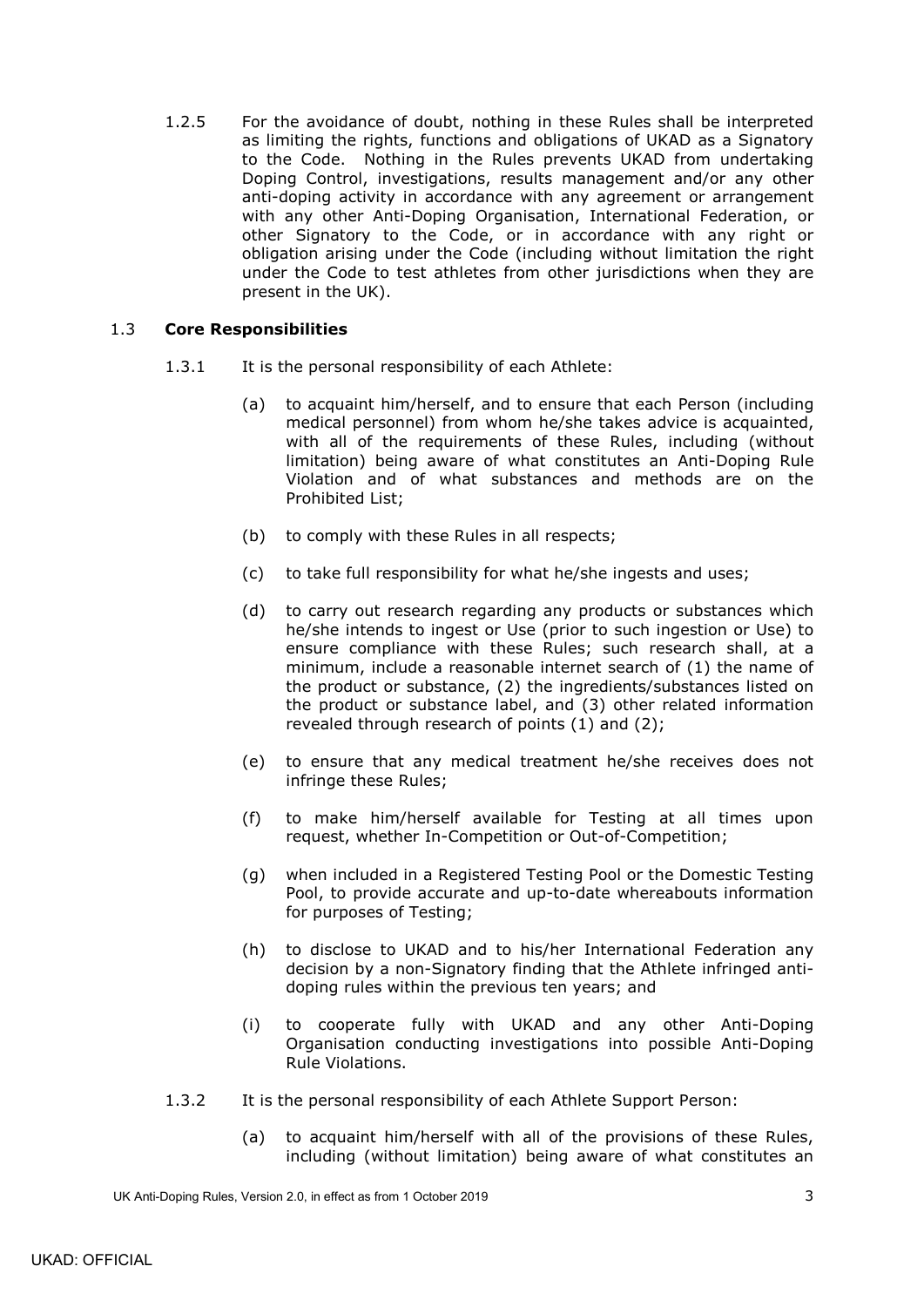1.2.5 For the avoidance of doubt, nothing in these Rules shall be interpreted as limiting the rights, functions and obligations of UKAD as a Signatory to the Code. Nothing in the Rules prevents UKAD from undertaking Doping Control, investigations, results management and/or any other anti-doping activity in accordance with any agreement or arrangement with any other Anti-Doping Organisation, International Federation, or other Signatory to the Code, or in accordance with any right or obligation arising under the Code (including without limitation the right under the Code to test athletes from other jurisdictions when they are present in the UK).

## <span id="page-6-0"></span>1.3 **Core Responsibilities**

- 1.3.1 It is the personal responsibility of each Athlete:
	- (a) to acquaint him/herself, and to ensure that each Person (including medical personnel) from whom he/she takes advice is acquainted, with all of the requirements of these Rules, including (without limitation) being aware of what constitutes an Anti-Doping Rule Violation and of what substances and methods are on the Prohibited List;
	- (b) to comply with these Rules in all respects;
	- (c) to take full responsibility for what he/she ingests and uses;
	- (d) to carry out research regarding any products or substances which he/she intends to ingest or Use (prior to such ingestion or Use) to ensure compliance with these Rules; such research shall, at a minimum, include a reasonable internet search of (1) the name of the product or substance, (2) the ingredients/substances listed on the product or substance label, and (3) other related information revealed through research of points (1) and (2);
	- (e) to ensure that any medical treatment he/she receives does not infringe these Rules;
	- (f) to make him/herself available for Testing at all times upon request, whether In-Competition or Out-of-Competition;
	- (g) when included in a Registered Testing Pool or the Domestic Testing Pool, to provide accurate and up-to-date whereabouts information for purposes of Testing;
	- (h) to disclose to UKAD and to his/her International Federation any decision by a non-Signatory finding that the Athlete infringed antidoping rules within the previous ten years; and
	- (i) to cooperate fully with UKAD and any other Anti-Doping Organisation conducting investigations into possible Anti-Doping Rule Violations.
- 1.3.2 It is the personal responsibility of each Athlete Support Person:
	- (a) to acquaint him/herself with all of the provisions of these Rules, including (without limitation) being aware of what constitutes an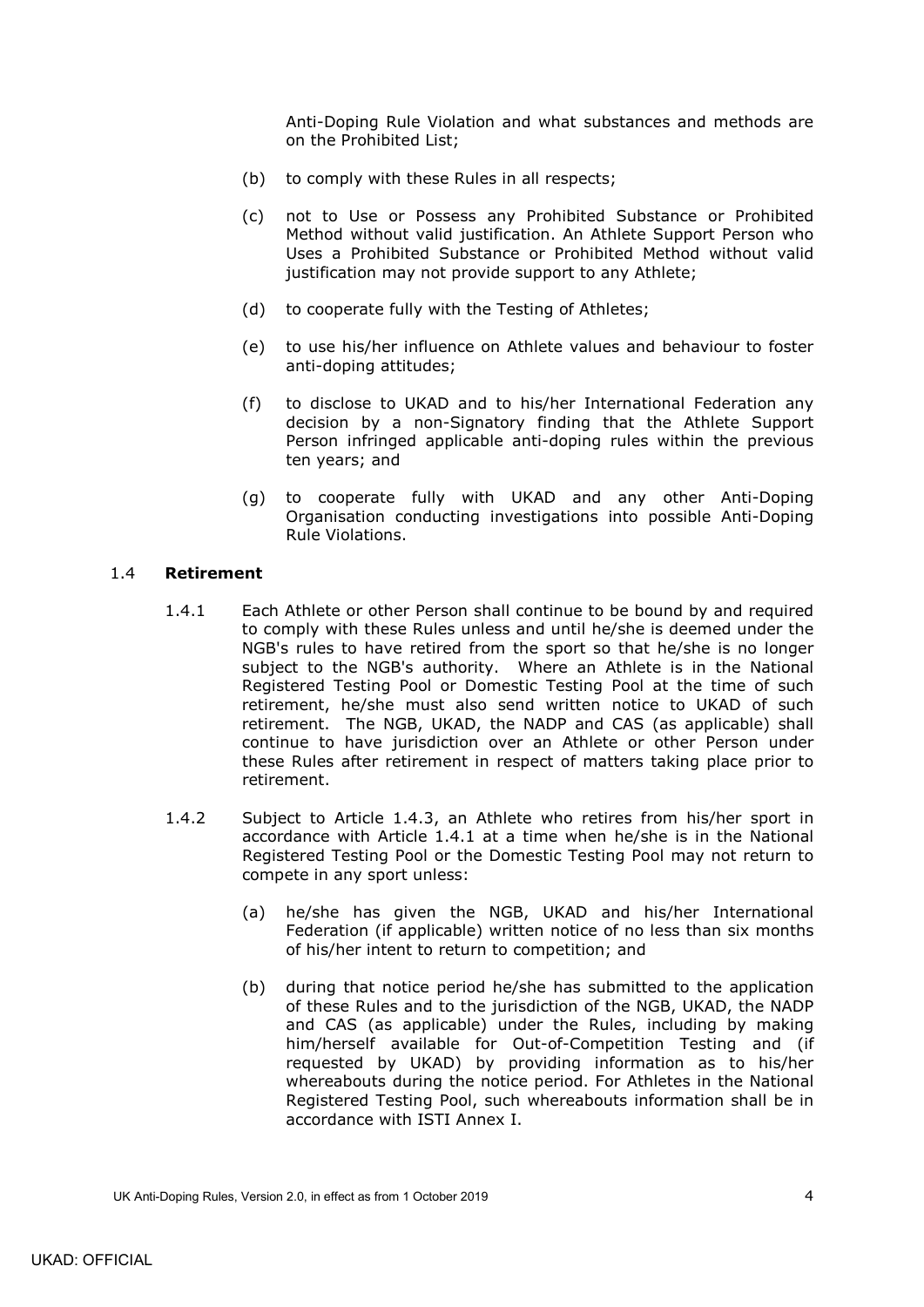Anti-Doping Rule Violation and what substances and methods are on the Prohibited List;

- (b) to comply with these Rules in all respects;
- (c) not to Use or Possess any Prohibited Substance or Prohibited Method without valid justification. An Athlete Support Person who Uses a Prohibited Substance or Prohibited Method without valid justification may not provide support to any Athlete;
- (d) to cooperate fully with the Testing of Athletes;
- (e) to use his/her influence on Athlete values and behaviour to foster anti-doping attitudes;
- (f) to disclose to UKAD and to his/her International Federation any decision by a non-Signatory finding that the Athlete Support Person infringed applicable anti-doping rules within the previous ten years; and
- (g) to cooperate fully with UKAD and any other Anti-Doping Organisation conducting investigations into possible Anti-Doping Rule Violations.

### <span id="page-7-1"></span><span id="page-7-0"></span>1.4 **Retirement**

- 1.4.1 Each Athlete or other Person shall continue to be bound by and required to comply with these Rules unless and until he/she is deemed under the NGB's rules to have retired from the sport so that he/she is no longer subject to the NGB's authority. Where an Athlete is in the National Registered Testing Pool or Domestic Testing Pool at the time of such retirement, he/she must also send written notice to UKAD of such retirement. The NGB, UKAD, the NADP and CAS (as applicable) shall continue to have jurisdiction over an Athlete or other Person under these Rules after retirement in respect of matters taking place prior to retirement.
- <span id="page-7-2"></span>1.4.2 Subject to Article [1.4.3,](#page-8-1) an Athlete who retires from his/her sport in accordance with Article [1.4.1](#page-7-1) at a time when he/she is in the National Registered Testing Pool or the Domestic Testing Pool may not return to compete in any sport unless:
	- (a) he/she has given the NGB, UKAD and his/her International Federation (if applicable) written notice of no less than six months of his/her intent to return to competition; and
	- (b) during that notice period he/she has submitted to the application of these Rules and to the jurisdiction of the NGB, UKAD, the NADP and CAS (as applicable) under the Rules, including by making him/herself available for Out-of-Competition Testing and (if requested by UKAD) by providing information as to his/her whereabouts during the notice period. For Athletes in the National Registered Testing Pool, such whereabouts information shall be in accordance with ISTI Annex I.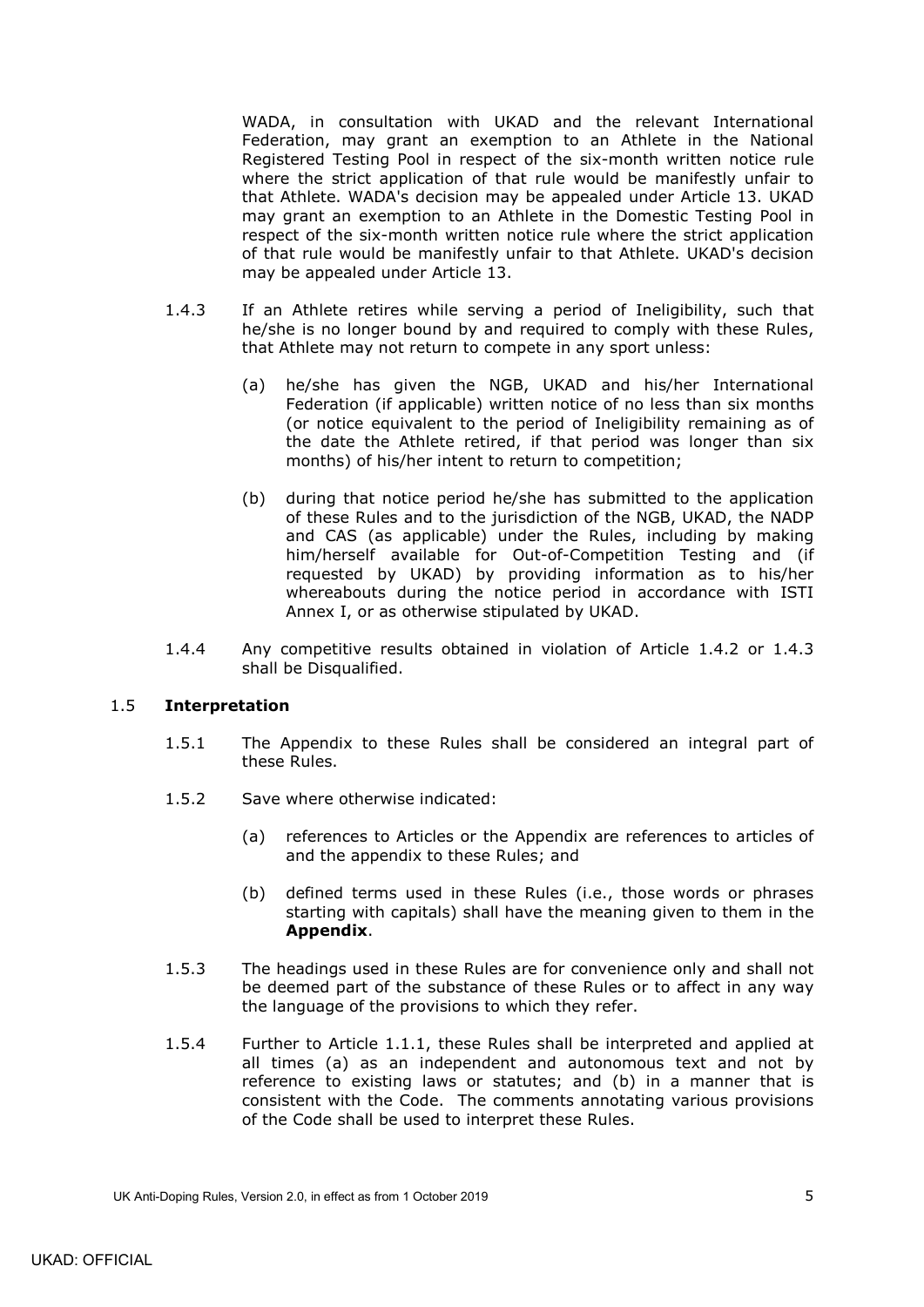WADA, in consultation with UKAD and the relevant International Federation, may grant an exemption to an Athlete in the National Registered Testing Pool in respect of the six-month written notice rule where the strict application of that rule would be manifestly unfair to that Athlete. WADA's decision may be appealed under Article 13. UKAD may grant an exemption to an Athlete in the Domestic Testing Pool in respect of the six-month written notice rule where the strict application of that rule would be manifestly unfair to that Athlete. UKAD's decision may be appealed under Article 13.

- <span id="page-8-1"></span>1.4.3 If an Athlete retires while serving a period of Ineligibility, such that he/she is no longer bound by and required to comply with these Rules, that Athlete may not return to compete in any sport unless:
	- (a) he/she has given the NGB, UKAD and his/her International Federation (if applicable) written notice of no less than six months (or notice equivalent to the period of Ineligibility remaining as of the date the Athlete retired, if that period was longer than six months) of his/her intent to return to competition;
	- (b) during that notice period he/she has submitted to the application of these Rules and to the jurisdiction of the NGB, UKAD, the NADP and CAS (as applicable) under the Rules, including by making him/herself available for Out-of-Competition Testing and (if requested by UKAD) by providing information as to his/her whereabouts during the notice period in accordance with ISTI Annex I, or as otherwise stipulated by UKAD.
- 1.4.4 Any competitive results obtained in violation of Article [1.4.2](#page-7-2) or [1.4.3](#page-8-1) shall be Disqualified.

### <span id="page-8-0"></span>1.5 **Interpretation**

- 1.5.1 The Appendix to these Rules shall be considered an integral part of these Rules.
- 1.5.2 Save where otherwise indicated:
	- (a) references to Articles or the Appendix are references to articles of and the appendix to these Rules; and
	- (b) defined terms used in these Rules (i.e., those words or phrases starting with capitals) shall have the meaning given to them in the **Appendix**.
- 1.5.3 The headings used in these Rules are for convenience only and shall not be deemed part of the substance of these Rules or to affect in any way the language of the provisions to which they refer.
- <span id="page-8-2"></span>1.5.4 Further to Article [1.1.1,](#page-4-3) these Rules shall be interpreted and applied at all times (a) as an independent and autonomous text and not by reference to existing laws or statutes; and (b) in a manner that is consistent with the Code. The comments annotating various provisions of the Code shall be used to interpret these Rules.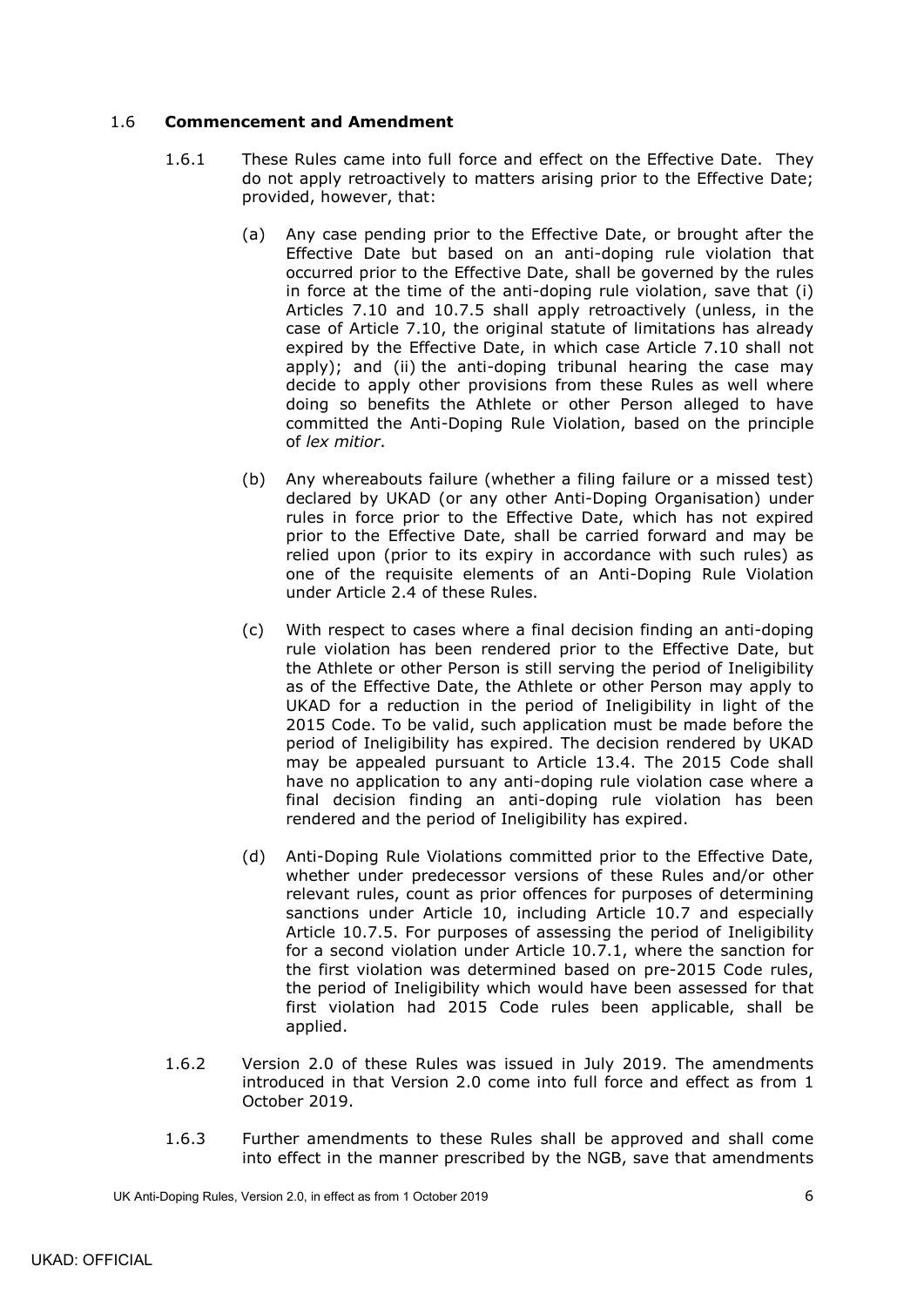## <span id="page-9-0"></span>1.6 **Commencement and Amendment**

- 1.6.1 These Rules came into full force and effect on the Effective Date. They do not apply retroactively to matters arising prior to the Effective Date; provided, however, that:
	- (a) Any case pending prior to the Effective Date, or brought after the Effective Date but based on an anti-doping rule violation that occurred prior to the Effective Date, shall be governed by the rules in force at the time of the anti-doping rule violation, save that (i) Articles [7.10](#page-36-0) and [10.7.5](#page-45-1) shall apply retroactively (unless, in the case of Article [7.10,](#page-36-0) the original statute of limitations has already expired by the Effective Date, in which case Article [7.10](#page-36-0) shall not apply); and (ii) the anti-doping tribunal hearing the case may decide to apply other provisions from these Rules as well where doing so benefits the Athlete or other Person alleged to have committed the Anti-Doping Rule Violation, based on the principle of *lex mitior*.
	- (b) Any whereabouts failure (whether a filing failure or a missed test) declared by UKAD (or any other Anti-Doping Organisation) under rules in force prior to the Effective Date, which has not expired prior to the Effective Date, shall be carried forward and may be relied upon (prior to its expiry in accordance with such rules) as one of the requisite elements of an Anti-Doping Rule Violation under Article 2.4 of these Rules.
	- (c) With respect to cases where a final decision finding an anti-doping rule violation has been rendered prior to the Effective Date, but the Athlete or other Person is still serving the period of Ineligibility as of the Effective Date, the Athlete or other Person may apply to UKAD for a reduction in the period of Ineligibility in light of the 2015 Code. To be valid, such application must be made before the period of Ineligibility has expired. The decision rendered by UKAD may be appealed pursuant to Article [13.4.](#page-50-1) The 2015 Code shall have no application to any anti-doping rule violation case where a final decision finding an anti-doping rule violation has been rendered and the period of Ineligibility has expired.
	- (d) Anti-Doping Rule Violations committed prior to the Effective Date, whether under predecessor versions of these Rules and/or other relevant rules, count as prior offences for purposes of determining sanctions under Article 10, including Article [10.7](#page-44-0) and especially Article [10.7.5.](#page-45-1) For purposes of assessing the period of Ineligibility for a second violation under Article 10.7.1, where the sanction for the first violation was determined based on pre-2015 Code rules, the period of Ineligibility which would have been assessed for that first violation had 2015 Code rules been applicable, shall be applied.
- <span id="page-9-1"></span>1.6.2 Version 2.0 of these Rules was issued in July 2019. The amendments introduced in that Version 2.0 come into full force and effect as from 1 October 2019.
- 1.6.3 Further amendments to these Rules shall be approved and shall come into effect in the manner prescribed by the NGB, save that amendments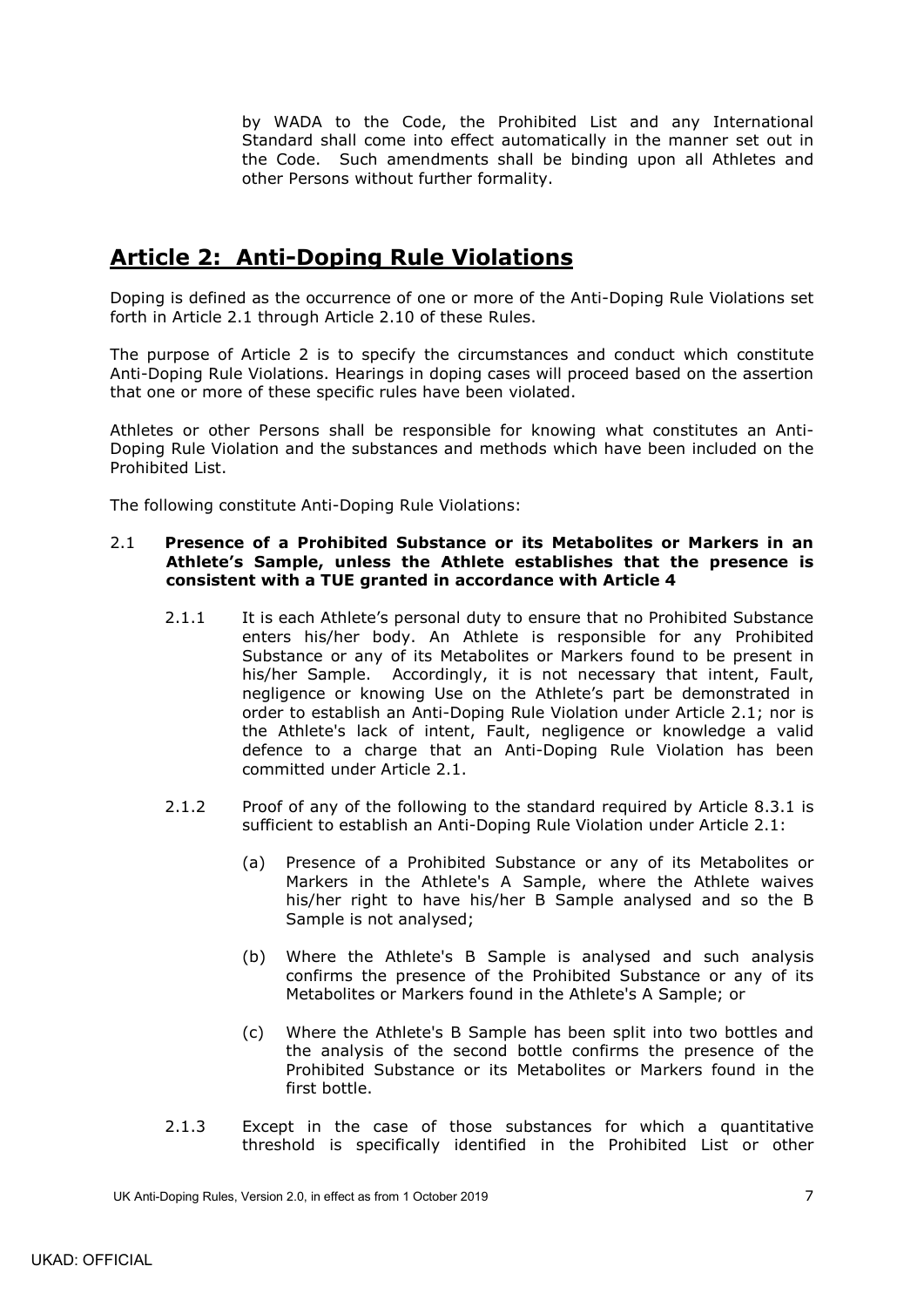by WADA to the Code, the Prohibited List and any International Standard shall come into effect automatically in the manner set out in the Code. Such amendments shall be binding upon all Athletes and other Persons without further formality.

# <span id="page-10-0"></span>**Article 2: Anti-Doping Rule Violations**

Doping is defined as the occurrence of one or more of the Anti-Doping Rule Violations set forth in Article [2.1](#page-10-1) through Article [2.10](#page-12-5) of these Rules.

The purpose of Article 2 is to specify the circumstances and conduct which constitute Anti-Doping Rule Violations. Hearings in doping cases will proceed based on the assertion that one or more of these specific rules have been violated.

Athletes or other Persons shall be responsible for knowing what constitutes an Anti-Doping Rule Violation and the substances and methods which have been included on the Prohibited List.

The following constitute Anti-Doping Rule Violations:

### <span id="page-10-1"></span>2.1 **Presence of a Prohibited Substance or its Metabolites or Markers in an Athlete's Sample, unless the Athlete establishes that the presence is consistent with a TUE granted in accordance with Article 4**

- 2.1.1 It is each Athlete's personal duty to ensure that no Prohibited Substance enters his/her body. An Athlete is responsible for any Prohibited Substance or any of its Metabolites or Markers found to be present in his/her Sample. Accordingly, it is not necessary that intent, Fault, negligence or knowing Use on the Athlete's part be demonstrated in order to establish an Anti-Doping Rule Violation under Article [2.1;](#page-10-1) nor is the Athlete's lack of intent, Fault, negligence or knowledge a valid defence to a charge that an Anti-Doping Rule Violation has been committed under Article [2.1.](#page-10-1)
- 2.1.2 Proof of any of the following to the standard required by Article [8.3.1](#page-37-2) is sufficient to establish an Anti-Doping Rule Violation under Article [2.1:](#page-10-1)
	- (a) Presence of a Prohibited Substance or any of its Metabolites or Markers in the Athlete's A Sample, where the Athlete waives his/her right to have his/her B Sample analysed and so the B Sample is not analysed;
	- (b) Where the Athlete's B Sample is analysed and such analysis confirms the presence of the Prohibited Substance or any of its Metabolites or Markers found in the Athlete's A Sample; or
	- (c) Where the Athlete's B Sample has been split into two bottles and the analysis of the second bottle confirms the presence of the Prohibited Substance or its Metabolites or Markers found in the first bottle.
- <span id="page-10-2"></span>2.1.3 Except in the case of those substances for which a quantitative threshold is specifically identified in the Prohibited List or other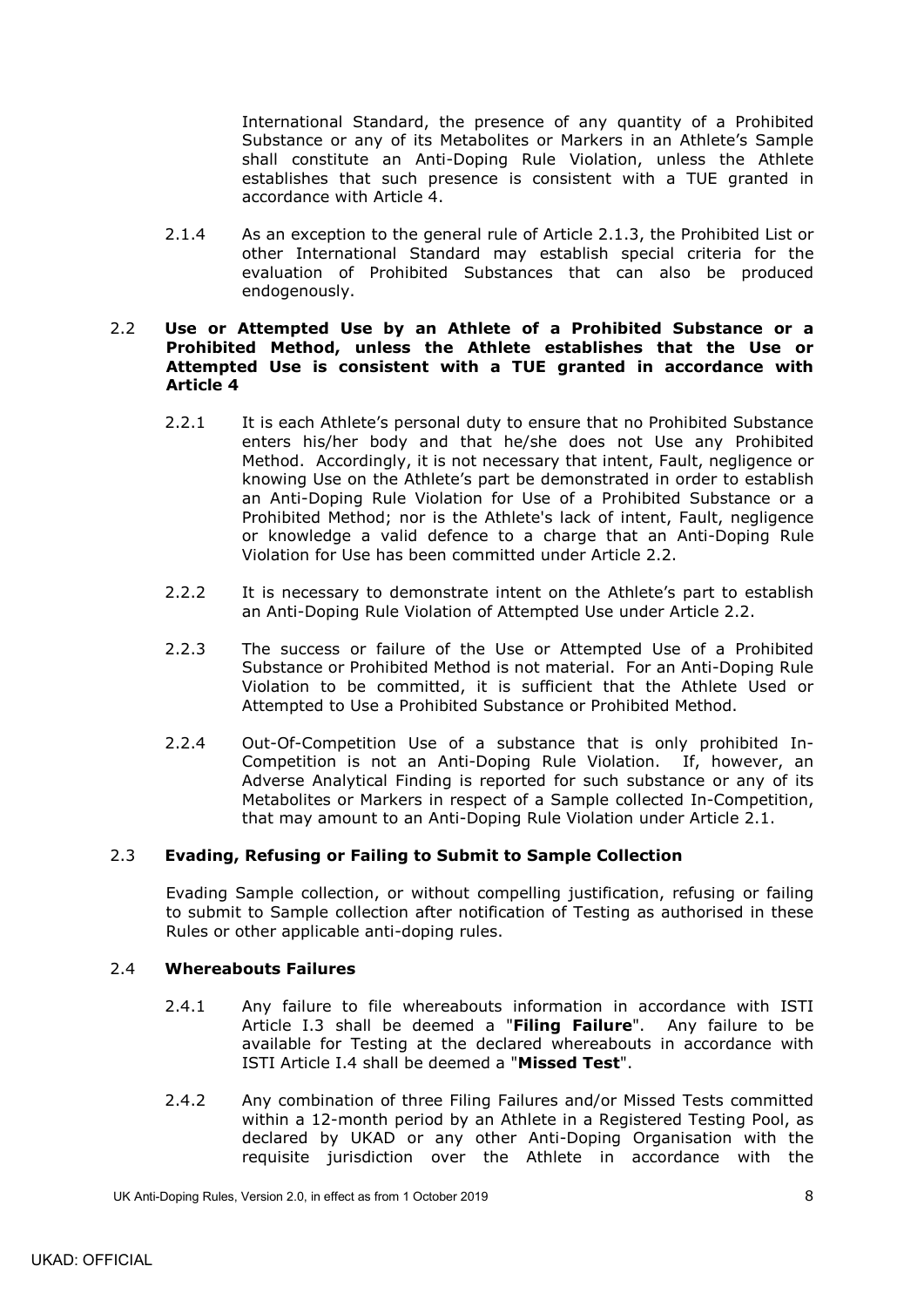International Standard, the presence of any quantity of a Prohibited Substance or any of its Metabolites or Markers in an Athlete's Sample shall constitute an Anti-Doping Rule Violation, unless the Athlete establishes that such presence is consistent with a TUE granted in accordance with Article 4.

2.1.4 As an exception to the general rule of Article [2.1.3,](#page-10-2) the Prohibited List or other International Standard may establish special criteria for the evaluation of Prohibited Substances that can also be produced endogenously.

### <span id="page-11-0"></span>2.2 **Use or Attempted Use by an Athlete of a Prohibited Substance or a Prohibited Method, unless the Athlete establishes that the Use or Attempted Use is consistent with a TUE granted in accordance with Article 4**

- 2.2.1 It is each Athlete's personal duty to ensure that no Prohibited Substance enters his/her body and that he/she does not Use any Prohibited Method. Accordingly, it is not necessary that intent, Fault, negligence or knowing Use on the Athlete's part be demonstrated in order to establish an Anti-Doping Rule Violation for Use of a Prohibited Substance or a Prohibited Method; nor is the Athlete's lack of intent, Fault, negligence or knowledge a valid defence to a charge that an Anti-Doping Rule Violation for Use has been committed under Article [2.2.](#page-11-0)
- 2.2.2 It is necessary to demonstrate intent on the Athlete's part to establish an Anti-Doping Rule Violation of Attempted Use under Article [2.2.](#page-11-0)
- 2.2.3 The success or failure of the Use or Attempted Use of a Prohibited Substance or Prohibited Method is not material. For an Anti-Doping Rule Violation to be committed, it is sufficient that the Athlete Used or Attempted to Use a Prohibited Substance or Prohibited Method.
- 2.2.4 Out-Of-Competition Use of a substance that is only prohibited In-Competition is not an Anti-Doping Rule Violation. If, however, an Adverse Analytical Finding is reported for such substance or any of its Metabolites or Markers in respect of a Sample collected In-Competition, that may amount to an Anti-Doping Rule Violation under Article [2.1.](#page-10-1)

## <span id="page-11-1"></span>2.3 **Evading, Refusing or Failing to Submit to Sample Collection**

Evading Sample collection, or without compelling justification, refusing or failing to submit to Sample collection after notification of Testing as authorised in these Rules or other applicable anti-doping rules.

### <span id="page-11-2"></span>2.4 **Whereabouts Failures**

- 2.4.1 Any failure to file whereabouts information in accordance with ISTI Article I.3 shall be deemed a "**Filing Failure**". Any failure to be available for Testing at the declared whereabouts in accordance with ISTI Article I.4 shall be deemed a "**Missed Test**".
- 2.4.2 Any combination of three Filing Failures and/or Missed Tests committed within a 12-month period by an Athlete in a Registered Testing Pool, as declared by UKAD or any other Anti-Doping Organisation with the requisite jurisdiction over the Athlete in accordance with the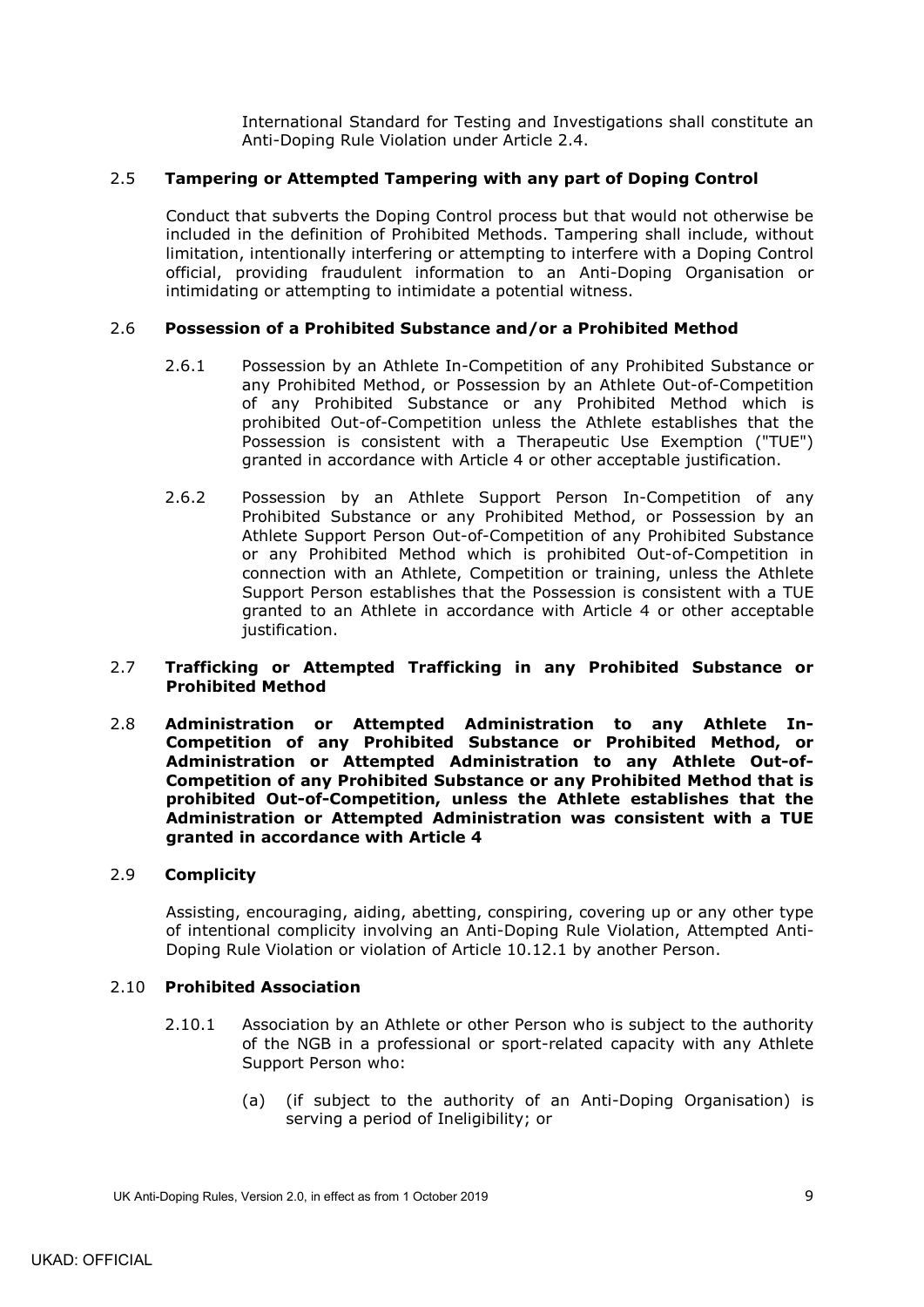International Standard for Testing and Investigations shall constitute an Anti-Doping Rule Violation under Article 2.4.

## <span id="page-12-0"></span>2.5 **Tampering or Attempted Tampering with any part of Doping Control**

Conduct that subverts the Doping Control process but that would not otherwise be included in the definition of Prohibited Methods. Tampering shall include, without limitation, intentionally interfering or attempting to interfere with a Doping Control official, providing fraudulent information to an Anti-Doping Organisation or intimidating or attempting to intimidate a potential witness.

### <span id="page-12-1"></span>2.6 **Possession of a Prohibited Substance and/or a Prohibited Method**

- 2.6.1 Possession by an Athlete In-Competition of any Prohibited Substance or any Prohibited Method, or Possession by an Athlete Out-of-Competition of any Prohibited Substance or any Prohibited Method which is prohibited Out-of-Competition unless the Athlete establishes that the Possession is consistent with a Therapeutic Use Exemption ("TUE") granted in accordance with Article 4 or other acceptable justification.
- 2.6.2 Possession by an Athlete Support Person In-Competition of any Prohibited Substance or any Prohibited Method, or Possession by an Athlete Support Person Out-of-Competition of any Prohibited Substance or any Prohibited Method which is prohibited Out-of-Competition in connection with an Athlete, Competition or training, unless the Athlete Support Person establishes that the Possession is consistent with a TUE granted to an Athlete in accordance with Article 4 or other acceptable justification.

### <span id="page-12-2"></span>2.7 **Trafficking or Attempted Trafficking in any Prohibited Substance or Prohibited Method**

<span id="page-12-3"></span>2.8 **Administration or Attempted Administration to any Athlete In-Competition of any Prohibited Substance or Prohibited Method, or Administration or Attempted Administration to any Athlete Out-of-Competition of any Prohibited Substance or any Prohibited Method that is prohibited Out-of-Competition, unless the Athlete establishes that the Administration or Attempted Administration was consistent with a TUE granted in accordance with Article 4**

### <span id="page-12-4"></span>2.9 **Complicity**

Assisting, encouraging, aiding, abetting, conspiring, covering up or any other type of intentional complicity involving an Anti-Doping Rule Violation, Attempted Anti-Doping Rule Violation or violation of Article [10.12.1](#page-47-1) by another Person.

#### <span id="page-12-5"></span>2.10 **Prohibited Association**

- <span id="page-12-6"></span>2.10.1 Association by an Athlete or other Person who is subject to the authority of the NGB in a professional or sport-related capacity with any Athlete Support Person who:
	- (a) (if subject to the authority of an Anti-Doping Organisation) is serving a period of Ineligibility; or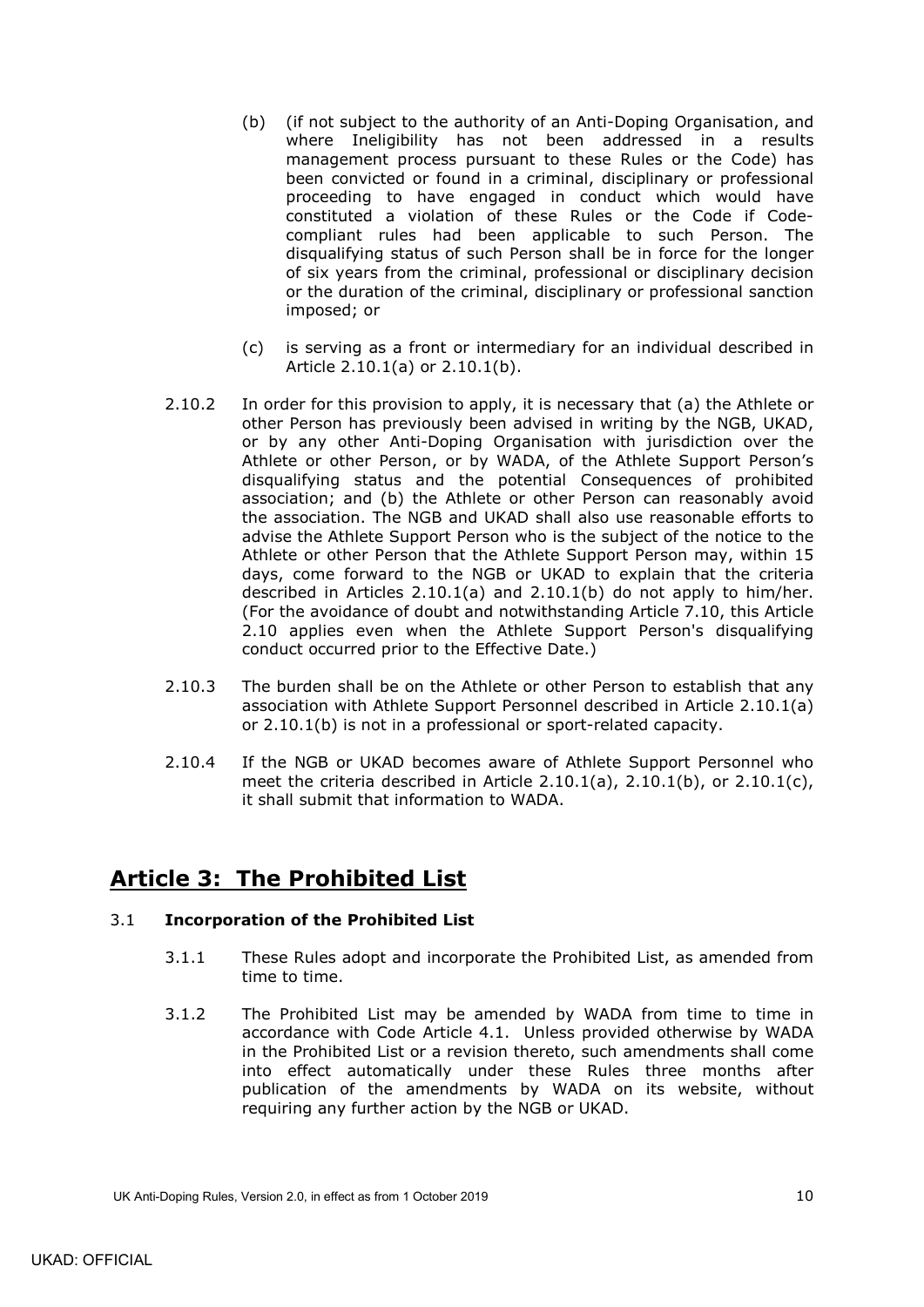- <span id="page-13-2"></span>(b) (if not subject to the authority of an Anti-Doping Organisation, and where Ineligibility has not been addressed in a results management process pursuant to these Rules or the Code) has been convicted or found in a criminal, disciplinary or professional proceeding to have engaged in conduct which would have constituted a violation of these Rules or the Code if Codecompliant rules had been applicable to such Person. The disqualifying status of such Person shall be in force for the longer of six years from the criminal, professional or disciplinary decision or the duration of the criminal, disciplinary or professional sanction imposed; or
- (c) is serving as a front or intermediary for an individual described in Article [2.10.1\(a\)](#page-12-6) or [2.10.1\(b\).](#page-13-2)
- <span id="page-13-3"></span>2.10.2 In order for this provision to apply, it is necessary that (a) the Athlete or other Person has previously been advised in writing by the NGB, UKAD, or by any other Anti-Doping Organisation with jurisdiction over the Athlete or other Person, or by WADA, of the Athlete Support Person's disqualifying status and the potential Consequences of prohibited association; and (b) the Athlete or other Person can reasonably avoid the association. The NGB and UKAD shall also use reasonable efforts to advise the Athlete Support Person who is the subject of the notice to the Athlete or other Person that the Athlete Support Person may, within 15 days, come forward to the NGB or UKAD to explain that the criteria described in Articles [2.10.1\(a\)](#page-12-6) and [2.10.1\(b\)](#page-13-2) do not apply to him/her. (For the avoidance of doubt and notwithstanding Article [7.10,](#page-36-0) this Article [2.10](#page-12-5) applies even when the Athlete Support Person's disqualifying conduct occurred prior to the Effective Date.)
- 2.10.3 The burden shall be on the Athlete or other Person to establish that any association with Athlete Support Personnel described in Article [2.10.1\(a\)](#page-12-6) or [2.10.1\(b\)](#page-13-2) is not in a professional or sport-related capacity.
- 2.10.4 If the NGB or UKAD becomes aware of Athlete Support Personnel who meet the criteria described in Article [2.10.1\(a\),](#page-12-6) [2.10.1\(b\),](#page-13-2) or [2.10.1\(c\),](#page-13-3) it shall submit that information to WADA.

# <span id="page-13-0"></span>**Article 3: The Prohibited List**

## <span id="page-13-1"></span>3.1 **Incorporation of the Prohibited List**

- 3.1.1 These Rules adopt and incorporate the Prohibited List, as amended from time to time.
- 3.1.2 The Prohibited List may be amended by WADA from time to time in accordance with Code Article 4.1. Unless provided otherwise by WADA in the Prohibited List or a revision thereto, such amendments shall come into effect automatically under these Rules three months after publication of the amendments by WADA on its website, without requiring any further action by the NGB or UKAD.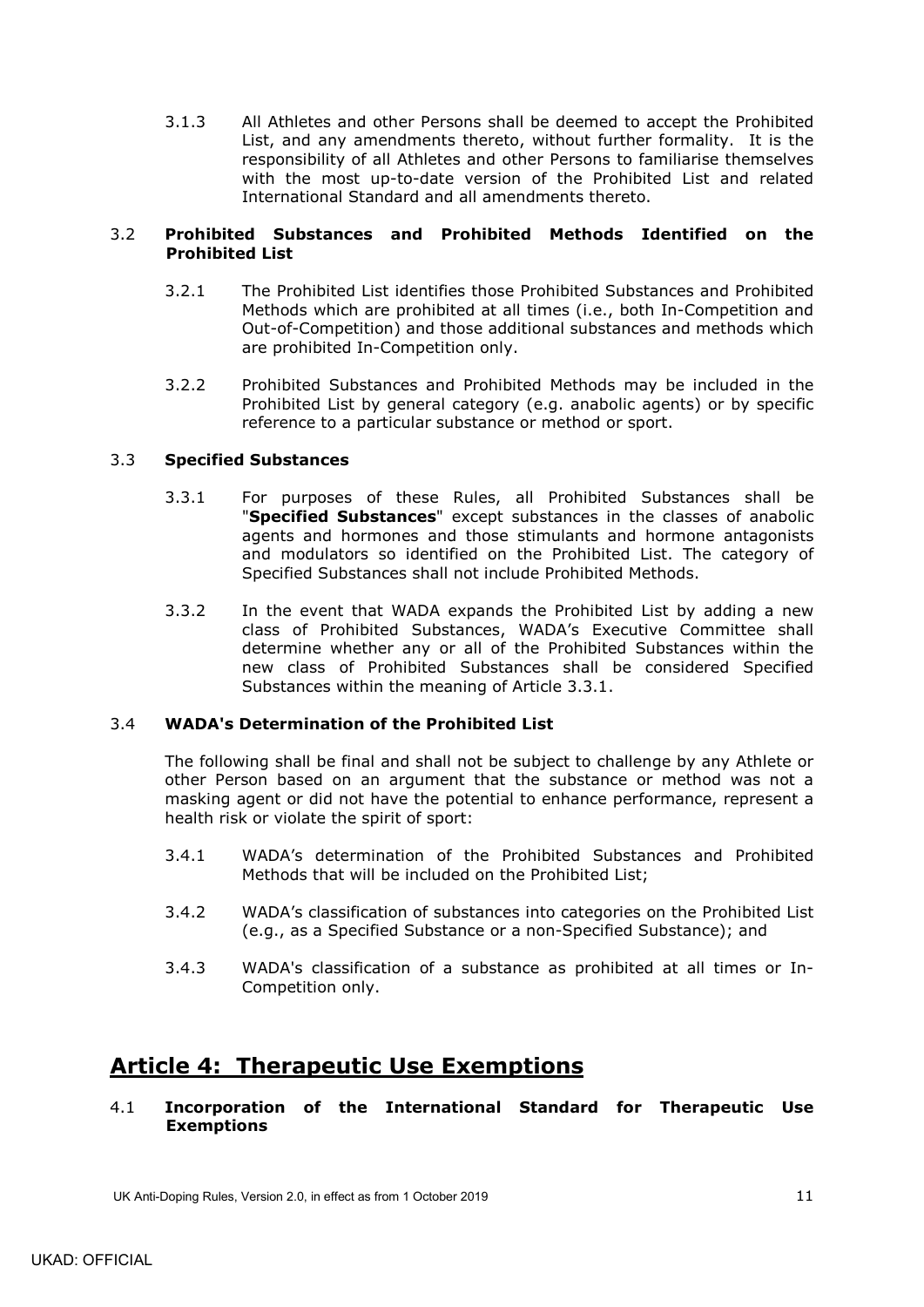3.1.3 All Athletes and other Persons shall be deemed to accept the Prohibited List, and any amendments thereto, without further formality. It is the responsibility of all Athletes and other Persons to familiarise themselves with the most up-to-date version of the Prohibited List and related International Standard and all amendments thereto.

## <span id="page-14-0"></span>3.2 **Prohibited Substances and Prohibited Methods Identified on the Prohibited List**

- 3.2.1 The Prohibited List identifies those Prohibited Substances and Prohibited Methods which are prohibited at all times (i.e., both In-Competition and Out-of-Competition) and those additional substances and methods which are prohibited In-Competition only.
- 3.2.2 Prohibited Substances and Prohibited Methods may be included in the Prohibited List by general category (e.g. anabolic agents) or by specific reference to a particular substance or method or sport.

## <span id="page-14-5"></span><span id="page-14-1"></span>3.3 **Specified Substances**

- 3.3.1 For purposes of these Rules, all Prohibited Substances shall be "**Specified Substances**" except substances in the classes of anabolic agents and hormones and those stimulants and hormone antagonists and modulators so identified on the Prohibited List. The category of Specified Substances shall not include Prohibited Methods.
- 3.3.2 In the event that WADA expands the Prohibited List by adding a new class of Prohibited Substances, WADA's Executive Committee shall determine whether any or all of the Prohibited Substances within the new class of Prohibited Substances shall be considered Specified Substances within the meaning of Article [3.3.1.](#page-14-5)

### <span id="page-14-2"></span>3.4 **WADA's Determination of the Prohibited List**

The following shall be final and shall not be subject to challenge by any Athlete or other Person based on an argument that the substance or method was not a masking agent or did not have the potential to enhance performance, represent a health risk or violate the spirit of sport:

- 3.4.1 WADA's determination of the Prohibited Substances and Prohibited Methods that will be included on the Prohibited List;
- 3.4.2 WADA's classification of substances into categories on the Prohibited List (e.g., as a Specified Substance or a non-Specified Substance); and
- 3.4.3 WADA's classification of a substance as prohibited at all times or In-Competition only.

# <span id="page-14-3"></span>**Article 4: Therapeutic Use Exemptions**

<span id="page-14-4"></span>4.1 **Incorporation of the International Standard for Therapeutic Use Exemptions**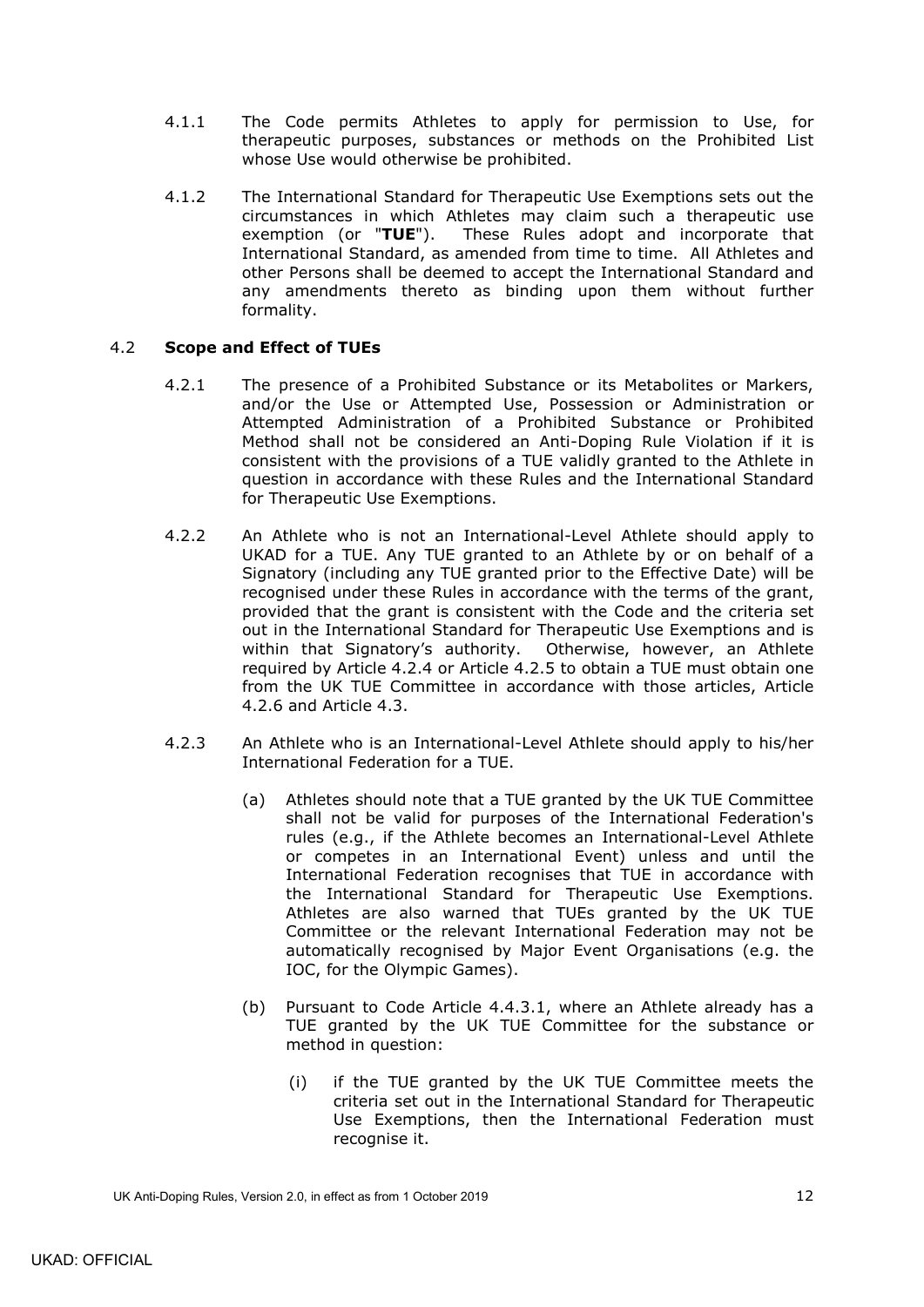- 4.1.1 The Code permits Athletes to apply for permission to Use, for therapeutic purposes, substances or methods on the Prohibited List whose Use would otherwise be prohibited.
- <span id="page-15-3"></span>4.1.2 The International Standard for Therapeutic Use Exemptions sets out the circumstances in which Athletes may claim such a therapeutic use<br>exemption (or "TUE"). These Rules adopt and incorporate that These Rules adopt and incorporate that International Standard, as amended from time to time. All Athletes and other Persons shall be deemed to accept the International Standard and any amendments thereto as binding upon them without further formality.

## <span id="page-15-0"></span>4.2 **Scope and Effect of TUEs**

- 4.2.1 The presence of a Prohibited Substance or its Metabolites or Markers, and/or the Use or Attempted Use, Possession or Administration or Attempted Administration of a Prohibited Substance or Prohibited Method shall not be considered an Anti-Doping Rule Violation if it is consistent with the provisions of a TUE validly granted to the Athlete in question in accordance with these Rules and the International Standard for Therapeutic Use Exemptions.
- <span id="page-15-1"></span>4.2.2 An Athlete who is not an International-Level Athlete should apply to UKAD for a TUE. Any TUE granted to an Athlete by or on behalf of a Signatory (including any TUE granted prior to the Effective Date) will be recognised under these Rules in accordance with the terms of the grant, provided that the grant is consistent with the Code and the criteria set out in the International Standard for Therapeutic Use Exemptions and is within that Signatory's authority. Otherwise, however, an Athlete required by Article [4.2.4](#page-16-0) or Article [4.2.5](#page-16-1) to obtain a TUE must obtain one from the UK TUE Committee in accordance with those articles, Article [4.2.6](#page-17-1) and Article [4.3.](#page-17-0)
- <span id="page-15-2"></span>4.2.3 An Athlete who is an International-Level Athlete should apply to his/her International Federation for a TUE.
	- (a) Athletes should note that a TUE granted by the UK TUE Committee shall not be valid for purposes of the International Federation's rules (e.g., if the Athlete becomes an International-Level Athlete or competes in an International Event) unless and until the International Federation recognises that TUE in accordance with the International Standard for Therapeutic Use Exemptions. Athletes are also warned that TUEs granted by the UK TUE Committee or the relevant International Federation may not be automatically recognised by Major Event Organisations (e.g. the IOC, for the Olympic Games).
	- (b) Pursuant to Code Article 4.4.3.1, where an Athlete already has a TUE granted by the UK TUE Committee for the substance or method in question:
		- (i) if the TUE granted by the UK TUE Committee meets the criteria set out in the International Standard for Therapeutic Use Exemptions, then the International Federation must recognise it.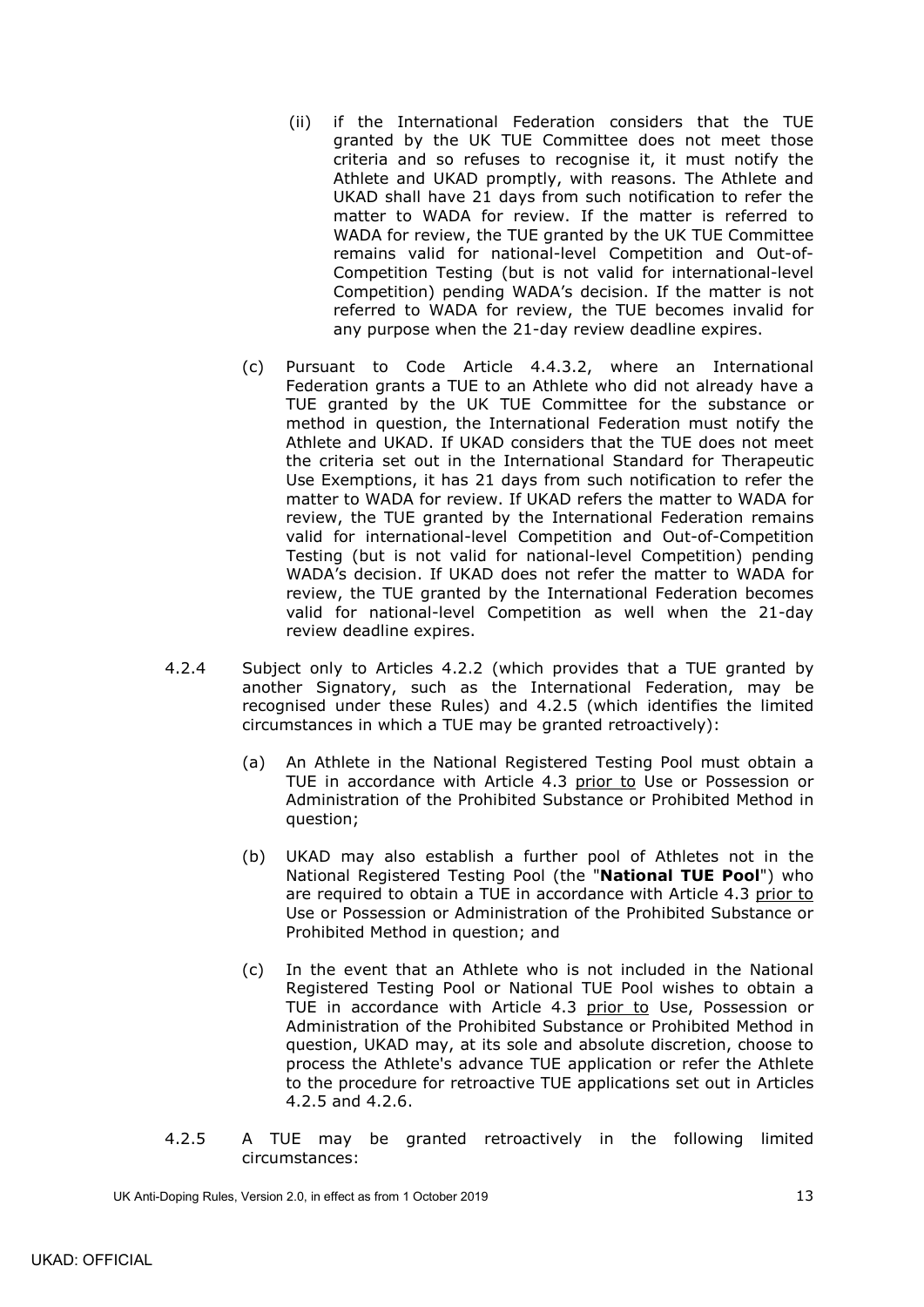- (ii) if the International Federation considers that the TUE granted by the UK TUE Committee does not meet those criteria and so refuses to recognise it, it must notify the Athlete and UKAD promptly, with reasons. The Athlete and UKAD shall have 21 days from such notification to refer the matter to WADA for review. If the matter is referred to WADA for review, the TUE granted by the UK TUE Committee remains valid for national-level Competition and Out-of-Competition Testing (but is not valid for international-level Competition) pending WADA's decision. If the matter is not referred to WADA for review, the TUE becomes invalid for any purpose when the 21-day review deadline expires.
- (c) Pursuant to Code Article 4.4.3.2, where an International Federation grants a TUE to an Athlete who did not already have a TUE granted by the UK TUE Committee for the substance or method in question, the International Federation must notify the Athlete and UKAD. If UKAD considers that the TUE does not meet the criteria set out in the International Standard for Therapeutic Use Exemptions, it has 21 days from such notification to refer the matter to WADA for review. If UKAD refers the matter to WADA for review, the TUE granted by the International Federation remains valid for international-level Competition and Out-of-Competition Testing (but is not valid for national-level Competition) pending WADA's decision. If UKAD does not refer the matter to WADA for review, the TUE granted by the International Federation becomes valid for national-level Competition as well when the 21-day review deadline expires.
- <span id="page-16-2"></span><span id="page-16-0"></span>4.2.4 Subject only to Articles [4.2.2](#page-15-1) (which provides that a TUE granted by another Signatory, such as the International Federation, may be recognised under these Rules) and [4.2.5](#page-16-1) (which identifies the limited circumstances in which a TUE may be granted retroactively):
	- (a) An Athlete in the National Registered Testing Pool must obtain a TUE in accordance with Article [4.3](#page-17-0) prior to Use or Possession or Administration of the Prohibited Substance or Prohibited Method in question;
	- (b) UKAD may also establish a further pool of Athletes not in the National Registered Testing Pool (the "**National TUE Pool**") who are required to obtain a TUE in accordance with Article [4.3](#page-17-0) prior to Use or Possession or Administration of the Prohibited Substance or Prohibited Method in question; and
	- (c) In the event that an Athlete who is not included in the National Registered Testing Pool or National TUE Pool wishes to obtain a TUE in accordance with Article [4.3](#page-17-0) prior to Use, Possession or Administration of the Prohibited Substance or Prohibited Method in question, UKAD may, at its sole and absolute discretion, choose to process the Athlete's advance TUE application or refer the Athlete to the procedure for retroactive TUE applications set out in Articles [4.2.5](#page-16-1) and [4.2.6.](#page-17-1)
- <span id="page-16-1"></span>4.2.5 A TUE may be granted retroactively in the following limited circumstances: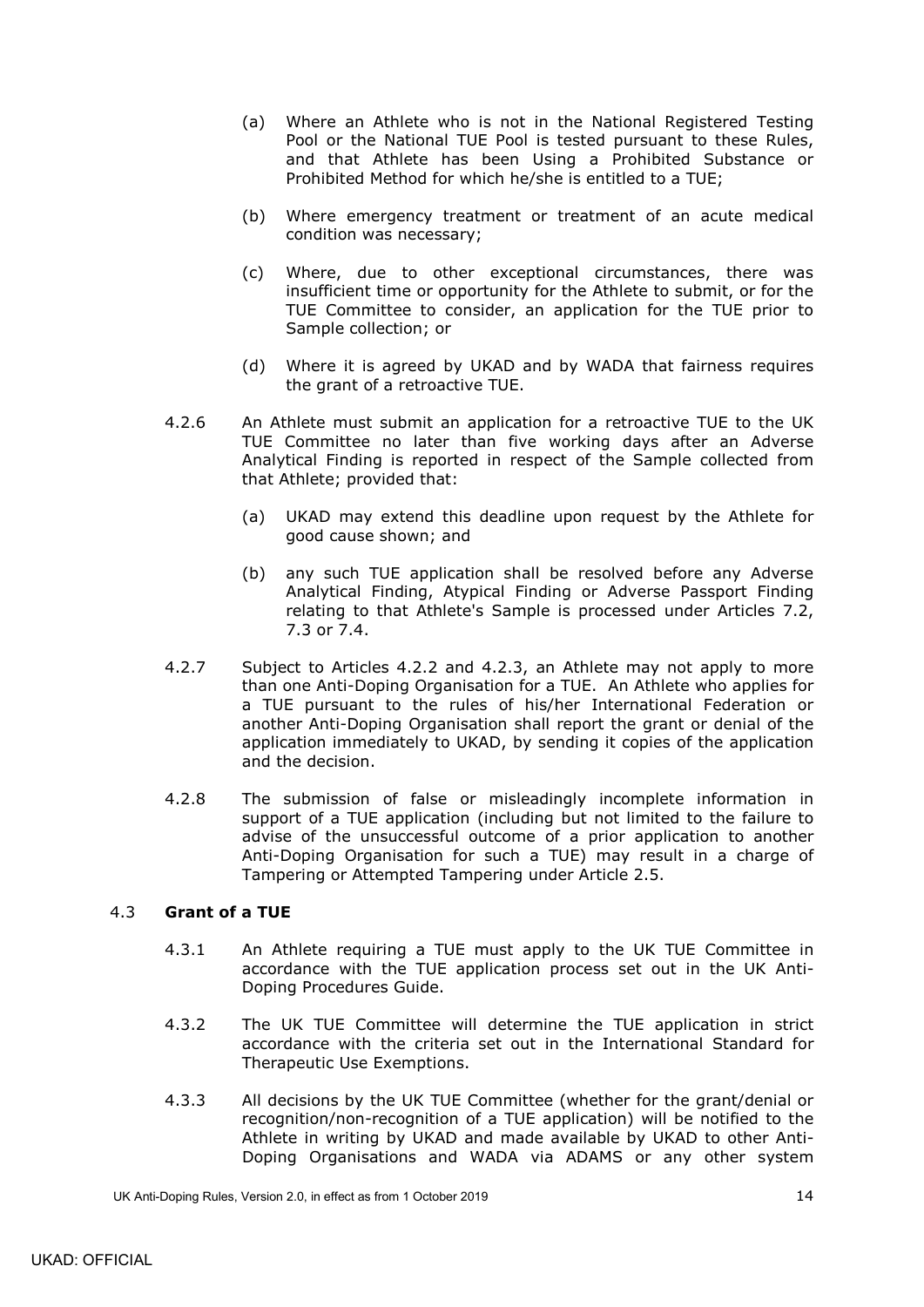- (a) Where an Athlete who is not in the National Registered Testing Pool or the National TUE Pool is tested pursuant to these Rules, and that Athlete has been Using a Prohibited Substance or Prohibited Method for which he/she is entitled to a TUE;
- (b) Where emergency treatment or treatment of an acute medical condition was necessary;
- (c) Where, due to other exceptional circumstances, there was insufficient time or opportunity for the Athlete to submit, or for the TUE Committee to consider, an application for the TUE prior to Sample collection; or
- (d) Where it is agreed by UKAD and by WADA that fairness requires the grant of a retroactive TUE.
- <span id="page-17-1"></span>4.2.6 An Athlete must submit an application for a retroactive TUE to the UK TUE Committee no later than five working days after an Adverse Analytical Finding is reported in respect of the Sample collected from that Athlete; provided that:
	- (a) UKAD may extend this deadline upon request by the Athlete for good cause shown; and
	- (b) any such TUE application shall be resolved before any Adverse Analytical Finding, Atypical Finding or Adverse Passport Finding relating to that Athlete's Sample is processed under Articles [7.2,](#page-28-0) [7.3](#page-29-0) or [7.4.](#page-30-0)
- 4.2.7 Subject to Articles [4.2.2](#page-15-1) and [4.2.3,](#page-15-2) an Athlete may not apply to more than one Anti-Doping Organisation for a TUE. An Athlete who applies for a TUE pursuant to the rules of his/her International Federation or another Anti-Doping Organisation shall report the grant or denial of the application immediately to UKAD, by sending it copies of the application and the decision.
- 4.2.8 The submission of false or misleadingly incomplete information in support of a TUE application (including but not limited to the failure to advise of the unsuccessful outcome of a prior application to another Anti-Doping Organisation for such a TUE) may result in a charge of Tampering or Attempted Tampering under Article [2.5.](#page-12-0)

### <span id="page-17-0"></span>4.3 **Grant of a TUE**

- 4.3.1 An Athlete requiring a TUE must apply to the UK TUE Committee in accordance with the TUE application process set out in the UK Anti-Doping Procedures Guide.
- 4.3.2 The UK TUE Committee will determine the TUE application in strict accordance with the criteria set out in the International Standard for Therapeutic Use Exemptions.
- 4.3.3 All decisions by the UK TUE Committee (whether for the grant/denial or recognition/non-recognition of a TUE application) will be notified to the Athlete in writing by UKAD and made available by UKAD to other Anti-Doping Organisations and WADA via ADAMS or any other system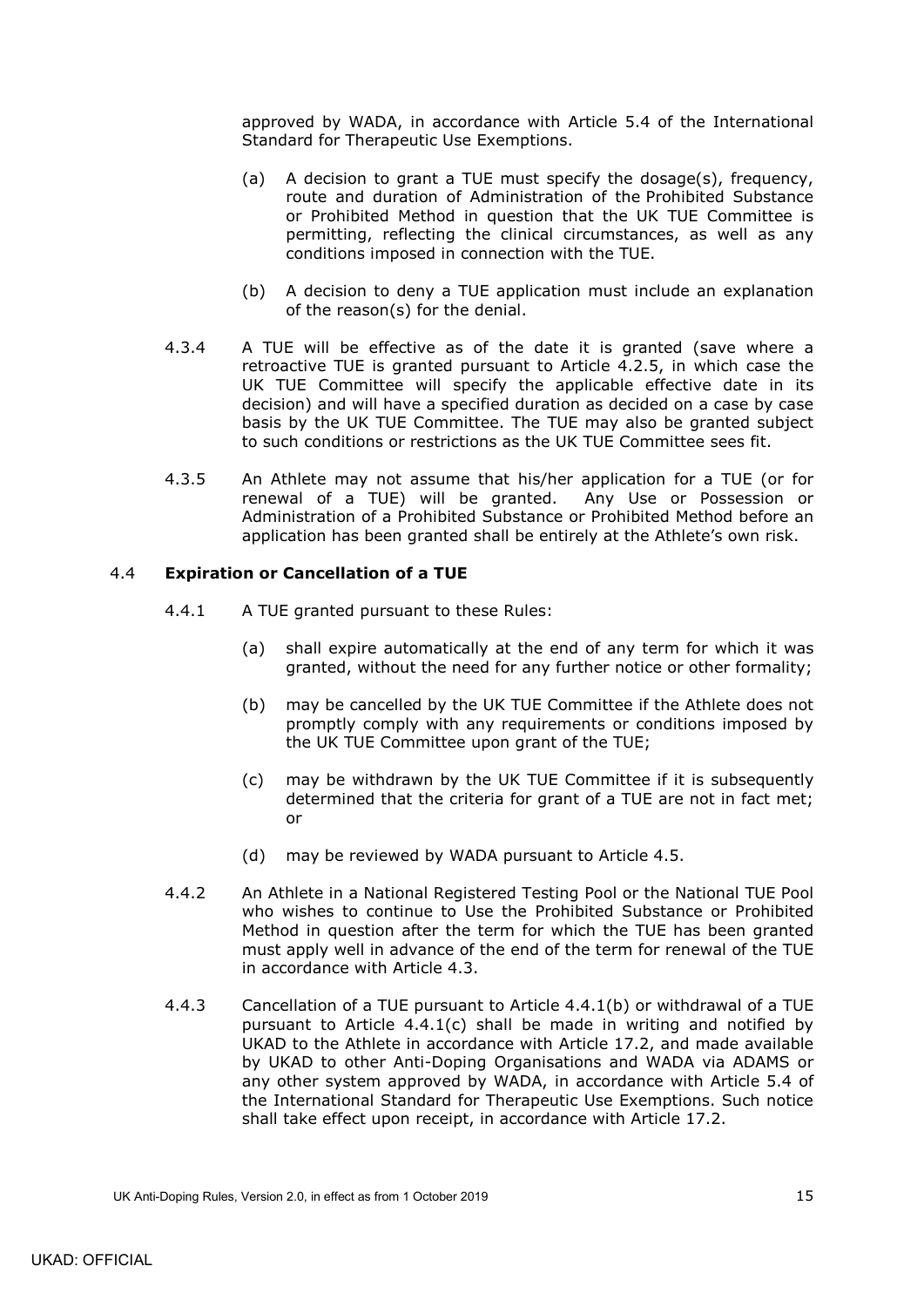approved by WADA, in accordance with Article 5.4 of the International Standard for Therapeutic Use Exemptions.

- (a) A decision to grant a TUE must specify the dosage(s), frequency, route and duration of Administration of the Prohibited Substance or Prohibited Method in question that the UK TUE Committee is permitting, reflecting the clinical circumstances, as well as any conditions imposed in connection with the TUE.
- (b) A decision to deny a TUE application must include an explanation of the reason(s) for the denial.
- 4.3.4 A TUE will be effective as of the date it is granted (save where a retroactive TUE is granted pursuant to Article [4.2.5,](#page-16-1) in which case the UK TUE Committee will specify the applicable effective date in its decision) and will have a specified duration as decided on a case by case basis by the UK TUE Committee. The TUE may also be granted subject to such conditions or restrictions as the UK TUE Committee sees fit.
- 4.3.5 An Athlete may not assume that his/her application for a TUE (or for renewal of a TUE) will be granted. Any Use or Possession or Administration of a Prohibited Substance or Prohibited Method before an application has been granted shall be entirely at the Athlete's own risk.

### <span id="page-18-3"></span><span id="page-18-0"></span>4.4 **Expiration or Cancellation of a TUE**

- <span id="page-18-1"></span>4.4.1 A TUE granted pursuant to these Rules:
	- (a) shall expire automatically at the end of any term for which it was granted, without the need for any further notice or other formality;
	- (b) may be cancelled by the UK TUE Committee if the Athlete does not promptly comply with any requirements or conditions imposed by the UK TUE Committee upon grant of the TUE;
	- (c) may be withdrawn by the UK TUE Committee if it is subsequently determined that the criteria for grant of a TUE are not in fact met; or
	- (d) may be reviewed by WADA pursuant to Article [4.5.](#page-19-0)
- <span id="page-18-2"></span>4.4.2 An Athlete in a National Registered Testing Pool or the National TUE Pool who wishes to continue to Use the Prohibited Substance or Prohibited Method in question after the term for which the TUE has been granted must apply well in advance of the end of the term for renewal of the TUE in accordance with Article [4.3.](#page-17-0)
- 4.4.3 Cancellation of a TUE pursuant to Article [4.4.1\(b\)](#page-18-1) or withdrawal of a TUE pursuant to Article [4.4.1\(c\)](#page-18-2) shall be made in writing and notified by UKAD to the Athlete in accordance with Article [17.2,](#page-55-4) and made available by UKAD to other Anti-Doping Organisations and WADA via ADAMS or any other system approved by WADA, in accordance with Article 5.4 of the International Standard for Therapeutic Use Exemptions. Such notice shall take effect upon receipt, in accordance with Article [17.2.](#page-55-4)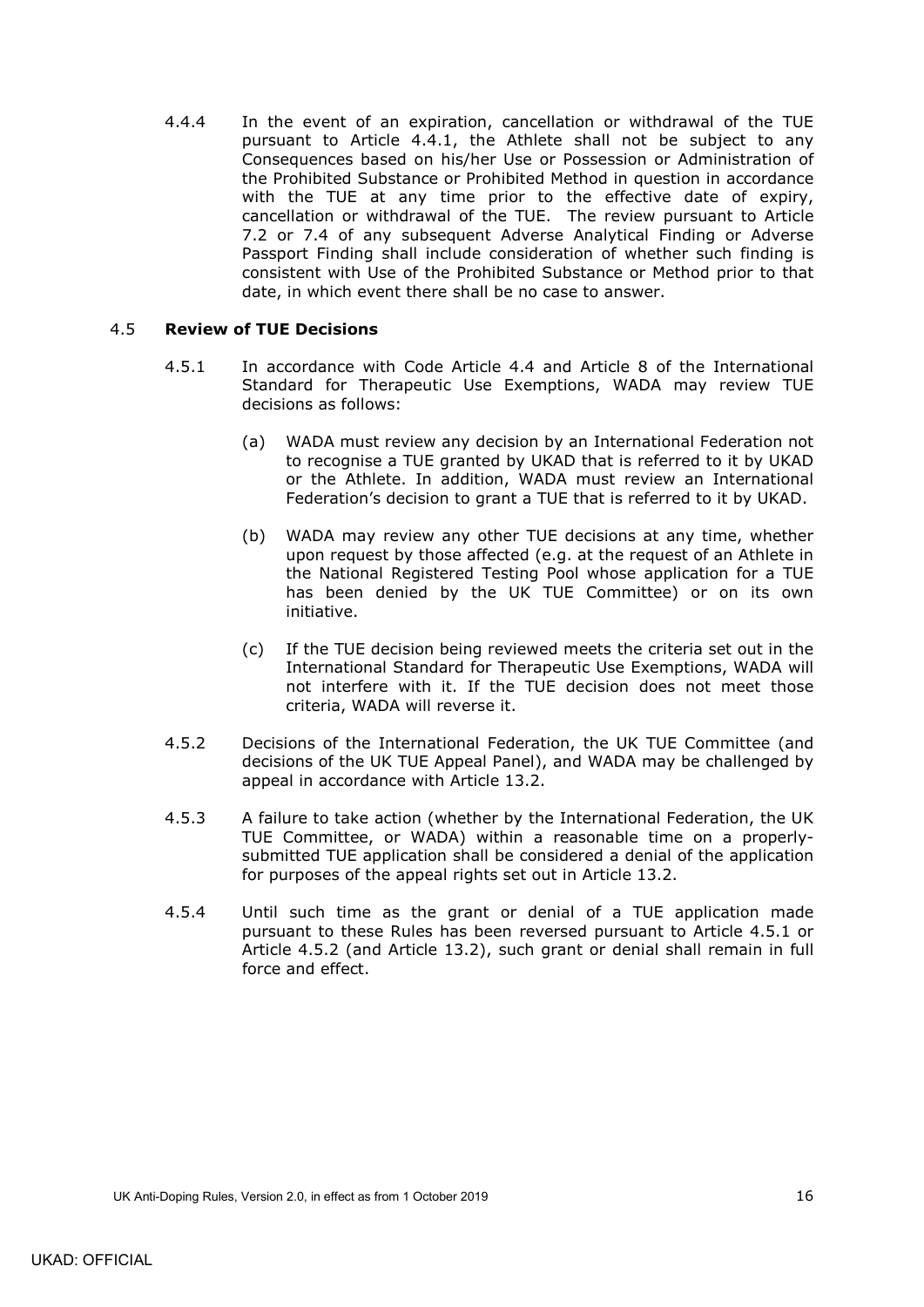4.4.4 In the event of an expiration, cancellation or withdrawal of the TUE pursuant to Article [4.4.1,](#page-18-3) the Athlete shall not be subject to any Consequences based on his/her Use or Possession or Administration of the Prohibited Substance or Prohibited Method in question in accordance with the TUE at any time prior to the effective date of expiry, cancellation or withdrawal of the TUE. The review pursuant to Article [7.2](#page-28-0) or [7.4](#page-30-0) of any subsequent Adverse Analytical Finding or Adverse Passport Finding shall include consideration of whether such finding is consistent with Use of the Prohibited Substance or Method prior to that date, in which event there shall be no case to answer.

### <span id="page-19-1"></span><span id="page-19-0"></span>4.5 **Review of TUE Decisions**

- 4.5.1 In accordance with Code Article 4.4 and Article 8 of the International Standard for Therapeutic Use Exemptions, WADA may review TUE decisions as follows:
	- (a) WADA must review any decision by an International Federation not to recognise a TUE granted by UKAD that is referred to it by UKAD or the Athlete. In addition, WADA must review an International Federation's decision to grant a TUE that is referred to it by UKAD.
	- (b) WADA may review any other TUE decisions at any time, whether upon request by those affected (e.g. at the request of an Athlete in the National Registered Testing Pool whose application for a TUE has been denied by the UK TUE Committee) or on its own initiative.
	- (c) If the TUE decision being reviewed meets the criteria set out in the International Standard for Therapeutic Use Exemptions, WADA will not interfere with it. If the TUE decision does not meet those criteria, WADA will reverse it.
- <span id="page-19-2"></span>4.5.2 Decisions of the International Federation, the UK TUE Committee (and decisions of the UK TUE Appeal Panel), and WADA may be challenged by appeal in accordance with Article [13.2.](#page-49-6)
- 4.5.3 A failure to take action (whether by the International Federation, the UK TUE Committee, or WADA) within a reasonable time on a properlysubmitted TUE application shall be considered a denial of the application for purposes of the appeal rights set out in Article [13.2.](#page-49-6)
- 4.5.4 Until such time as the grant or denial of a TUE application made pursuant to these Rules has been reversed pursuant to Article [4.5.1](#page-19-1) or Article [4.5.2](#page-19-2) (and Article [13.2\)](#page-49-6), such grant or denial shall remain in full force and effect.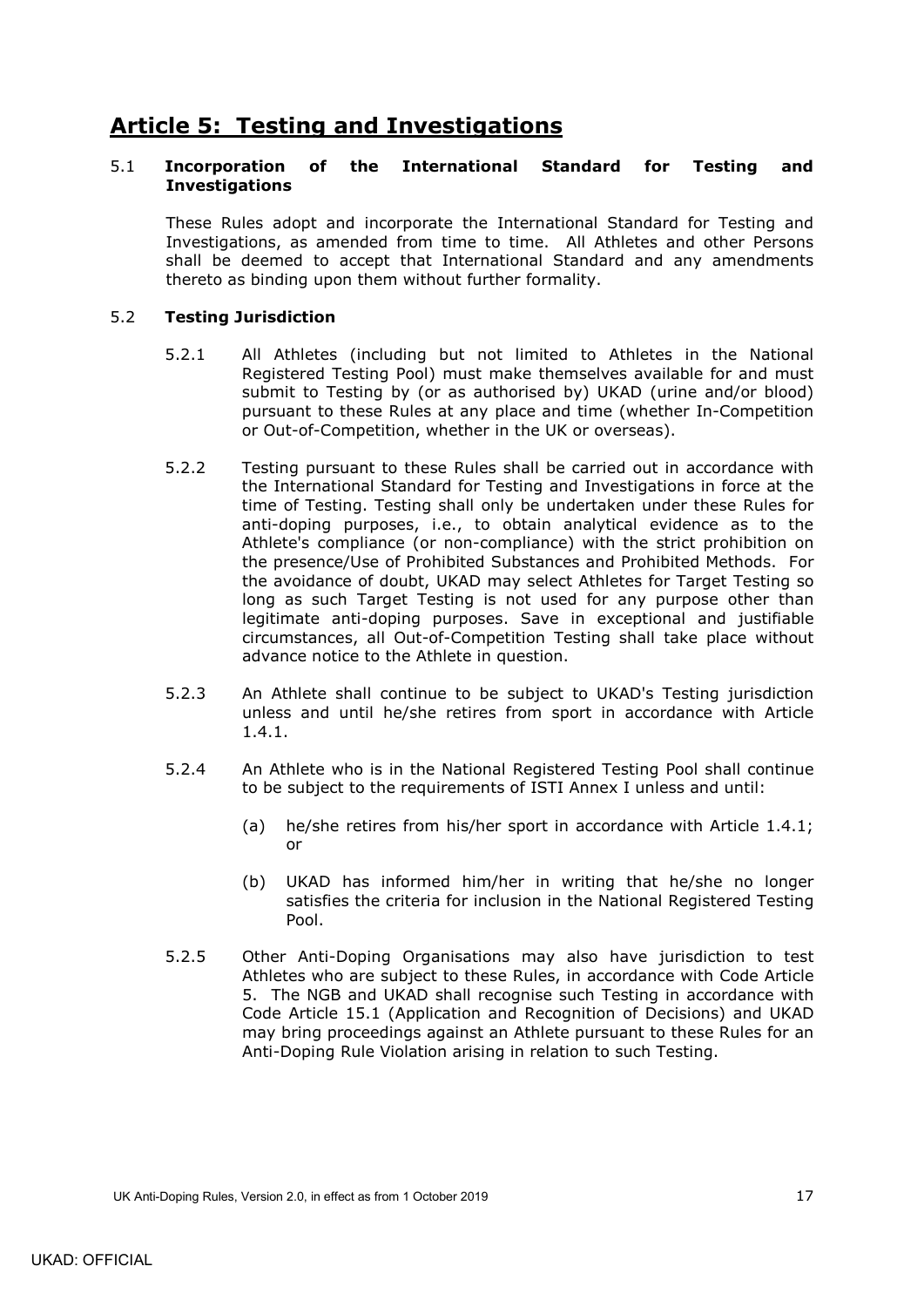# <span id="page-20-0"></span>**Article 5: Testing and Investigations**

### <span id="page-20-1"></span>5.1 **Incorporation of the International Standard for Testing and Investigations**

These Rules adopt and incorporate the International Standard for Testing and Investigations, as amended from time to time. All Athletes and other Persons shall be deemed to accept that International Standard and any amendments thereto as binding upon them without further formality.

## <span id="page-20-2"></span>5.2 **Testing Jurisdiction**

- 5.2.1 All Athletes (including but not limited to Athletes in the National Registered Testing Pool) must make themselves available for and must submit to Testing by (or as authorised by) UKAD (urine and/or blood) pursuant to these Rules at any place and time (whether In-Competition or Out-of-Competition, whether in the UK or overseas).
- 5.2.2 Testing pursuant to these Rules shall be carried out in accordance with the International Standard for Testing and Investigations in force at the time of Testing. Testing shall only be undertaken under these Rules for anti-doping purposes, i.e., to obtain analytical evidence as to the Athlete's compliance (or non-compliance) with the strict prohibition on the presence/Use of Prohibited Substances and Prohibited Methods. For the avoidance of doubt, UKAD may select Athletes for Target Testing so long as such Target Testing is not used for any purpose other than legitimate anti-doping purposes. Save in exceptional and justifiable circumstances, all Out-of-Competition Testing shall take place without advance notice to the Athlete in question.
- 5.2.3 An Athlete shall continue to be subject to UKAD's Testing jurisdiction unless and until he/she retires from sport in accordance with Article [1.4.1.](#page-7-1)
- 5.2.4 An Athlete who is in the National Registered Testing Pool shall continue to be subject to the requirements of ISTI Annex I unless and until:
	- (a) he/she retires from his/her sport in accordance with Article [1.4.1;](#page-7-1) or
	- (b) UKAD has informed him/her in writing that he/she no longer satisfies the criteria for inclusion in the National Registered Testing Pool.
- 5.2.5 Other Anti-Doping Organisations may also have jurisdiction to test Athletes who are subject to these Rules, in accordance with Code Article 5. The NGB and UKAD shall recognise such Testing in accordance with Code Article 15.1 (Application and Recognition of Decisions) and UKAD may bring proceedings against an Athlete pursuant to these Rules for an Anti-Doping Rule Violation arising in relation to such Testing.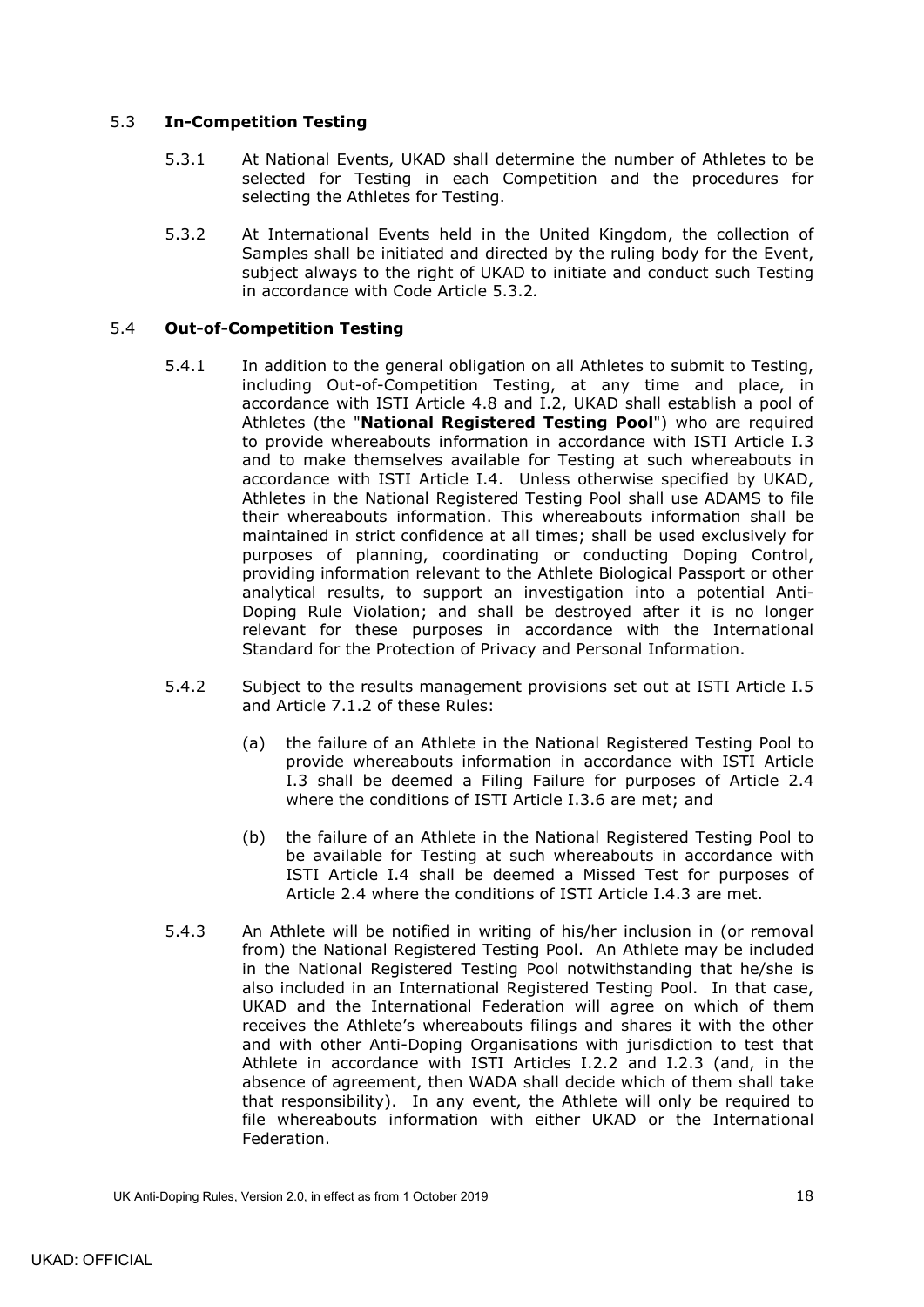## <span id="page-21-0"></span>5.3 **In-Competition Testing**

- 5.3.1 At National Events, UKAD shall determine the number of Athletes to be selected for Testing in each Competition and the procedures for selecting the Athletes for Testing.
- 5.3.2 At International Events held in the United Kingdom, the collection of Samples shall be initiated and directed by the ruling body for the Event, subject always to the right of UKAD to initiate and conduct such Testing in accordance with Code Article 5.3.2*.*

## <span id="page-21-2"></span><span id="page-21-1"></span>5.4 **Out-of-Competition Testing**

- 5.4.1 In addition to the general obligation on all Athletes to submit to Testing, including Out-of-Competition Testing, at any time and place, in accordance with ISTI Article 4.8 and I.2, UKAD shall establish a pool of Athletes (the "**National Registered Testing Pool**") who are required to provide whereabouts information in accordance with ISTI Article I.3 and to make themselves available for Testing at such whereabouts in accordance with ISTI Article I.4. Unless otherwise specified by UKAD, Athletes in the National Registered Testing Pool shall use ADAMS to file their whereabouts information. This whereabouts information shall be maintained in strict confidence at all times; shall be used exclusively for purposes of planning, coordinating or conducting Doping Control, providing information relevant to the Athlete Biological Passport or other analytical results, to support an investigation into a potential Anti-Doping Rule Violation; and shall be destroyed after it is no longer relevant for these purposes in accordance with the International Standard for the Protection of Privacy and Personal Information.
- 5.4.2 Subject to the results management provisions set out at ISTI Article I.5 and Article [7.1.2](#page-27-0) of these Rules:
	- (a) the failure of an Athlete in the National Registered Testing Pool to provide whereabouts information in accordance with ISTI Article I.3 shall be deemed a Filing Failure for purposes of Article [2.4](#page-11-2) where the conditions of ISTI Article I.3.6 are met; and
	- (b) the failure of an Athlete in the National Registered Testing Pool to be available for Testing at such whereabouts in accordance with ISTI Article I.4 shall be deemed a Missed Test for purposes of Article [2.4](#page-11-2) where the conditions of ISTI Article I.4.3 are met.
- 5.4.3 An Athlete will be notified in writing of his/her inclusion in (or removal from) the National Registered Testing Pool. An Athlete may be included in the National Registered Testing Pool notwithstanding that he/she is also included in an International Registered Testing Pool. In that case, UKAD and the International Federation will agree on which of them receives the Athlete's whereabouts filings and shares it with the other and with other Anti-Doping Organisations with jurisdiction to test that Athlete in accordance with ISTI Articles I.2.2 and I.2.3 (and, in the absence of agreement, then WADA shall decide which of them shall take that responsibility). In any event, the Athlete will only be required to file whereabouts information with either UKAD or the International Federation.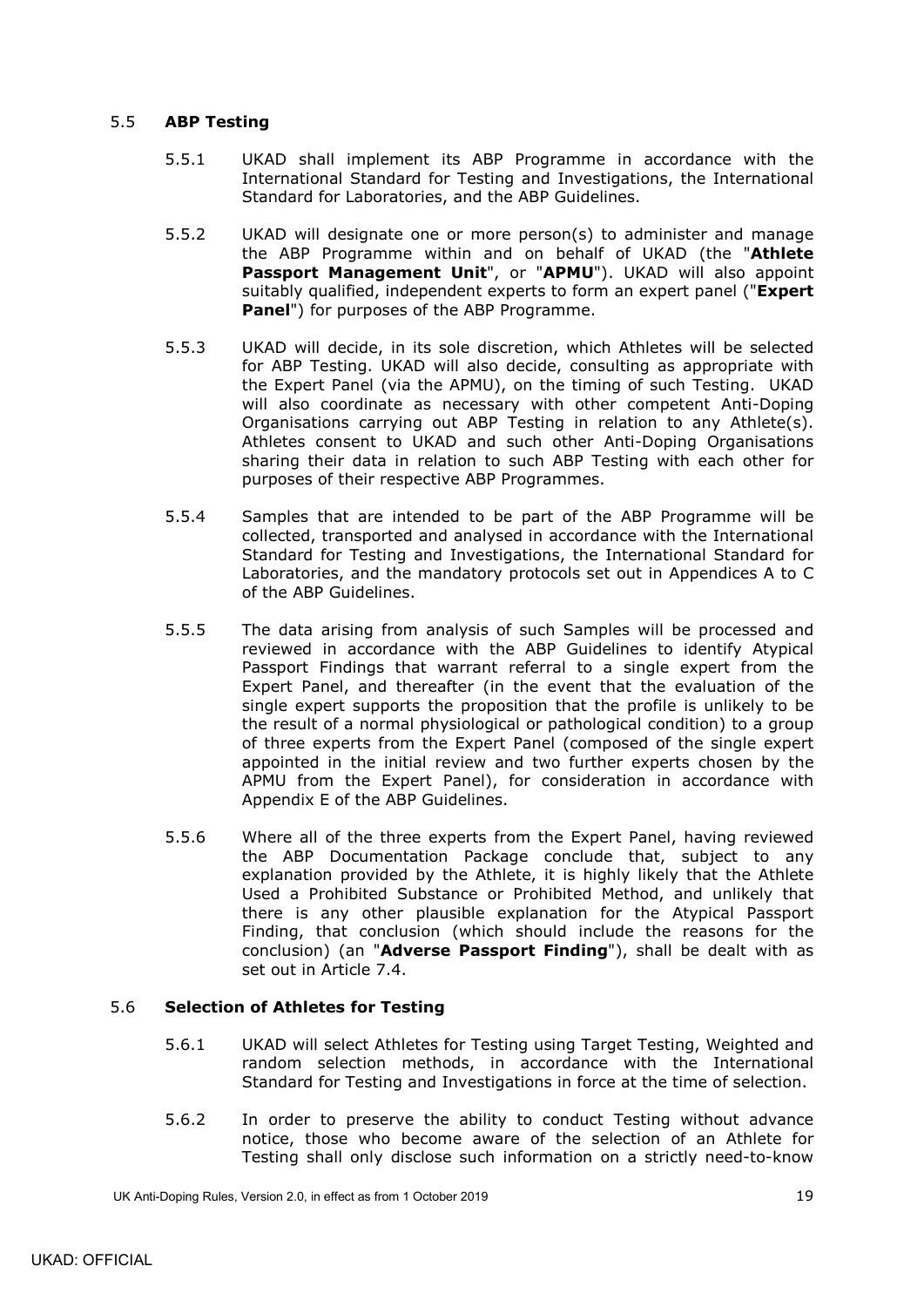## <span id="page-22-0"></span>5.5 **ABP Testing**

- 5.5.1 UKAD shall implement its ABP Programme in accordance with the International Standard for Testing and Investigations, the International Standard for Laboratories, and the ABP Guidelines.
- <span id="page-22-5"></span><span id="page-22-4"></span>5.5.2 UKAD will designate one or more person(s) to administer and manage the ABP Programme within and on behalf of UKAD (the "**Athlete Passport Management Unit**", or "**APMU**"). UKAD will also appoint suitably qualified, independent experts to form an expert panel ("**Expert Panel**") for purposes of the ABP Programme.
- 5.5.3 UKAD will decide, in its sole discretion, which Athletes will be selected for ABP Testing. UKAD will also decide, consulting as appropriate with the Expert Panel (via the APMU), on the timing of such Testing. UKAD will also coordinate as necessary with other competent Anti-Doping Organisations carrying out ABP Testing in relation to any Athlete(s). Athletes consent to UKAD and such other Anti-Doping Organisations sharing their data in relation to such ABP Testing with each other for purposes of their respective ABP Programmes.
- 5.5.4 Samples that are intended to be part of the ABP Programme will be collected, transported and analysed in accordance with the International Standard for Testing and Investigations, the International Standard for Laboratories, and the mandatory protocols set out in Appendices A to C of the ABP Guidelines.
- <span id="page-22-2"></span>5.5.5 The data arising from analysis of such Samples will be processed and reviewed in accordance with the ABP Guidelines to identify Atypical Passport Findings that warrant referral to a single expert from the Expert Panel, and thereafter (in the event that the evaluation of the single expert supports the proposition that the profile is unlikely to be the result of a normal physiological or pathological condition) to a group of three experts from the Expert Panel (composed of the single expert appointed in the initial review and two further experts chosen by the APMU from the Expert Panel), for consideration in accordance with Appendix E of the ABP Guidelines.
- <span id="page-22-3"></span>5.5.6 Where all of the three experts from the Expert Panel, having reviewed the ABP Documentation Package conclude that, subject to any explanation provided by the Athlete, it is highly likely that the Athlete Used a Prohibited Substance or Prohibited Method, and unlikely that there is any other plausible explanation for the Atypical Passport Finding, that conclusion (which should include the reasons for the conclusion) (an "**Adverse Passport Finding**"), shall be dealt with as set out in Article [7.4.](#page-30-0)

### <span id="page-22-1"></span>5.6 **Selection of Athletes for Testing**

- 5.6.1 UKAD will select Athletes for Testing using Target Testing, Weighted and random selection methods, in accordance with the International Standard for Testing and Investigations in force at the time of selection.
- 5.6.2 In order to preserve the ability to conduct Testing without advance notice, those who become aware of the selection of an Athlete for Testing shall only disclose such information on a strictly need-to-know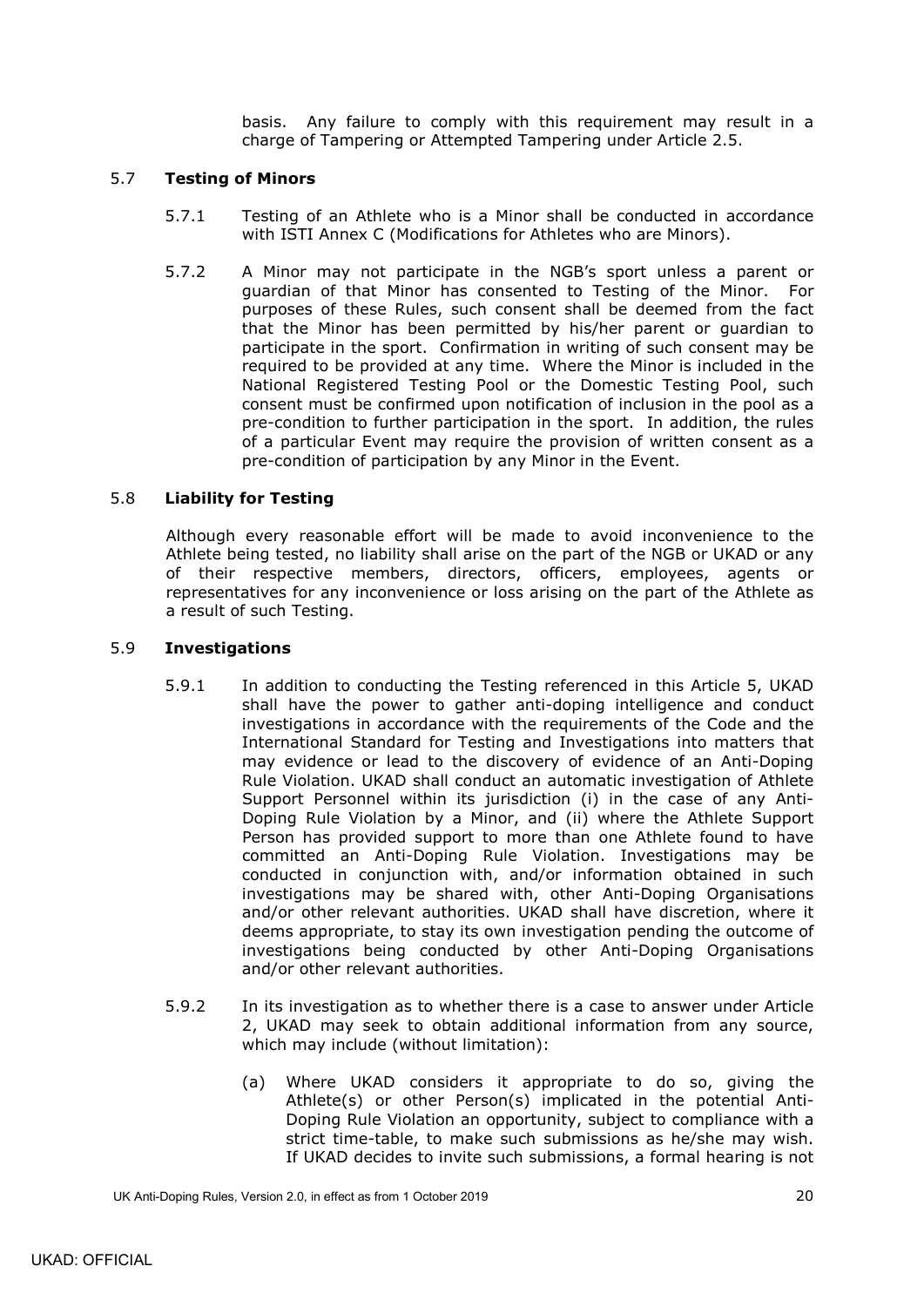basis. Any failure to comply with this requirement may result in a charge of Tampering or Attempted Tampering under Article [2.5.](#page-12-0)

## <span id="page-23-0"></span>5.7 **Testing of Minors**

- 5.7.1 Testing of an Athlete who is a Minor shall be conducted in accordance with ISTI Annex C (Modifications for Athletes who are Minors).
- 5.7.2 A Minor may not participate in the NGB's sport unless a parent or guardian of that Minor has consented to Testing of the Minor. For purposes of these Rules, such consent shall be deemed from the fact that the Minor has been permitted by his/her parent or guardian to participate in the sport. Confirmation in writing of such consent may be required to be provided at any time. Where the Minor is included in the National Registered Testing Pool or the Domestic Testing Pool, such consent must be confirmed upon notification of inclusion in the pool as a pre-condition to further participation in the sport. In addition, the rules of a particular Event may require the provision of written consent as a pre-condition of participation by any Minor in the Event.

### <span id="page-23-1"></span>5.8 **Liability for Testing**

Although every reasonable effort will be made to avoid inconvenience to the Athlete being tested, no liability shall arise on the part of the NGB or UKAD or any of their respective members, directors, officers, employees, agents or representatives for any inconvenience or loss arising on the part of the Athlete as a result of such Testing.

#### <span id="page-23-2"></span>5.9 **Investigations**

- 5.9.1 In addition to conducting the Testing referenced in this Article 5, UKAD shall have the power to gather anti-doping intelligence and conduct investigations in accordance with the requirements of the Code and the International Standard for Testing and Investigations into matters that may evidence or lead to the discovery of evidence of an Anti-Doping Rule Violation. UKAD shall conduct an automatic investigation of Athlete Support Personnel within its jurisdiction (i) in the case of any Anti-Doping Rule Violation by a Minor, and (ii) where the Athlete Support Person has provided support to more than one Athlete found to have committed an Anti-Doping Rule Violation. Investigations may be conducted in conjunction with, and/or information obtained in such investigations may be shared with, other Anti-Doping Organisations and/or other relevant authorities. UKAD shall have discretion, where it deems appropriate, to stay its own investigation pending the outcome of investigations being conducted by other Anti-Doping Organisations and/or other relevant authorities.
- 5.9.2 In its investigation as to whether there is a case to answer under Article 2, UKAD may seek to obtain additional information from any source, which may include (without limitation):
	- (a) Where UKAD considers it appropriate to do so, giving the Athlete(s) or other Person(s) implicated in the potential Anti-Doping Rule Violation an opportunity, subject to compliance with a strict time-table, to make such submissions as he/she may wish. If UKAD decides to invite such submissions, a formal hearing is not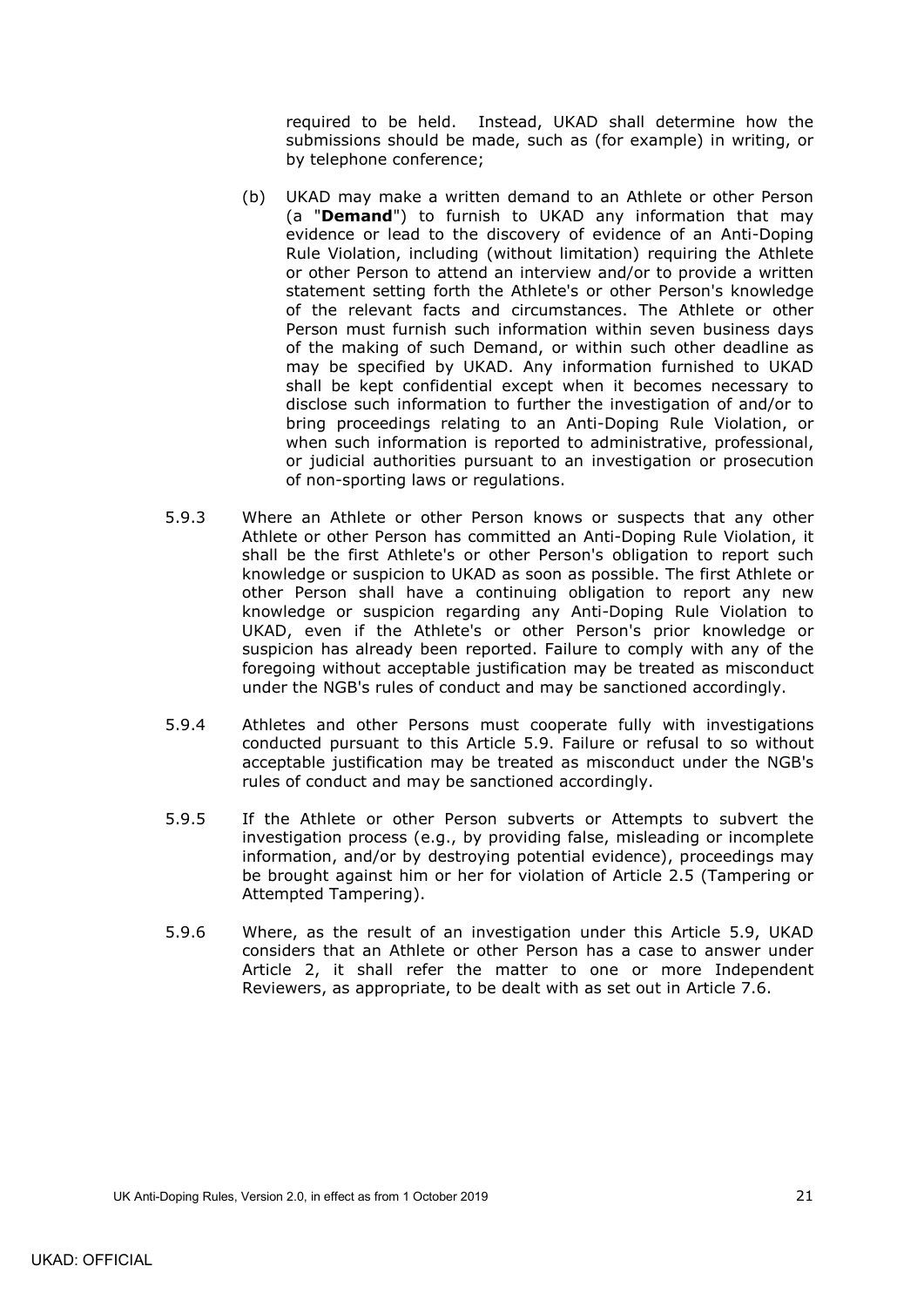required to be held. Instead, UKAD shall determine how the submissions should be made, such as (for example) in writing, or by telephone conference;

- (b) UKAD may make a written demand to an Athlete or other Person (a "**Demand**") to furnish to UKAD any information that may evidence or lead to the discovery of evidence of an Anti-Doping Rule Violation, including (without limitation) requiring the Athlete or other Person to attend an interview and/or to provide a written statement setting forth the Athlete's or other Person's knowledge of the relevant facts and circumstances. The Athlete or other Person must furnish such information within seven business days of the making of such Demand, or within such other deadline as may be specified by UKAD. Any information furnished to UKAD shall be kept confidential except when it becomes necessary to disclose such information to further the investigation of and/or to bring proceedings relating to an Anti-Doping Rule Violation, or when such information is reported to administrative, professional, or judicial authorities pursuant to an investigation or prosecution of non-sporting laws or regulations.
- 5.9.3 Where an Athlete or other Person knows or suspects that any other Athlete or other Person has committed an Anti-Doping Rule Violation, it shall be the first Athlete's or other Person's obligation to report such knowledge or suspicion to UKAD as soon as possible. The first Athlete or other Person shall have a continuing obligation to report any new knowledge or suspicion regarding any Anti-Doping Rule Violation to UKAD, even if the Athlete's or other Person's prior knowledge or suspicion has already been reported. Failure to comply with any of the foregoing without acceptable justification may be treated as misconduct under the NGB's rules of conduct and may be sanctioned accordingly.
- 5.9.4 Athletes and other Persons must cooperate fully with investigations conducted pursuant to this Article [5.9.](#page-23-2) Failure or refusal to so without acceptable justification may be treated as misconduct under the NGB's rules of conduct and may be sanctioned accordingly.
- 5.9.5 If the Athlete or other Person subverts or Attempts to subvert the investigation process (e.g., by providing false, misleading or incomplete information, and/or by destroying potential evidence), proceedings may be brought against him or her for violation of Article [2.5](#page-12-0) (Tampering or Attempted Tampering).
- 5.9.6 Where, as the result of an investigation under this Article [5.9,](#page-23-2) UKAD considers that an Athlete or other Person has a case to answer under Article 2, it shall refer the matter to one or more Independent Reviewers, as appropriate, to be dealt with as set out in Article [7.6.](#page-31-0)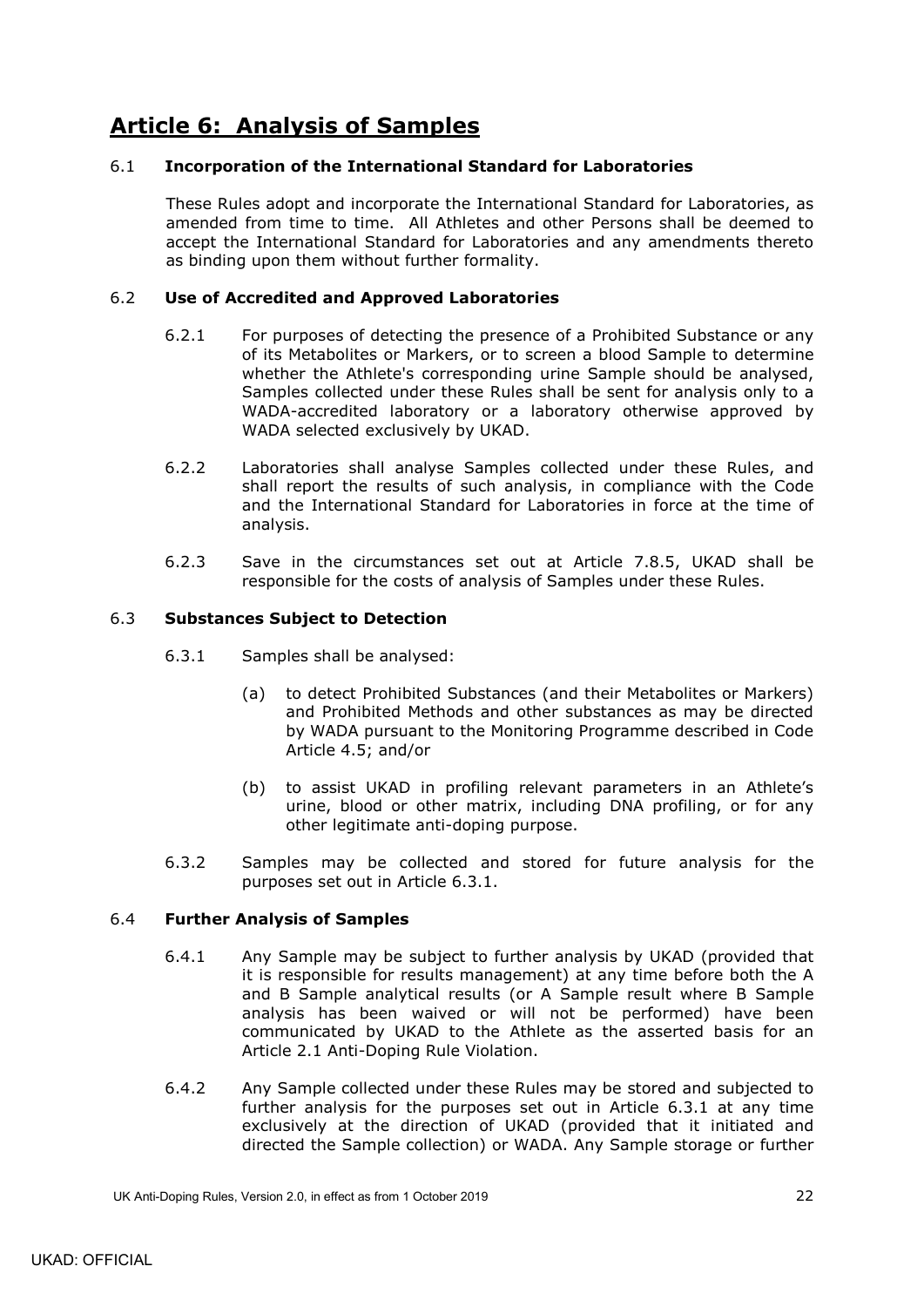# <span id="page-25-0"></span>**Article 6: Analysis of Samples**

## <span id="page-25-1"></span>6.1 **Incorporation of the International Standard for Laboratories**

These Rules adopt and incorporate the International Standard for Laboratories, as amended from time to time. All Athletes and other Persons shall be deemed to accept the International Standard for Laboratories and any amendments thereto as binding upon them without further formality.

## <span id="page-25-2"></span>6.2 **Use of Accredited and Approved Laboratories**

- 6.2.1 For purposes of detecting the presence of a Prohibited Substance or any of its Metabolites or Markers, or to screen a blood Sample to determine whether the Athlete's corresponding urine Sample should be analysed, Samples collected under these Rules shall be sent for analysis only to a WADA-accredited laboratory or a laboratory otherwise approved by WADA selected exclusively by UKAD.
- 6.2.2 Laboratories shall analyse Samples collected under these Rules, and shall report the results of such analysis, in compliance with the Code and the International Standard for Laboratories in force at the time of analysis.
- 6.2.3 Save in the circumstances set out at Article [7.8.5,](#page-34-1) UKAD shall be responsible for the costs of analysis of Samples under these Rules.

## <span id="page-25-5"></span><span id="page-25-3"></span>6.3 **Substances Subject to Detection**

- 6.3.1 Samples shall be analysed:
	- (a) to detect Prohibited Substances (and their Metabolites or Markers) and Prohibited Methods and other substances as may be directed by WADA pursuant to the Monitoring Programme described in Code Article 4.5; and/or
	- (b) to assist UKAD in profiling relevant parameters in an Athlete's urine, blood or other matrix, including DNA profiling, or for any other legitimate anti-doping purpose.
- 6.3.2 Samples may be collected and stored for future analysis for the purposes set out in Article 6.3.1.

### <span id="page-25-4"></span>6.4 **Further Analysis of Samples**

- 6.4.1 Any Sample may be subject to further analysis by UKAD (provided that it is responsible for results management) at any time before both the A and B Sample analytical results (or A Sample result where B Sample analysis has been waived or will not be performed) have been communicated by UKAD to the Athlete as the asserted basis for an Article [2.1](#page-10-1) Anti-Doping Rule Violation.
- 6.4.2 Any Sample collected under these Rules may be stored and subjected to further analysis for the purposes set out in Article [6.3.1](#page-25-5) at any time exclusively at the direction of UKAD (provided that it initiated and directed the Sample collection) or WADA. Any Sample storage or further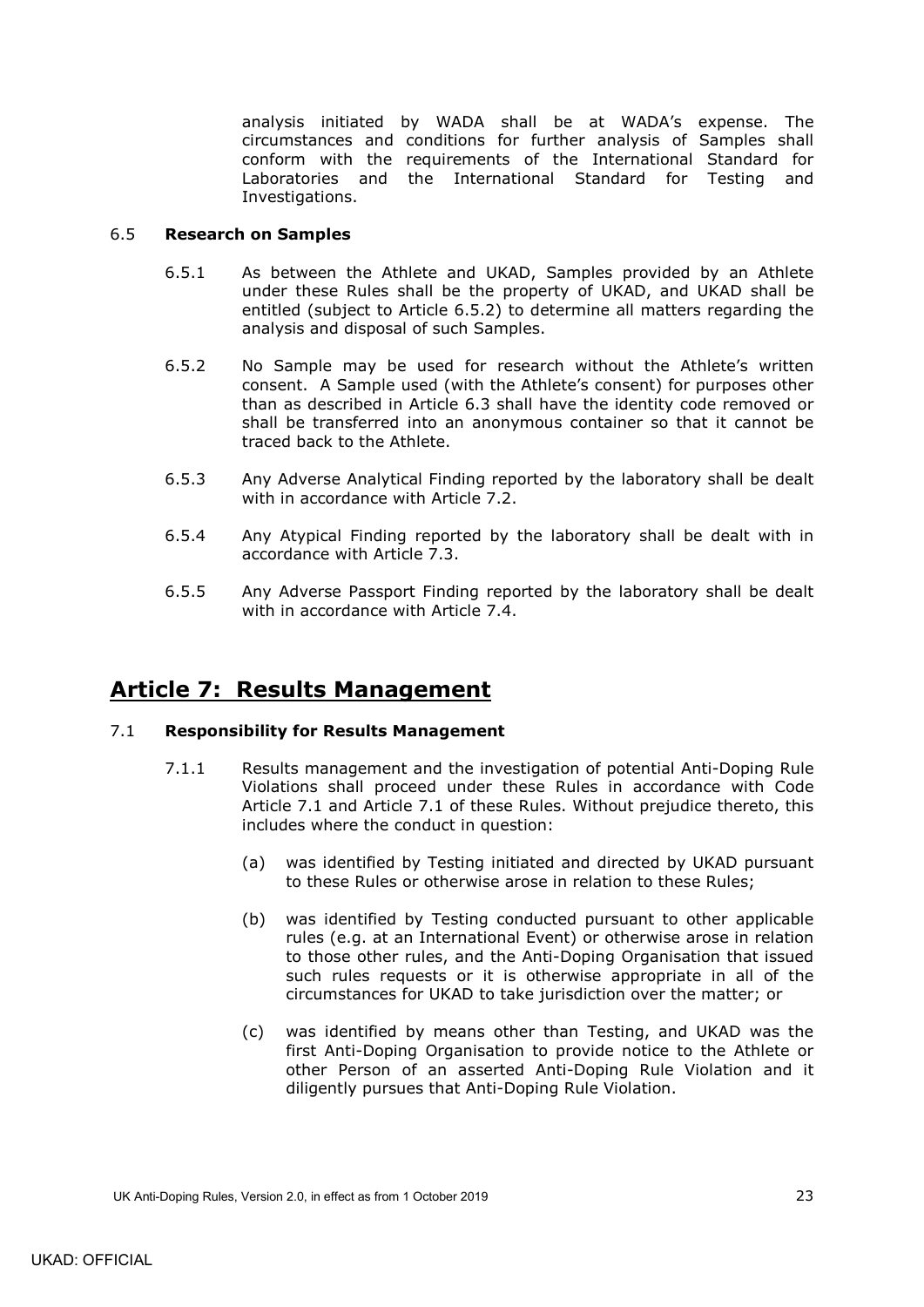analysis initiated by WADA shall be at WADA's expense. The circumstances and conditions for further analysis of Samples shall conform with the requirements of the International Standard for Laboratories and the International Standard for Testing and Investigations.

## <span id="page-26-0"></span>6.5 **Research on Samples**

- 6.5.1 As between the Athlete and UKAD, Samples provided by an Athlete under these Rules shall be the property of UKAD, and UKAD shall be entitled (subject to Article [6.5.2\)](#page-26-3) to determine all matters regarding the analysis and disposal of such Samples.
- <span id="page-26-3"></span>6.5.2 No Sample may be used for research without the Athlete's written consent. A Sample used (with the Athlete's consent) for purposes other than as described in Article [6.3](#page-25-3) shall have the identity code removed or shall be transferred into an anonymous container so that it cannot be traced back to the Athlete.
- 6.5.3 Any Adverse Analytical Finding reported by the laboratory shall be dealt with in accordance with Article [7.2.](#page-28-0)
- 6.5.4 Any Atypical Finding reported by the laboratory shall be dealt with in accordance with Article [7.3.](#page-29-0)
- 6.5.5 Any Adverse Passport Finding reported by the laboratory shall be dealt with in accordance with Article [7.4.](#page-30-0)

# <span id="page-26-1"></span>**Article 7: Results Management**

### <span id="page-26-2"></span>7.1 **Responsibility for Results Management**

- 7.1.1 Results management and the investigation of potential Anti-Doping Rule Violations shall proceed under these Rules in accordance with Code Article 7.1 and Article [7.1](#page-26-2) of these Rules. Without prejudice thereto, this includes where the conduct in question:
	- (a) was identified by Testing initiated and directed by UKAD pursuant to these Rules or otherwise arose in relation to these Rules;
	- (b) was identified by Testing conducted pursuant to other applicable rules (e.g. at an International Event) or otherwise arose in relation to those other rules, and the Anti-Doping Organisation that issued such rules requests or it is otherwise appropriate in all of the circumstances for UKAD to take jurisdiction over the matter; or
	- (c) was identified by means other than Testing, and UKAD was the first Anti-Doping Organisation to provide notice to the Athlete or other Person of an asserted Anti-Doping Rule Violation and it diligently pursues that Anti-Doping Rule Violation.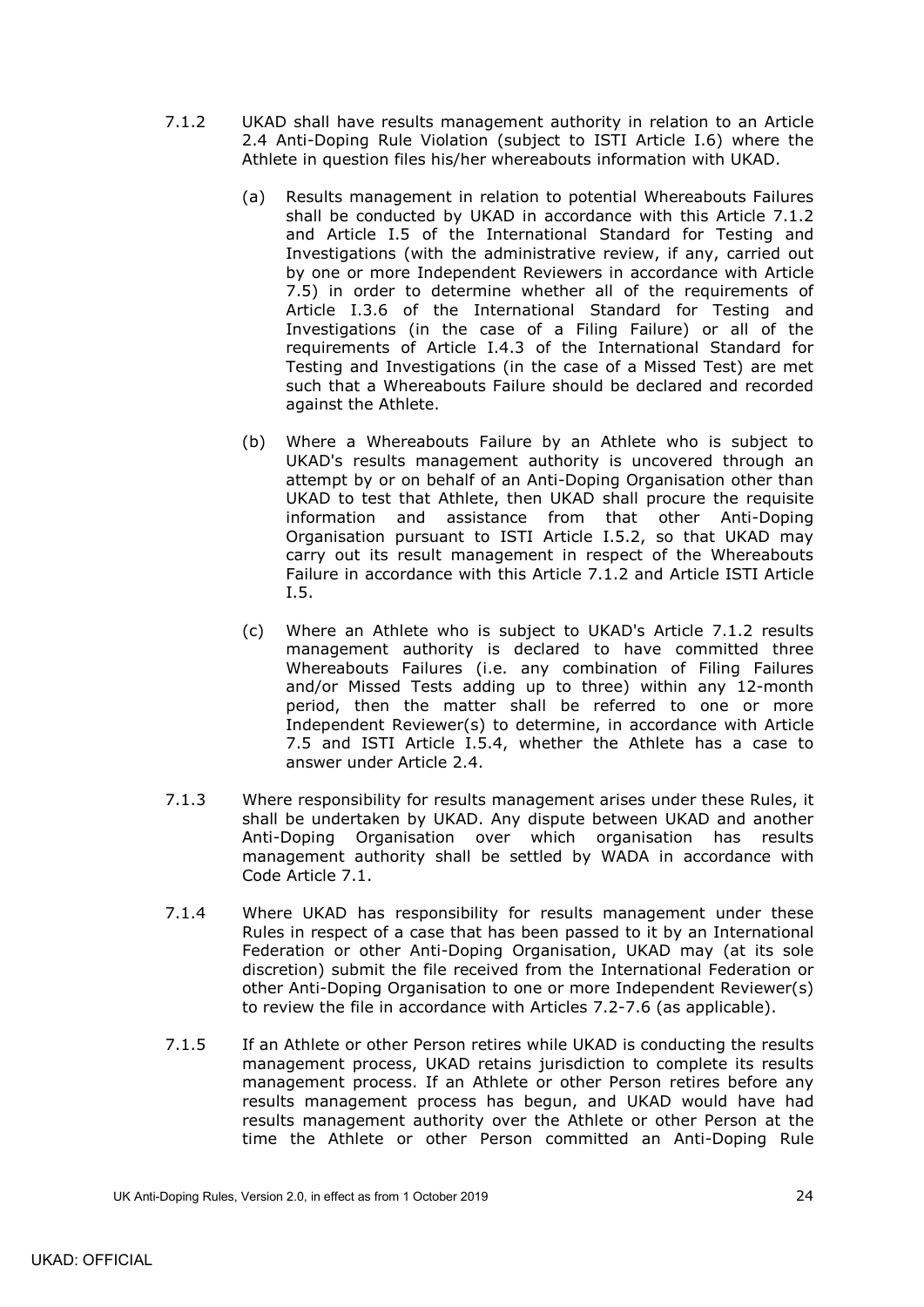- <span id="page-27-1"></span><span id="page-27-0"></span>7.1.2 UKAD shall have results management authority in relation to an Article [2.4](#page-11-2) Anti-Doping Rule Violation (subject to ISTI Article I.6) where the Athlete in question files his/her whereabouts information with UKAD.
	- (a) Results management in relation to potential Whereabouts Failures shall be conducted by UKAD in accordance with this Article [7.1.2](#page-27-0) and Article I.5 of the International Standard for Testing and Investigations (with the administrative review, if any, carried out by one or more Independent Reviewers in accordance with Article [7.5\)](#page-30-1) in order to determine whether all of the requirements of Article I.3.6 of the International Standard for Testing and Investigations (in the case of a Filing Failure) or all of the requirements of Article I.4.3 of the International Standard for Testing and Investigations (in the case of a Missed Test) are met such that a Whereabouts Failure should be declared and recorded against the Athlete.
	- (b) Where a Whereabouts Failure by an Athlete who is subject to UKAD's results management authority is uncovered through an attempt by or on behalf of an Anti-Doping Organisation other than UKAD to test that Athlete, then UKAD shall procure the requisite information and assistance from that other Anti-Doping Organisation pursuant to ISTI Article I.5.2, so that UKAD may carry out its result management in respect of the Whereabouts Failure in accordance with this Article [7.1.2](#page-27-0) and Article ISTI Article I.5.
	- (c) Where an Athlete who is subject to UKAD's Article [7.1.2](#page-27-1) results management authority is declared to have committed three Whereabouts Failures (i.e. any combination of Filing Failures and/or Missed Tests adding up to three) within any 12-month period, then the matter shall be referred to one or more Independent Reviewer(s) to determine, in accordance with Article [7.5](#page-30-1) and ISTI Article I.5.4, whether the Athlete has a case to answer under Article 2.4.
- <span id="page-27-2"></span>7.1.3 Where responsibility for results management arises under these Rules, it shall be undertaken by UKAD. Any dispute between UKAD and another Anti-Doping Organisation over which organisation has results management authority shall be settled by WADA in accordance with Code Article 7.1.
- 7.1.4 Where UKAD has responsibility for results management under these Rules in respect of a case that has been passed to it by an International Federation or other Anti-Doping Organisation, UKAD may (at its sole discretion) submit the file received from the International Federation or other Anti-Doping Organisation to one or more Independent Reviewer(s) to review the file in accordance with Articles [7.2-](#page-28-0)[7.6](#page-31-0) (as applicable).
- 7.1.5 If an Athlete or other Person retires while UKAD is conducting the results management process, UKAD retains jurisdiction to complete its results management process. If an Athlete or other Person retires before any results management process has begun, and UKAD would have had results management authority over the Athlete or other Person at the time the Athlete or other Person committed an Anti-Doping Rule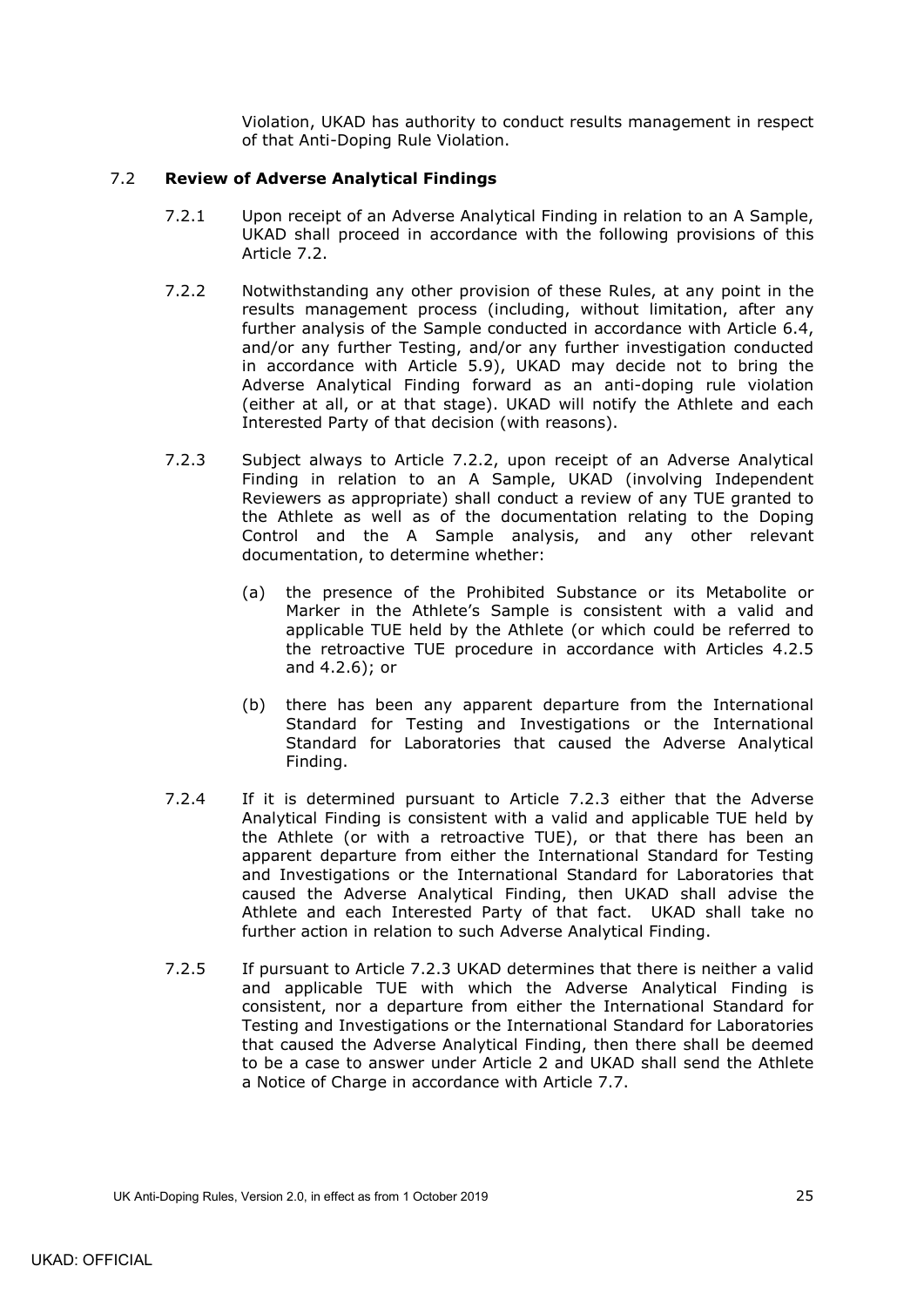Violation, UKAD has authority to conduct results management in respect of that Anti-Doping Rule Violation.

## <span id="page-28-0"></span>7.2 **Review of Adverse Analytical Findings**

- 7.2.1 Upon receipt of an Adverse Analytical Finding in relation to an A Sample, UKAD shall proceed in accordance with the following provisions of this Article 7.2.
- 7.2.2 Notwithstanding any other provision of these Rules, at any point in the results management process (including, without limitation, after any further analysis of the Sample conducted in accordance with Article 6.4, and/or any further Testing, and/or any further investigation conducted in accordance with Article 5.9), UKAD may decide not to bring the Adverse Analytical Finding forward as an anti-doping rule violation (either at all, or at that stage). UKAD will notify the Athlete and each Interested Party of that decision (with reasons).
- 7.2.3 Subject always to Article 7.2.2, upon receipt of an Adverse Analytical Finding in relation to an A Sample, UKAD (involving Independent Reviewers as appropriate) shall conduct a review of any TUE granted to the Athlete as well as of the documentation relating to the Doping Control and the A Sample analysis, and any other relevant documentation, to determine whether:
	- (a) the presence of the Prohibited Substance or its Metabolite or Marker in the Athlete's Sample is consistent with a valid and applicable TUE held by the Athlete (or which could be referred to the retroactive TUE procedure in accordance with Articles [4.2.5](#page-16-1) and [4.2.6\)](#page-17-1); or
	- (b) there has been any apparent departure from the International Standard for Testing and Investigations or the International Standard for Laboratories that caused the Adverse Analytical Finding.
- 7.2.4 If it is determined pursuant to Article 7.2.3 either that the Adverse Analytical Finding is consistent with a valid and applicable TUE held by the Athlete (or with a retroactive TUE), or that there has been an apparent departure from either the International Standard for Testing and Investigations or the International Standard for Laboratories that caused the Adverse Analytical Finding, then UKAD shall advise the Athlete and each Interested Party of that fact. UKAD shall take no further action in relation to such Adverse Analytical Finding.
- 7.2.5 If pursuant to Article 7.2.3 UKAD determines that there is neither a valid and applicable TUE with which the Adverse Analytical Finding is consistent, nor a departure from either the International Standard for Testing and Investigations or the International Standard for Laboratories that caused the Adverse Analytical Finding, then there shall be deemed to be a case to answer under Article 2 and UKAD shall send the Athlete a Notice of Charge in accordance with Article [7.7.](#page-31-1)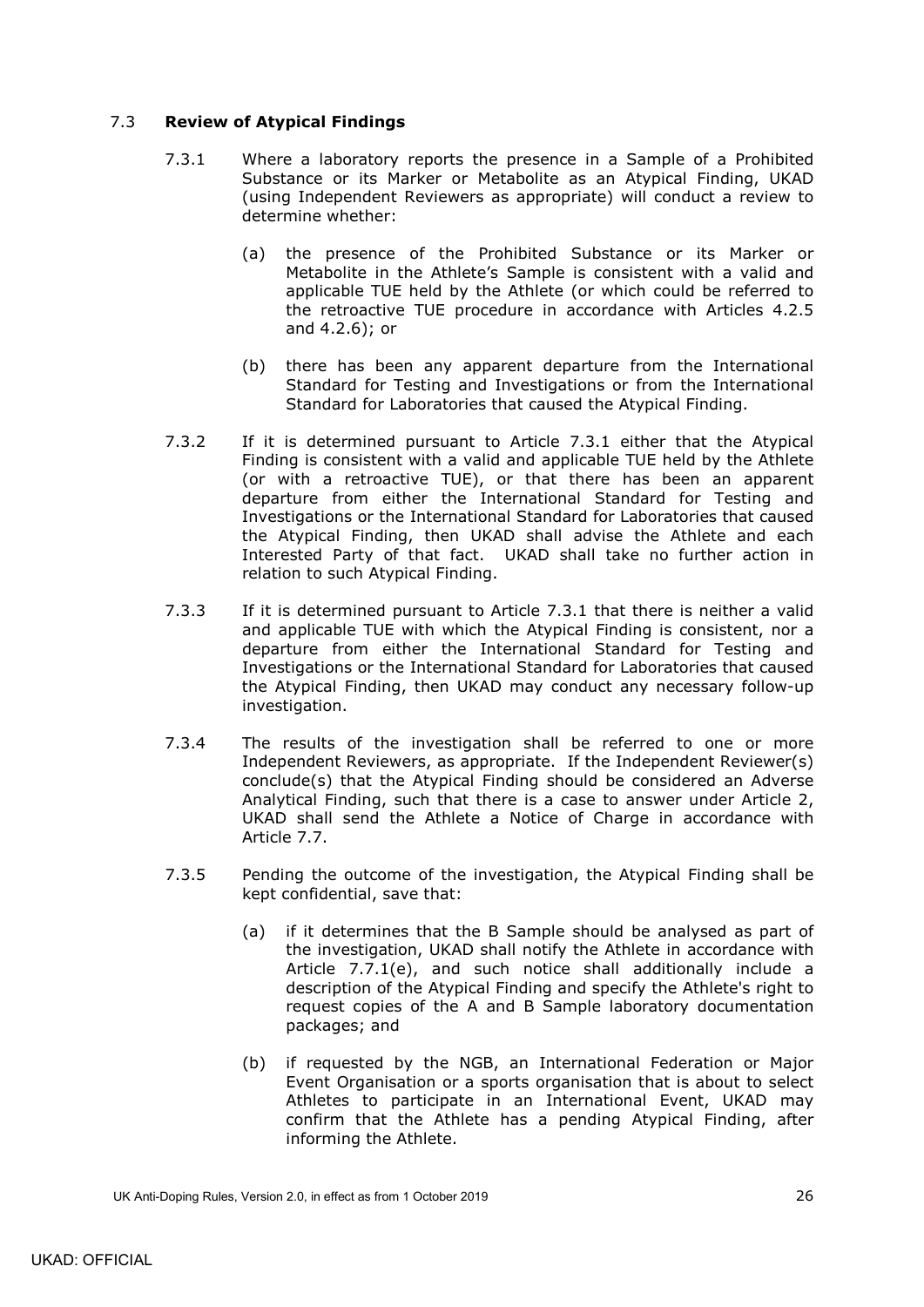## <span id="page-29-1"></span><span id="page-29-0"></span>7.3 **Review of Atypical Findings**

- 7.3.1 Where a laboratory reports the presence in a Sample of a Prohibited Substance or its Marker or Metabolite as an Atypical Finding, UKAD (using Independent Reviewers as appropriate) will conduct a review to determine whether:
	- (a) the presence of the Prohibited Substance or its Marker or Metabolite in the Athlete's Sample is consistent with a valid and applicable TUE held by the Athlete (or which could be referred to the retroactive TUE procedure in accordance with Articles [4.2.5](#page-16-1) and [4.2.6\)](#page-17-1); or
	- (b) there has been any apparent departure from the International Standard for Testing and Investigations or from the International Standard for Laboratories that caused the Atypical Finding.
- 7.3.2 If it is determined pursuant to Article [7.3.1](#page-29-1) either that the Atypical Finding is consistent with a valid and applicable TUE held by the Athlete (or with a retroactive TUE), or that there has been an apparent departure from either the International Standard for Testing and Investigations or the International Standard for Laboratories that caused the Atypical Finding, then UKAD shall advise the Athlete and each Interested Party of that fact. UKAD shall take no further action in relation to such Atypical Finding.
- 7.3.3 If it is determined pursuant to Article [7.3.1](#page-29-1) that there is neither a valid and applicable TUE with which the Atypical Finding is consistent, nor a departure from either the International Standard for Testing and Investigations or the International Standard for Laboratories that caused the Atypical Finding, then UKAD may conduct any necessary follow-up investigation.
- 7.3.4 The results of the investigation shall be referred to one or more Independent Reviewers, as appropriate. If the Independent Reviewer(s) conclude(s) that the Atypical Finding should be considered an Adverse Analytical Finding, such that there is a case to answer under Article 2, UKAD shall send the Athlete a Notice of Charge in accordance with Article [7.7.](#page-31-1)
- 7.3.5 Pending the outcome of the investigation, the Atypical Finding shall be kept confidential, save that:
	- (a) if it determines that the B Sample should be analysed as part of the investigation, UKAD shall notify the Athlete in accordance with Article [7.7.1\(e\),](#page-32-0) and such notice shall additionally include a description of the Atypical Finding and specify the Athlete's right to request copies of the A and B Sample laboratory documentation packages; and
	- (b) if requested by the NGB, an International Federation or Major Event Organisation or a sports organisation that is about to select Athletes to participate in an International Event, UKAD may confirm that the Athlete has a pending Atypical Finding, after informing the Athlete.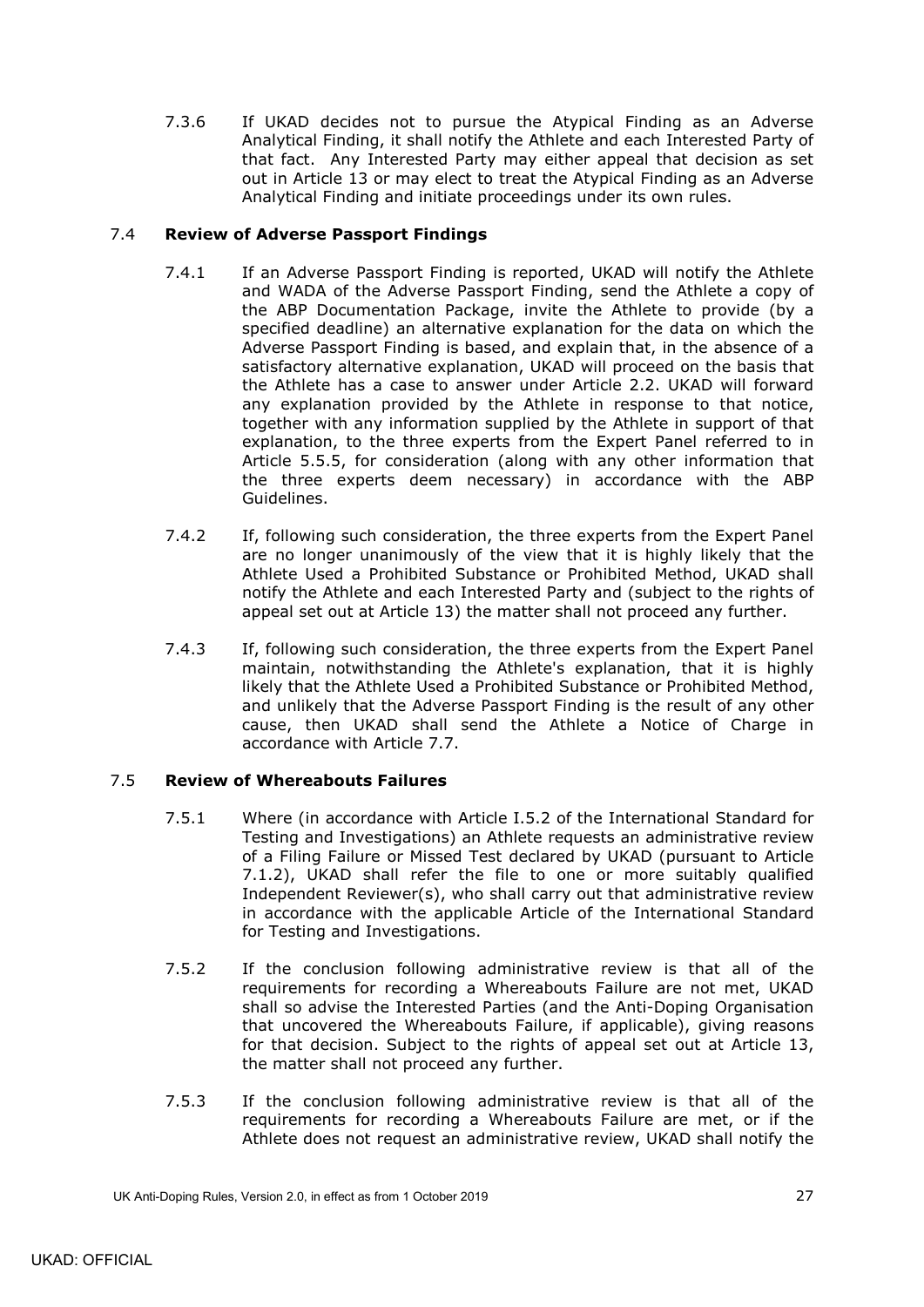7.3.6 If UKAD decides not to pursue the Atypical Finding as an Adverse Analytical Finding, it shall notify the Athlete and each Interested Party of that fact. Any Interested Party may either appeal that decision as set out in Article 13 or may elect to treat the Atypical Finding as an Adverse Analytical Finding and initiate proceedings under its own rules.

## <span id="page-30-0"></span>7.4 **Review of Adverse Passport Findings**

- 7.4.1 If an Adverse Passport Finding is reported, UKAD will notify the Athlete and WADA of the Adverse Passport Finding, send the Athlete a copy of the ABP Documentation Package, invite the Athlete to provide (by a specified deadline) an alternative explanation for the data on which the Adverse Passport Finding is based, and explain that, in the absence of a satisfactory alternative explanation, UKAD will proceed on the basis that the Athlete has a case to answer under Article [2.2.](#page-11-0) UKAD will forward any explanation provided by the Athlete in response to that notice, together with any information supplied by the Athlete in support of that explanation, to the three experts from the Expert Panel referred to in Article [5.5.5,](#page-22-2) for consideration (along with any other information that the three experts deem necessary) in accordance with the ABP Guidelines.
- 7.4.2 If, following such consideration, the three experts from the Expert Panel are no longer unanimously of the view that it is highly likely that the Athlete Used a Prohibited Substance or Prohibited Method, UKAD shall notify the Athlete and each Interested Party and (subject to the rights of appeal set out at Article 13) the matter shall not proceed any further.
- 7.4.3 If, following such consideration, the three experts from the Expert Panel maintain, notwithstanding the Athlete's explanation, that it is highly likely that the Athlete Used a Prohibited Substance or Prohibited Method, and unlikely that the Adverse Passport Finding is the result of any other cause, then UKAD shall send the Athlete a Notice of Charge in accordance with Article [7.7.](#page-31-1)

## <span id="page-30-1"></span>7.5 **Review of Whereabouts Failures**

- 7.5.1 Where (in accordance with Article I.5.2 of the International Standard for Testing and Investigations) an Athlete requests an administrative review of a Filing Failure or Missed Test declared by UKAD (pursuant to Article [7.1.2\)](#page-27-0), UKAD shall refer the file to one or more suitably qualified Independent Reviewer(s), who shall carry out that administrative review in accordance with the applicable Article of the International Standard for Testing and Investigations.
- 7.5.2 If the conclusion following administrative review is that all of the requirements for recording a Whereabouts Failure are not met, UKAD shall so advise the Interested Parties (and the Anti-Doping Organisation that uncovered the Whereabouts Failure, if applicable), giving reasons for that decision. Subject to the rights of appeal set out at Article 13, the matter shall not proceed any further.
- 7.5.3 If the conclusion following administrative review is that all of the requirements for recording a Whereabouts Failure are met, or if the Athlete does not request an administrative review, UKAD shall notify the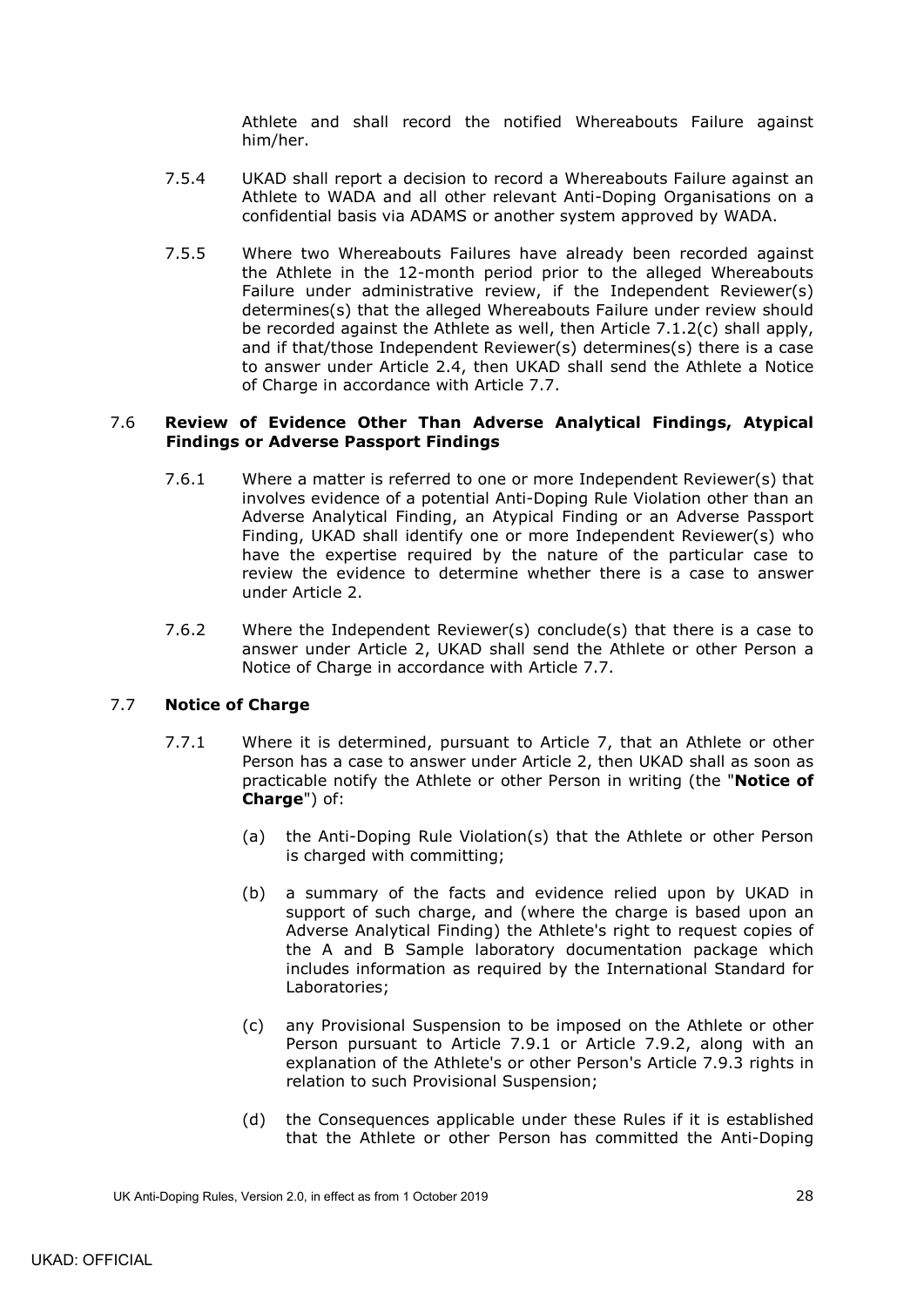Athlete and shall record the notified Whereabouts Failure against him/her.

- 7.5.4 UKAD shall report a decision to record a Whereabouts Failure against an Athlete to WADA and all other relevant Anti-Doping Organisations on a confidential basis via ADAMS or another system approved by WADA.
- 7.5.5 Where two Whereabouts Failures have already been recorded against the Athlete in the 12-month period prior to the alleged Whereabouts Failure under administrative review, if the Independent Reviewer(s) determines(s) that the alleged Whereabouts Failure under review should be recorded against the Athlete as well, then Article [7.1.2\(c\)](#page-27-2) shall apply, and if that/those Independent Reviewer(s) determines(s) there is a case to answer under Article [2.4,](#page-11-2) then UKAD shall send the Athlete a Notice of Charge in accordance with Article [7.7.](#page-31-1)

## <span id="page-31-0"></span>7.6 **Review of Evidence Other Than Adverse Analytical Findings, Atypical Findings or Adverse Passport Findings**

- 7.6.1 Where a matter is referred to one or more Independent Reviewer(s) that involves evidence of a potential Anti-Doping Rule Violation other than an Adverse Analytical Finding, an Atypical Finding or an Adverse Passport Finding, UKAD shall identify one or more Independent Reviewer(s) who have the expertise required by the nature of the particular case to review the evidence to determine whether there is a case to answer under Article 2.
- 7.6.2 Where the Independent Reviewer(s) conclude(s) that there is a case to answer under Article 2, UKAD shall send the Athlete or other Person a Notice of Charge in accordance with Article [7.7.](#page-31-1)

## <span id="page-31-2"></span><span id="page-31-1"></span>7.7 **Notice of Charge**

- 7.7.1 Where it is determined, pursuant to Article 7, that an Athlete or other Person has a case to answer under Article 2, then UKAD shall as soon as practicable notify the Athlete or other Person in writing (the "**Notice of Charge**") of:
	- (a) the Anti-Doping Rule Violation(s) that the Athlete or other Person is charged with committing;
	- (b) a summary of the facts and evidence relied upon by UKAD in support of such charge, and (where the charge is based upon an Adverse Analytical Finding) the Athlete's right to request copies of the A and B Sample laboratory documentation package which includes information as required by the International Standard for Laboratories;
	- (c) any Provisional Suspension to be imposed on the Athlete or other Person pursuant to Article [7.9.1](#page-34-2) or Article [7.9.2,](#page-34-3) along with an explanation of the Athlete's or other Person's Article [7.9.3](#page-34-4) rights in relation to such Provisional Suspension;
	- (d) the Consequences applicable under these Rules if it is established that the Athlete or other Person has committed the Anti-Doping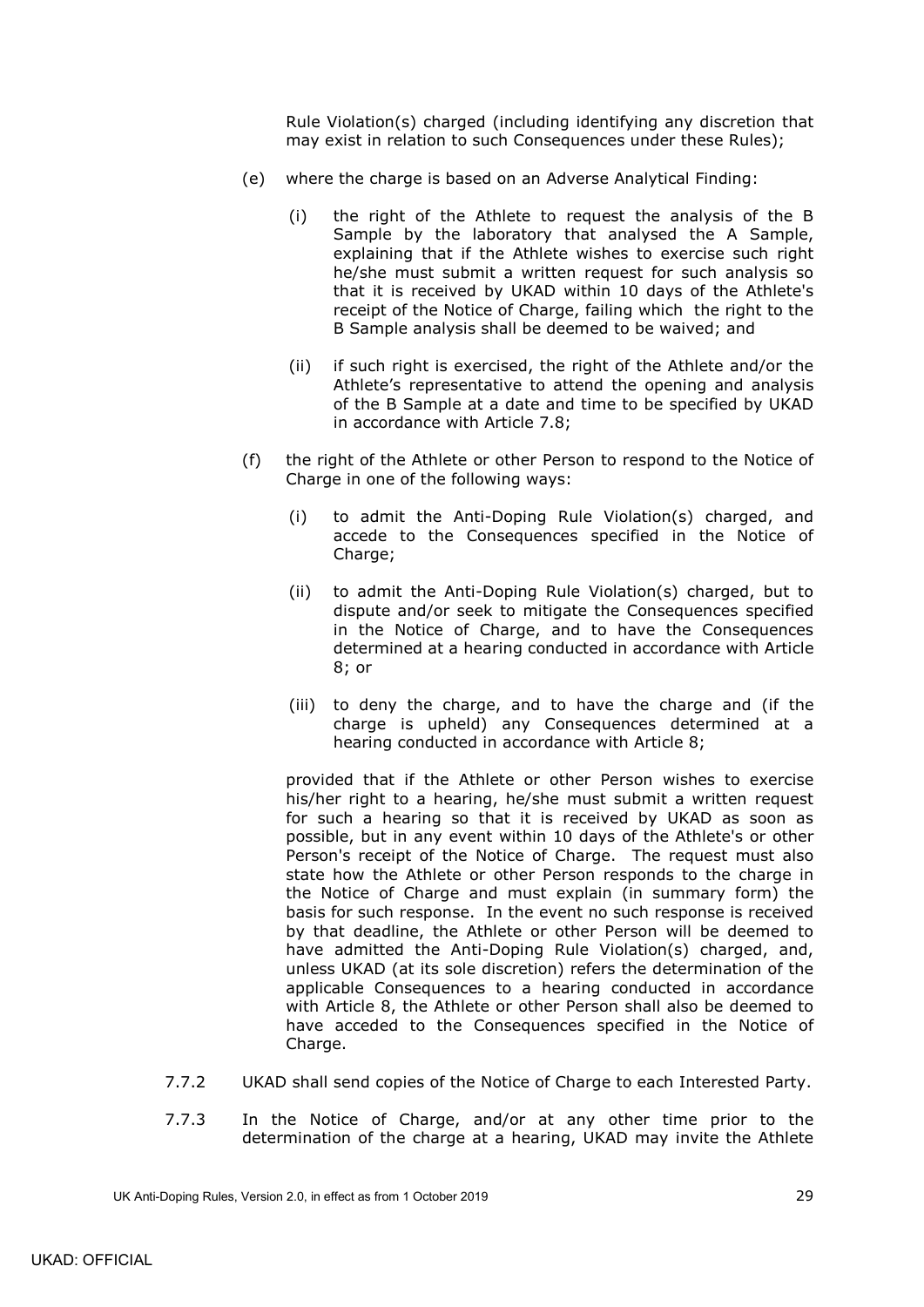Rule Violation(s) charged (including identifying any discretion that may exist in relation to such Consequences under these Rules);

- <span id="page-32-1"></span><span id="page-32-0"></span>(e) where the charge is based on an Adverse Analytical Finding:
	- (i) the right of the Athlete to request the analysis of the B Sample by the laboratory that analysed the A Sample, explaining that if the Athlete wishes to exercise such right he/she must submit a written request for such analysis so that it is received by UKAD within 10 days of the Athlete's receipt of the Notice of Charge, failing which the right to the B Sample analysis shall be deemed to be waived; and
	- (ii) if such right is exercised, the right of the Athlete and/or the Athlete's representative to attend the opening and analysis of the B Sample at a date and time to be specified by UKAD in accordance with Article [7.8;](#page-33-0)
- (f) the right of the Athlete or other Person to respond to the Notice of Charge in one of the following ways:
	- (i) to admit the Anti-Doping Rule Violation(s) charged, and accede to the Consequences specified in the Notice of Charge:
	- (ii) to admit the Anti-Doping Rule Violation(s) charged, but to dispute and/or seek to mitigate the Consequences specified in the Notice of Charge, and to have the Consequences determined at a hearing conducted in accordance with Article 8; or
	- (iii) to deny the charge, and to have the charge and (if the charge is upheld) any Consequences determined at a hearing conducted in accordance with Article 8;

provided that if the Athlete or other Person wishes to exercise his/her right to a hearing, he/she must submit a written request for such a hearing so that it is received by UKAD as soon as possible, but in any event within 10 days of the Athlete's or other Person's receipt of the Notice of Charge. The request must also state how the Athlete or other Person responds to the charge in the Notice of Charge and must explain (in summary form) the basis for such response. In the event no such response is received by that deadline, the Athlete or other Person will be deemed to have admitted the Anti-Doping Rule Violation(s) charged, and, unless UKAD (at its sole discretion) refers the determination of the applicable Consequences to a hearing conducted in accordance with Article 8, the Athlete or other Person shall also be deemed to have acceded to the Consequences specified in the Notice of Charge.

- 7.7.2 UKAD shall send copies of the Notice of Charge to each Interested Party.
- 7.7.3 In the Notice of Charge, and/or at any other time prior to the determination of the charge at a hearing, UKAD may invite the Athlete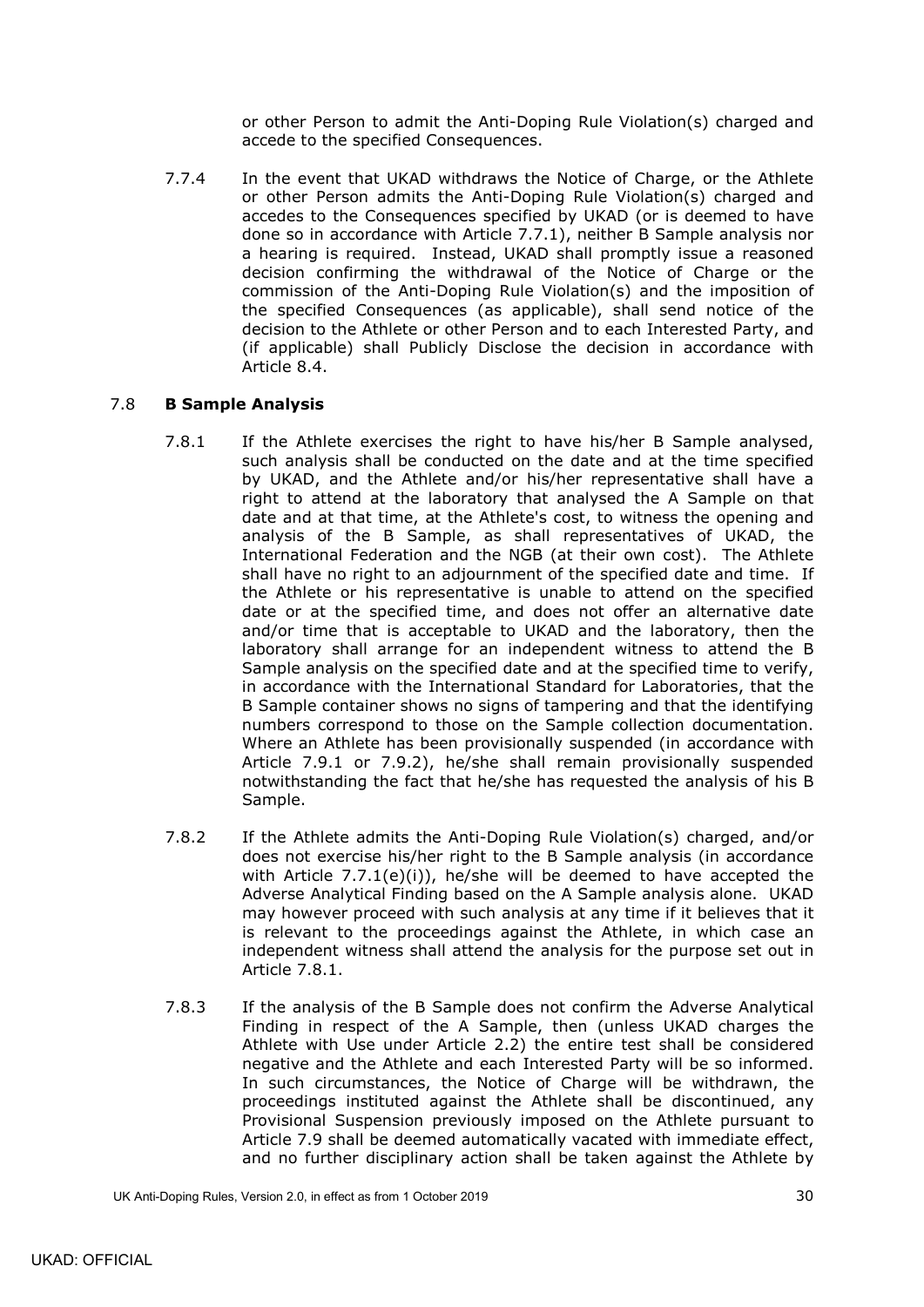or other Person to admit the Anti-Doping Rule Violation(s) charged and accede to the specified Consequences.

7.7.4 In the event that UKAD withdraws the Notice of Charge, or the Athlete or other Person admits the Anti-Doping Rule Violation(s) charged and accedes to the Consequences specified by UKAD (or is deemed to have done so in accordance with Article [7.7.1\)](#page-31-2), neither B Sample analysis nor a hearing is required. Instead, UKAD shall promptly issue a reasoned decision confirming the withdrawal of the Notice of Charge or the commission of the Anti-Doping Rule Violation(s) and the imposition of the specified Consequences (as applicable), shall send notice of the decision to the Athlete or other Person and to each Interested Party, and (if applicable) shall Publicly Disclose the decision in accordance with Article [8.4.](#page-38-0)

## <span id="page-33-1"></span><span id="page-33-0"></span>7.8 **B Sample Analysis**

- 7.8.1 If the Athlete exercises the right to have his/her B Sample analysed, such analysis shall be conducted on the date and at the time specified by UKAD, and the Athlete and/or his/her representative shall have a right to attend at the laboratory that analysed the A Sample on that date and at that time, at the Athlete's cost, to witness the opening and analysis of the B Sample, as shall representatives of UKAD, the International Federation and the NGB (at their own cost). The Athlete shall have no right to an adjournment of the specified date and time. If the Athlete or his representative is unable to attend on the specified date or at the specified time, and does not offer an alternative date and/or time that is acceptable to UKAD and the laboratory, then the laboratory shall arrange for an independent witness to attend the B Sample analysis on the specified date and at the specified time to verify, in accordance with the International Standard for Laboratories, that the B Sample container shows no signs of tampering and that the identifying numbers correspond to those on the Sample collection documentation. Where an Athlete has been provisionally suspended (in accordance with Article [7.9.1](#page-34-2) or [7.9.2\)](#page-34-3), he/she shall remain provisionally suspended notwithstanding the fact that he/she has requested the analysis of his B Sample.
- <span id="page-33-2"></span>7.8.2 If the Athlete admits the Anti-Doping Rule Violation(s) charged, and/or does not exercise his/her right to the B Sample analysis (in accordance with Article  $7.7.1(e)(i)$  $7.7.1(e)(i)$ , he/she will be deemed to have accepted the Adverse Analytical Finding based on the A Sample analysis alone. UKAD may however proceed with such analysis at any time if it believes that it is relevant to the proceedings against the Athlete, in which case an independent witness shall attend the analysis for the purpose set out in Article [7.8.1.](#page-33-1)
- <span id="page-33-3"></span>7.8.3 If the analysis of the B Sample does not confirm the Adverse Analytical Finding in respect of the A Sample, then (unless UKAD charges the Athlete with Use under Article [2.2\)](#page-11-0) the entire test shall be considered negative and the Athlete and each Interested Party will be so informed. In such circumstances, the Notice of Charge will be withdrawn, the proceedings instituted against the Athlete shall be discontinued, any Provisional Suspension previously imposed on the Athlete pursuant to Article [7.9](#page-34-0) shall be deemed automatically vacated with immediate effect, and no further disciplinary action shall be taken against the Athlete by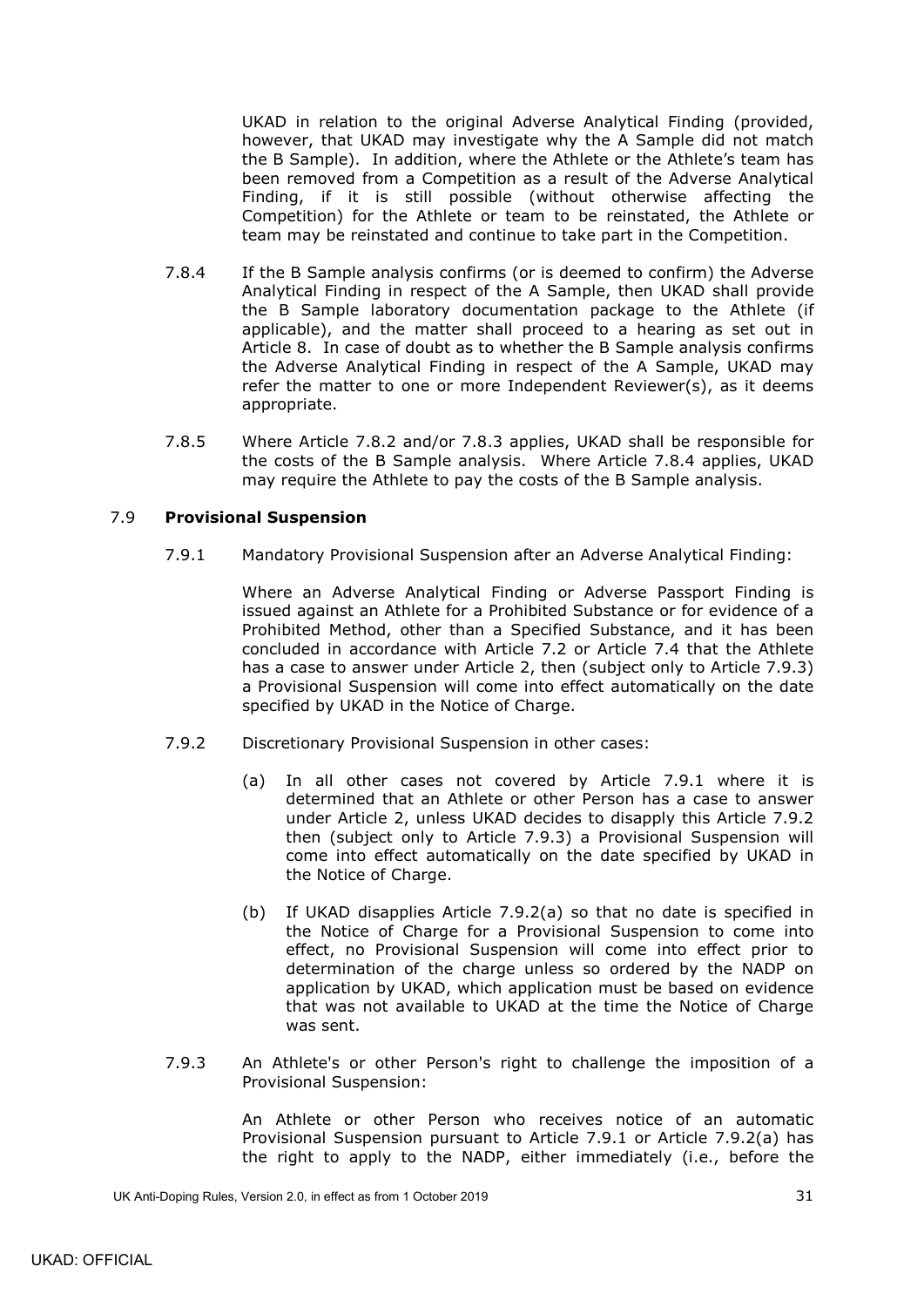UKAD in relation to the original Adverse Analytical Finding (provided, however, that UKAD may investigate why the A Sample did not match the B Sample). In addition, where the Athlete or the Athlete's team has been removed from a Competition as a result of the Adverse Analytical Finding, if it is still possible (without otherwise affecting the Competition) for the Athlete or team to be reinstated, the Athlete or team may be reinstated and continue to take part in the Competition.

- <span id="page-34-5"></span>7.8.4 If the B Sample analysis confirms (or is deemed to confirm) the Adverse Analytical Finding in respect of the A Sample, then UKAD shall provide the B Sample laboratory documentation package to the Athlete (if applicable), and the matter shall proceed to a hearing as set out in Article 8. In case of doubt as to whether the B Sample analysis confirms the Adverse Analytical Finding in respect of the A Sample, UKAD may refer the matter to one or more Independent Reviewer(s), as it deems appropriate.
- <span id="page-34-1"></span>7.8.5 Where Article [7.8.2](#page-33-2) and/or [7.8.3](#page-33-3) applies, UKAD shall be responsible for the costs of the B Sample analysis. Where Article [7.8.4](#page-34-5) applies, UKAD may require the Athlete to pay the costs of the B Sample analysis.

### <span id="page-34-2"></span><span id="page-34-0"></span>7.9 **Provisional Suspension**

7.9.1 Mandatory Provisional Suspension after an Adverse Analytical Finding:

Where an Adverse Analytical Finding or Adverse Passport Finding is issued against an Athlete for a Prohibited Substance or for evidence of a Prohibited Method, other than a Specified Substance, and it has been concluded in accordance with Article [7.2](#page-28-0) or Article [7.4](#page-30-0) that the Athlete has a case to answer under Article 2, then (subject only to Article [7.9.3\)](#page-34-4) a Provisional Suspension will come into effect automatically on the date specified by UKAD in the Notice of Charge.

- <span id="page-34-6"></span><span id="page-34-3"></span>7.9.2 Discretionary Provisional Suspension in other cases:
	- (a) In all other cases not covered by Article [7.9.1](#page-34-2) where it is determined that an Athlete or other Person has a case to answer under Article 2, unless UKAD decides to disapply this Article [7.9.2](#page-34-3) then (subject only to Article [7.9.3\)](#page-34-4) a Provisional Suspension will come into effect automatically on the date specified by UKAD in the Notice of Charge.
	- (b) If UKAD disapplies Article [7.9.2\(a\)](#page-34-6) so that no date is specified in the Notice of Charge for a Provisional Suspension to come into effect, no Provisional Suspension will come into effect prior to determination of the charge unless so ordered by the NADP on application by UKAD, which application must be based on evidence that was not available to UKAD at the time the Notice of Charge was sent.
- <span id="page-34-4"></span>7.9.3 An Athlete's or other Person's right to challenge the imposition of a Provisional Suspension:

An Athlete or other Person who receives notice of an automatic Provisional Suspension pursuant to Article [7.9.1](#page-34-2) or Article [7.9.2\(a\)](#page-34-6) has the right to apply to the NADP, either immediately (i.e., before the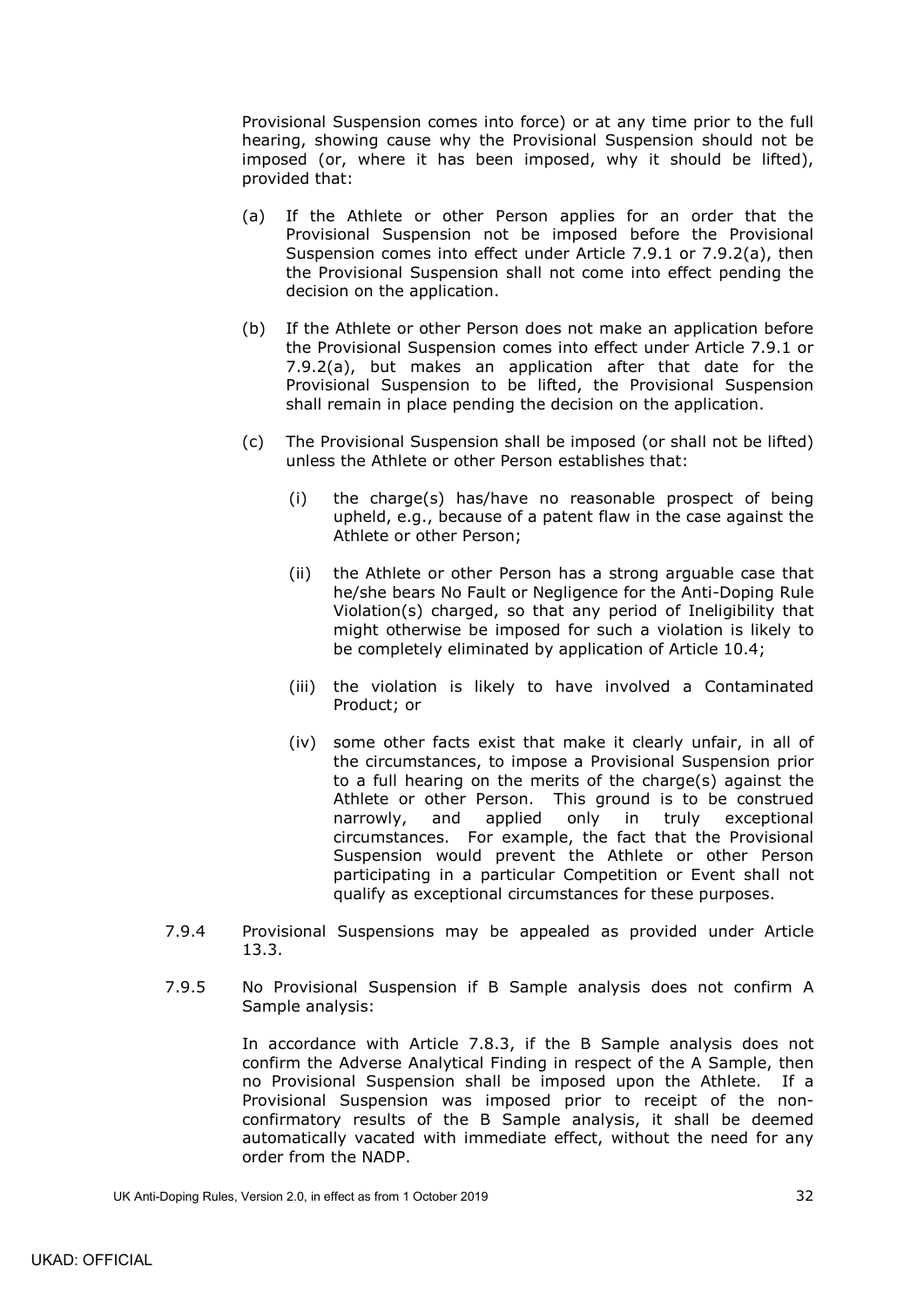Provisional Suspension comes into force) or at any time prior to the full hearing, showing cause why the Provisional Suspension should not be imposed (or, where it has been imposed, why it should be lifted), provided that:

- (a) If the Athlete or other Person applies for an order that the Provisional Suspension not be imposed before the Provisional Suspension comes into effect under Article [7.9.1](#page-34-2) or [7.9.2\(a\),](#page-34-6) then the Provisional Suspension shall not come into effect pending the decision on the application.
- (b) If the Athlete or other Person does not make an application before the Provisional Suspension comes into effect under Article [7.9.1](#page-34-2) or [7.9.2\(a\),](#page-34-6) but makes an application after that date for the Provisional Suspension to be lifted, the Provisional Suspension shall remain in place pending the decision on the application.
- (c) The Provisional Suspension shall be imposed (or shall not be lifted) unless the Athlete or other Person establishes that:
	- (i) the charge(s) has/have no reasonable prospect of being upheld, e.g., because of a patent flaw in the case against the Athlete or other Person;
	- (ii) the Athlete or other Person has a strong arguable case that he/she bears No Fault or Negligence for the Anti-Doping Rule Violation(s) charged, so that any period of Ineligibility that might otherwise be imposed for such a violation is likely to be completely eliminated by application of Article [10.4;](#page-41-1)
	- (iii) the violation is likely to have involved a Contaminated Product; or
	- (iv) some other facts exist that make it clearly unfair, in all of the circumstances, to impose a Provisional Suspension prior to a full hearing on the merits of the charge(s) against the Athlete or other Person. This ground is to be construed narrowly, and applied only in truly exceptional narrowly, and applied only in truly exceptional circumstances. For example, the fact that the Provisional Suspension would prevent the Athlete or other Person participating in a particular Competition or Event shall not qualify as exceptional circumstances for these purposes.
- 7.9.4 Provisional Suspensions may be appealed as provided under Article [13.3.](#page-50-0)
- 7.9.5 No Provisional Suspension if B Sample analysis does not confirm A Sample analysis:

In accordance with Article [7.8.3,](#page-33-3) if the B Sample analysis does not confirm the Adverse Analytical Finding in respect of the A Sample, then no Provisional Suspension shall be imposed upon the Athlete. If a Provisional Suspension was imposed prior to receipt of the nonconfirmatory results of the B Sample analysis, it shall be deemed automatically vacated with immediate effect, without the need for any order from the NADP.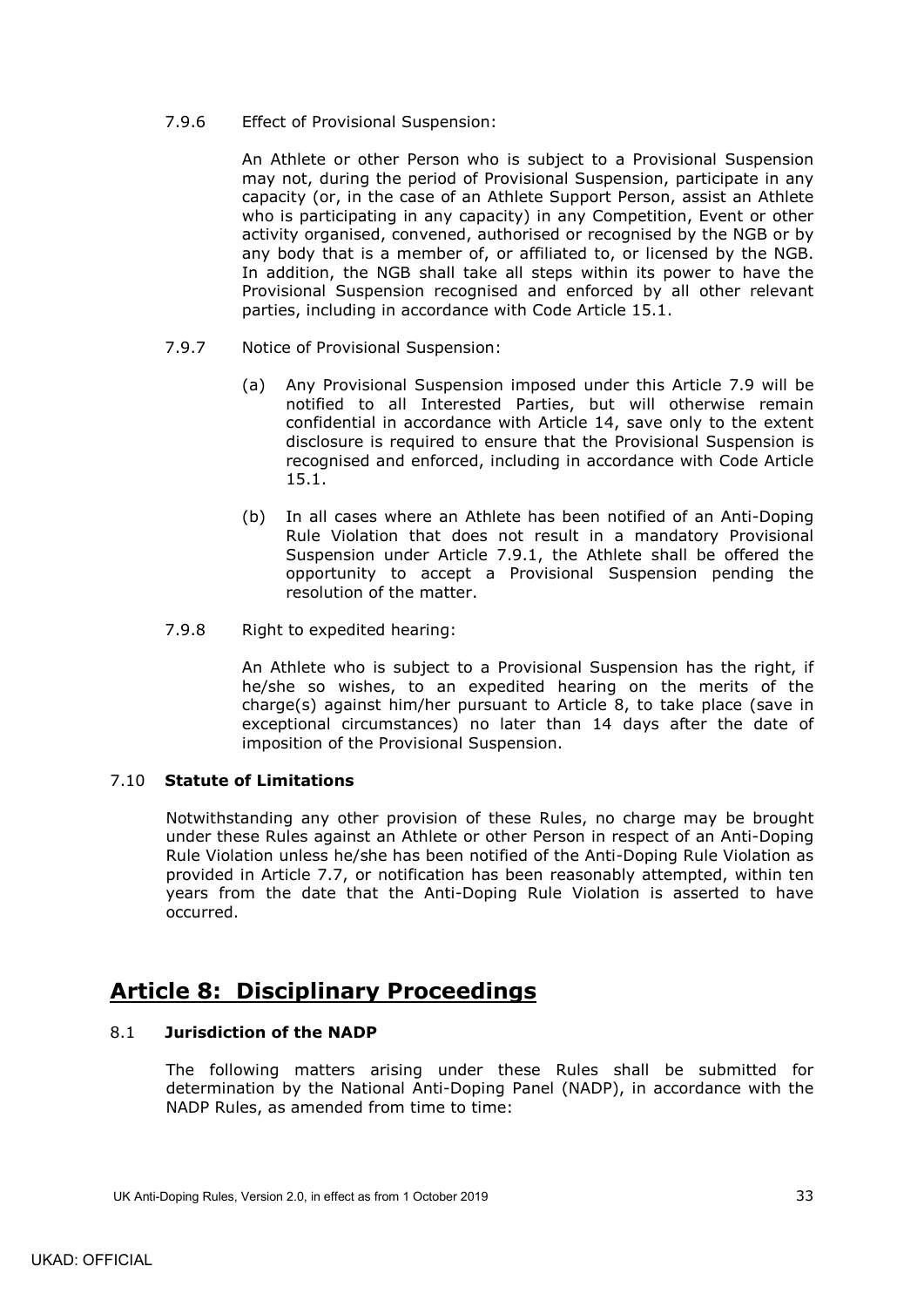### 7.9.6 Effect of Provisional Suspension:

An Athlete or other Person who is subject to a Provisional Suspension may not, during the period of Provisional Suspension, participate in any capacity (or, in the case of an Athlete Support Person, assist an Athlete who is participating in any capacity) in any Competition, Event or other activity organised, convened, authorised or recognised by the NGB or by any body that is a member of, or affiliated to, or licensed by the NGB. In addition, the NGB shall take all steps within its power to have the Provisional Suspension recognised and enforced by all other relevant parties, including in accordance with Code Article 15.1.

- <span id="page-36-3"></span>7.9.7 Notice of Provisional Suspension:
	- (a) Any Provisional Suspension imposed under this Article [7.9](#page-34-0) will be notified to all Interested Parties, but will otherwise remain confidential in accordance with Article 14, save only to the extent disclosure is required to ensure that the Provisional Suspension is recognised and enforced, including in accordance with Code Article 15.1.
	- (b) In all cases where an Athlete has been notified of an Anti-Doping Rule Violation that does not result in a mandatory Provisional Suspension under Article [7.9.1,](#page-34-2) the Athlete shall be offered the opportunity to accept a Provisional Suspension pending the resolution of the matter.
- 7.9.8 Right to expedited hearing:

An Athlete who is subject to a Provisional Suspension has the right, if he/she so wishes, to an expedited hearing on the merits of the charge(s) against him/her pursuant to Article 8, to take place (save in exceptional circumstances) no later than 14 days after the date of imposition of the Provisional Suspension.

### <span id="page-36-0"></span>7.10 **Statute of Limitations**

Notwithstanding any other provision of these Rules, no charge may be brought under these Rules against an Athlete or other Person in respect of an Anti-Doping Rule Violation unless he/she has been notified of the Anti-Doping Rule Violation as provided in Article [7.7,](#page-31-1) or notification has been reasonably attempted, within ten years from the date that the Anti-Doping Rule Violation is asserted to have occurred.

# <span id="page-36-1"></span>**Article 8: Disciplinary Proceedings**

### <span id="page-36-2"></span>8.1 **Jurisdiction of the NADP**

The following matters arising under these Rules shall be submitted for determination by the National Anti-Doping Panel (NADP), in accordance with the NADP Rules, as amended from time to time: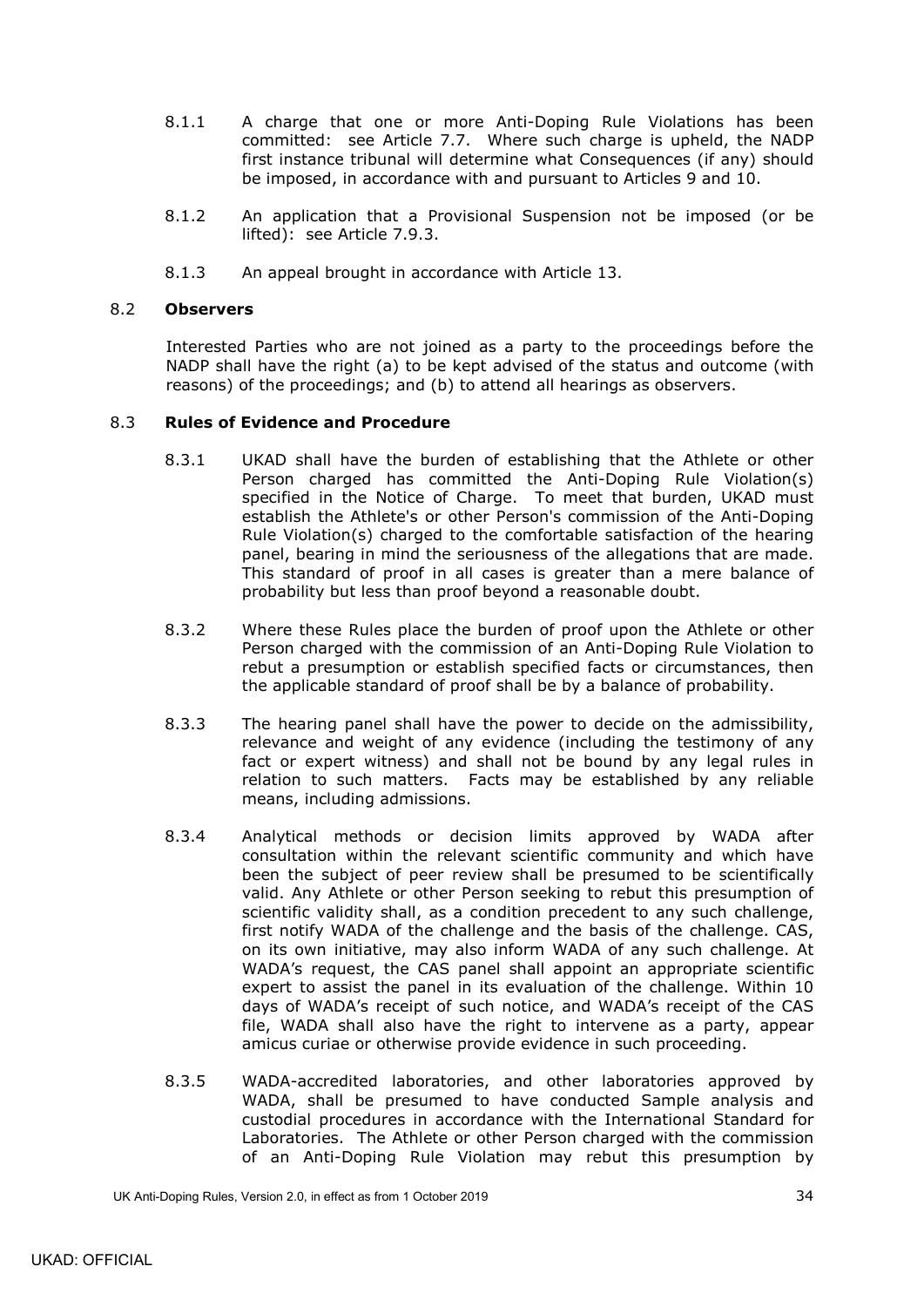- 8.1.1 A charge that one or more Anti-Doping Rule Violations has been committed: see Article [7.7.](#page-31-1) Where such charge is upheld, the NADP first instance tribunal will determine what Consequences (if any) should be imposed, in accordance with and pursuant to Articles 9 and 10.
- 8.1.2 An application that a Provisional Suspension not be imposed (or be lifted): see Article [7.9.3.](#page-34-4)
- 8.1.3 An appeal brought in accordance with Article 13.

#### <span id="page-37-0"></span>8.2 **Observers**

Interested Parties who are not joined as a party to the proceedings before the NADP shall have the right (a) to be kept advised of the status and outcome (with reasons) of the proceedings; and (b) to attend all hearings as observers.

### <span id="page-37-2"></span><span id="page-37-1"></span>8.3 **Rules of Evidence and Procedure**

- 8.3.1 UKAD shall have the burden of establishing that the Athlete or other Person charged has committed the Anti-Doping Rule Violation(s) specified in the Notice of Charge. To meet that burden, UKAD must establish the Athlete's or other Person's commission of the Anti-Doping Rule Violation(s) charged to the comfortable satisfaction of the hearing panel, bearing in mind the seriousness of the allegations that are made. This standard of proof in all cases is greater than a mere balance of probability but less than proof beyond a reasonable doubt.
- 8.3.2 Where these Rules place the burden of proof upon the Athlete or other Person charged with the commission of an Anti-Doping Rule Violation to rebut a presumption or establish specified facts or circumstances, then the applicable standard of proof shall be by a balance of probability.
- 8.3.3 The hearing panel shall have the power to decide on the admissibility, relevance and weight of any evidence (including the testimony of any fact or expert witness) and shall not be bound by any legal rules in relation to such matters. Facts may be established by any reliable means, including admissions.
- 8.3.4 Analytical methods or decision limits approved by WADA after consultation within the relevant scientific community and which have been the subject of peer review shall be presumed to be scientifically valid. Any Athlete or other Person seeking to rebut this presumption of scientific validity shall, as a condition precedent to any such challenge, first notify WADA of the challenge and the basis of the challenge. CAS, on its own initiative, may also inform WADA of any such challenge. At WADA's request, the CAS panel shall appoint an appropriate scientific expert to assist the panel in its evaluation of the challenge. Within 10 days of WADA's receipt of such notice, and WADA's receipt of the CAS file, WADA shall also have the right to intervene as a party, appear amicus curiae or otherwise provide evidence in such proceeding.
- 8.3.5 WADA-accredited laboratories, and other laboratories approved by WADA, shall be presumed to have conducted Sample analysis and custodial procedures in accordance with the International Standard for Laboratories. The Athlete or other Person charged with the commission of an Anti-Doping Rule Violation may rebut this presumption by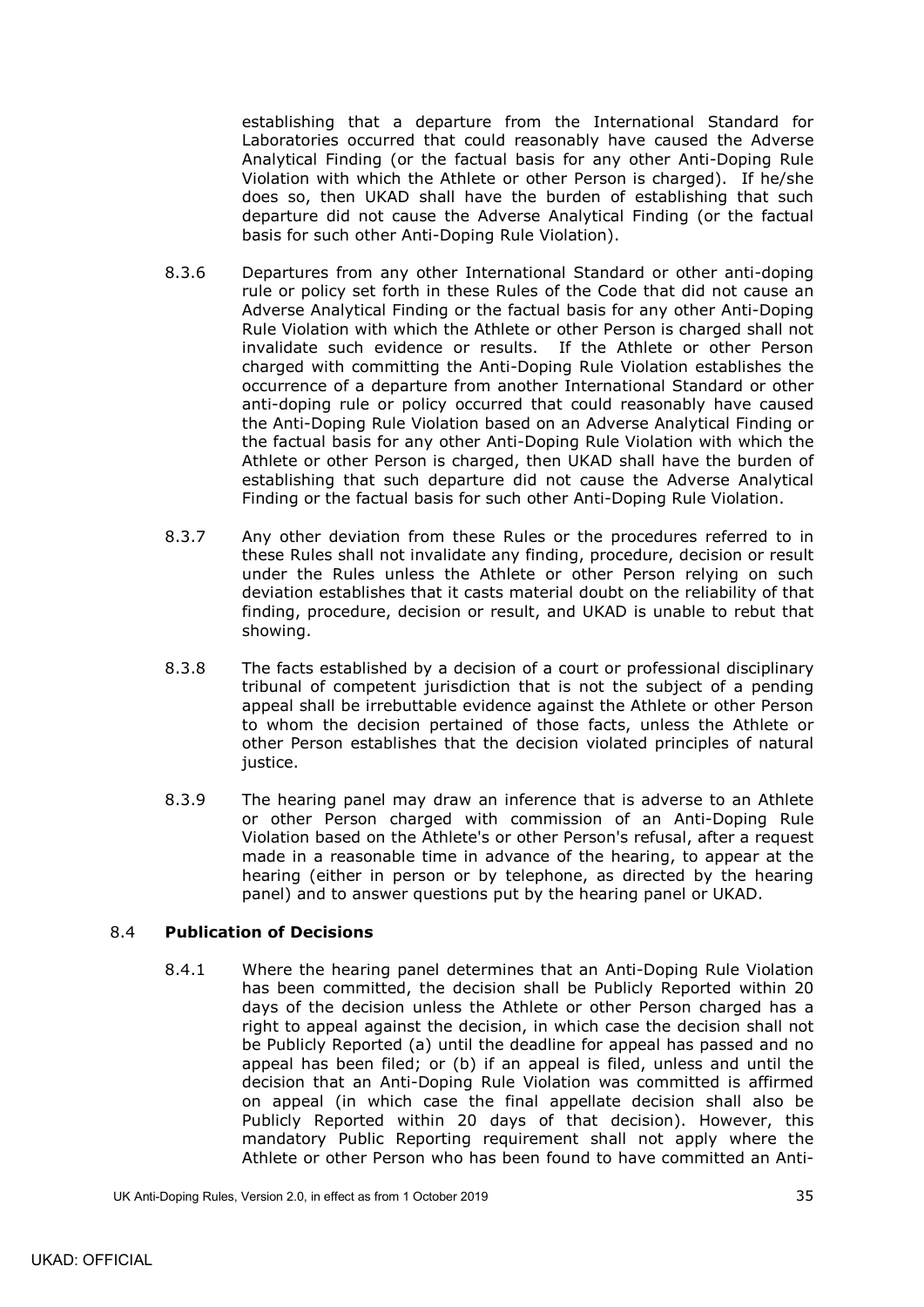establishing that a departure from the International Standard for Laboratories occurred that could reasonably have caused the Adverse Analytical Finding (or the factual basis for any other Anti-Doping Rule Violation with which the Athlete or other Person is charged). If he/she does so, then UKAD shall have the burden of establishing that such departure did not cause the Adverse Analytical Finding (or the factual basis for such other Anti-Doping Rule Violation).

- 8.3.6 Departures from any other International Standard or other anti-doping rule or policy set forth in these Rules of the Code that did not cause an Adverse Analytical Finding or the factual basis for any other Anti-Doping Rule Violation with which the Athlete or other Person is charged shall not invalidate such evidence or results. If the Athlete or other Person charged with committing the Anti-Doping Rule Violation establishes the occurrence of a departure from another International Standard or other anti-doping rule or policy occurred that could reasonably have caused the Anti-Doping Rule Violation based on an Adverse Analytical Finding or the factual basis for any other Anti-Doping Rule Violation with which the Athlete or other Person is charged, then UKAD shall have the burden of establishing that such departure did not cause the Adverse Analytical Finding or the factual basis for such other Anti-Doping Rule Violation.
- 8.3.7 Any other deviation from these Rules or the procedures referred to in these Rules shall not invalidate any finding, procedure, decision or result under the Rules unless the Athlete or other Person relying on such deviation establishes that it casts material doubt on the reliability of that finding, procedure, decision or result, and UKAD is unable to rebut that showing.
- 8.3.8 The facts established by a decision of a court or professional disciplinary tribunal of competent jurisdiction that is not the subject of a pending appeal shall be irrebuttable evidence against the Athlete or other Person to whom the decision pertained of those facts, unless the Athlete or other Person establishes that the decision violated principles of natural justice.
- 8.3.9 The hearing panel may draw an inference that is adverse to an Athlete or other Person charged with commission of an Anti-Doping Rule Violation based on the Athlete's or other Person's refusal, after a request made in a reasonable time in advance of the hearing, to appear at the hearing (either in person or by telephone, as directed by the hearing panel) and to answer questions put by the hearing panel or UKAD.

### <span id="page-38-0"></span>8.4 **Publication of Decisions**

8.4.1 Where the hearing panel determines that an Anti-Doping Rule Violation has been committed, the decision shall be Publicly Reported within 20 days of the decision unless the Athlete or other Person charged has a right to appeal against the decision, in which case the decision shall not be Publicly Reported (a) until the deadline for appeal has passed and no appeal has been filed; or (b) if an appeal is filed, unless and until the decision that an Anti-Doping Rule Violation was committed is affirmed on appeal (in which case the final appellate decision shall also be Publicly Reported within 20 days of that decision). However, this mandatory Public Reporting requirement shall not apply where the Athlete or other Person who has been found to have committed an Anti-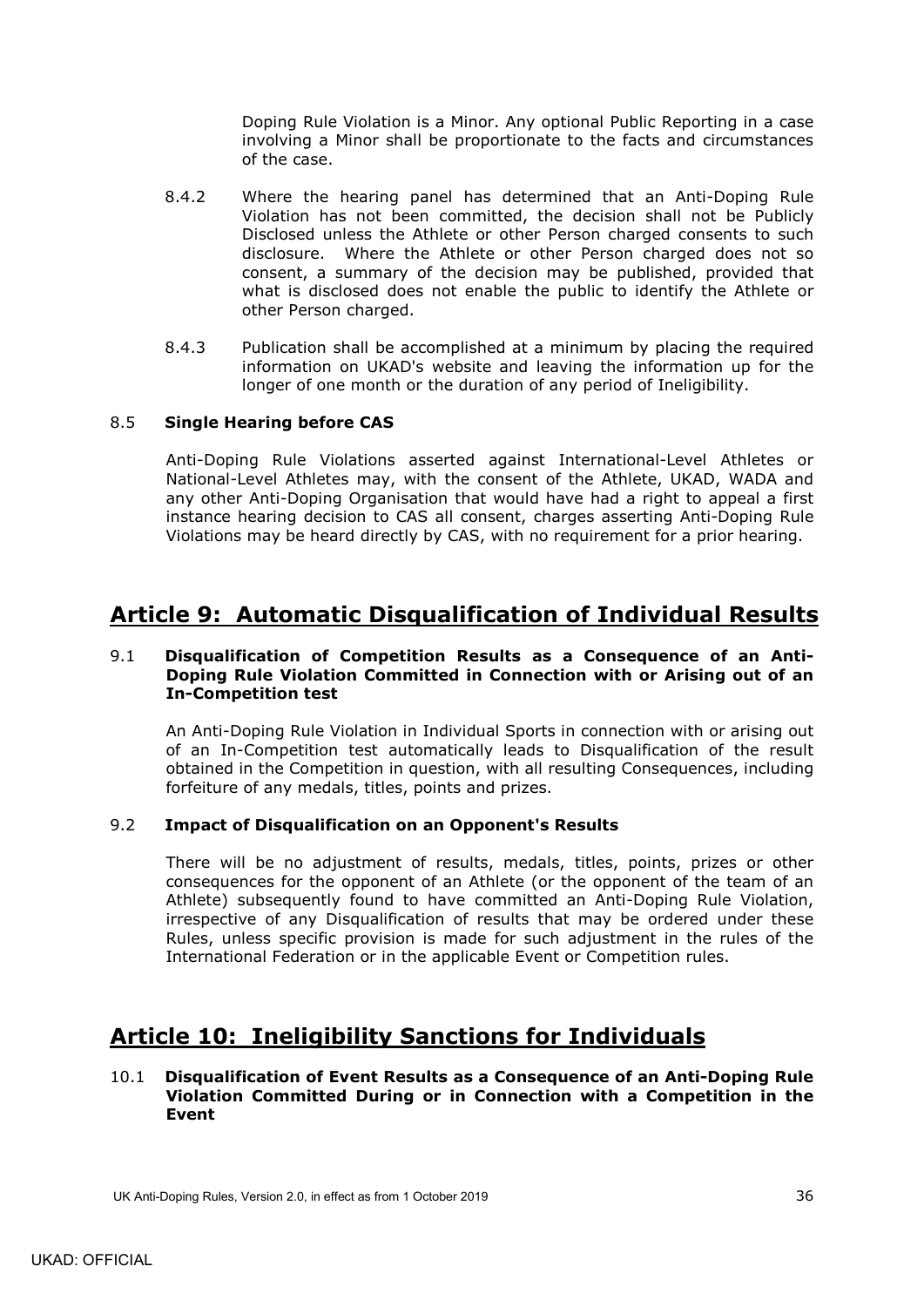Doping Rule Violation is a Minor. Any optional Public Reporting in a case involving a Minor shall be proportionate to the facts and circumstances of the case.

- 8.4.2 Where the hearing panel has determined that an Anti-Doping Rule Violation has not been committed, the decision shall not be Publicly Disclosed unless the Athlete or other Person charged consents to such disclosure. Where the Athlete or other Person charged does not so consent, a summary of the decision may be published, provided that what is disclosed does not enable the public to identify the Athlete or other Person charged.
- 8.4.3 Publication shall be accomplished at a minimum by placing the required information on UKAD's website and leaving the information up for the longer of one month or the duration of any period of Ineligibility.

## <span id="page-39-0"></span>8.5 **Single Hearing before CAS**

Anti-Doping Rule Violations asserted against International-Level Athletes or National-Level Athletes may, with the consent of the Athlete, UKAD, WADA and any other Anti-Doping Organisation that would have had a right to appeal a first instance hearing decision to CAS all consent, charges asserting Anti-Doping Rule Violations may be heard directly by CAS, with no requirement for a prior hearing.

# <span id="page-39-1"></span>**Article 9: Automatic Disqualification of Individual Results**

### <span id="page-39-2"></span>9.1 **Disqualification of Competition Results as a Consequence of an Anti-Doping Rule Violation Committed in Connection with or Arising out of an In-Competition test**

An Anti-Doping Rule Violation in Individual Sports in connection with or arising out of an In-Competition test automatically leads to Disqualification of the result obtained in the Competition in question, with all resulting Consequences, including forfeiture of any medals, titles, points and prizes.

### <span id="page-39-3"></span>9.2 **Impact of Disqualification on an Opponent's Results**

There will be no adjustment of results, medals, titles, points, prizes or other consequences for the opponent of an Athlete (or the opponent of the team of an Athlete) subsequently found to have committed an Anti-Doping Rule Violation, irrespective of any Disqualification of results that may be ordered under these Rules, unless specific provision is made for such adjustment in the rules of the International Federation or in the applicable Event or Competition rules.

# <span id="page-39-4"></span>**Article 10: Ineligibility Sanctions for Individuals**

## <span id="page-39-5"></span>10.1 **Disqualification of Event Results as a Consequence of an Anti-Doping Rule Violation Committed During or in Connection with a Competition in the Event**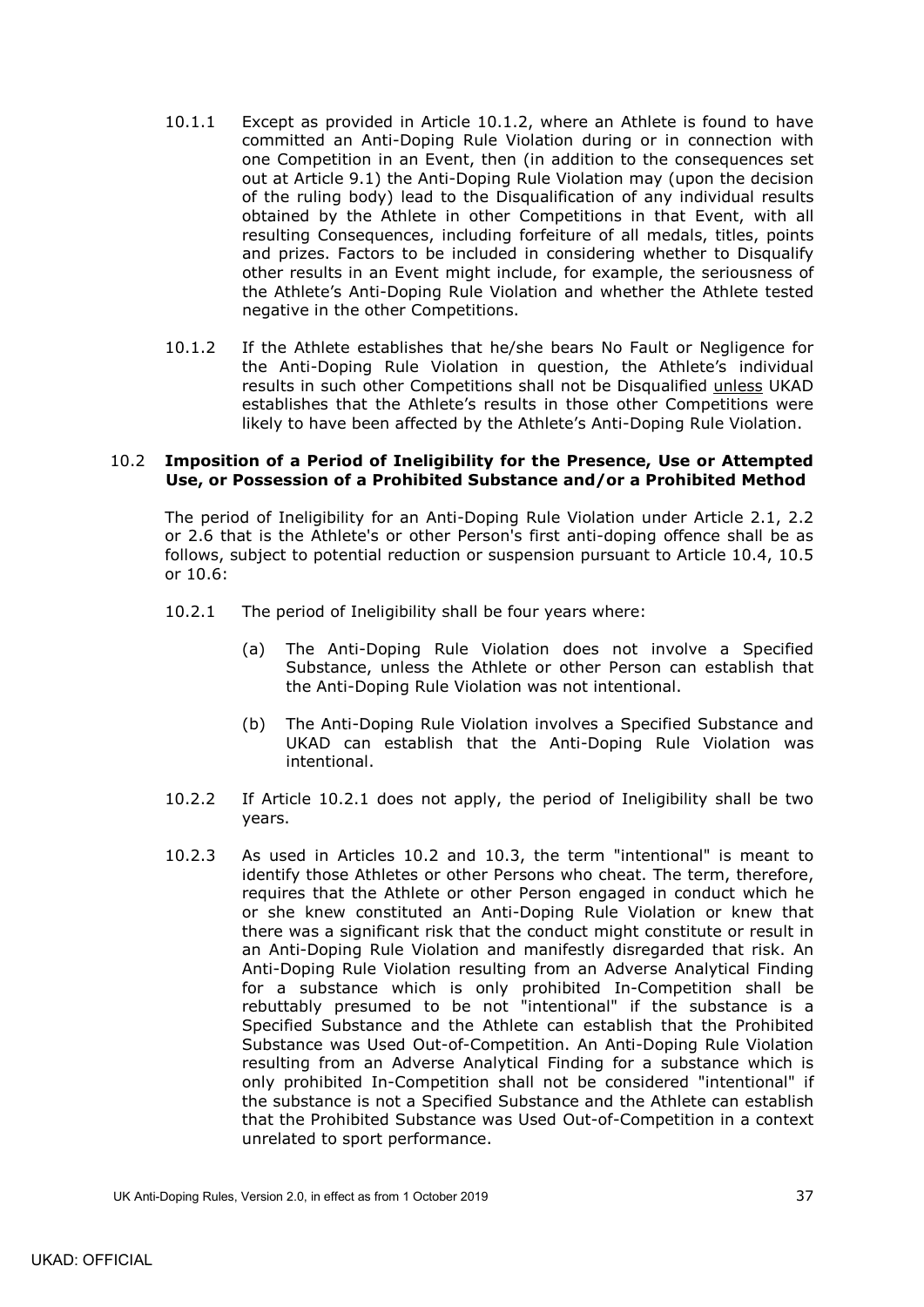- 10.1.1 Except as provided in Article [10.1.2,](#page-40-1) where an Athlete is found to have committed an Anti-Doping Rule Violation during or in connection with one Competition in an Event, then (in addition to the consequences set out at Article [9.1\)](#page-39-2) the Anti-Doping Rule Violation may (upon the decision of the ruling body) lead to the Disqualification of any individual results obtained by the Athlete in other Competitions in that Event, with all resulting Consequences, including forfeiture of all medals, titles, points and prizes. Factors to be included in considering whether to Disqualify other results in an Event might include, for example, the seriousness of the Athlete's Anti-Doping Rule Violation and whether the Athlete tested negative in the other Competitions.
- <span id="page-40-1"></span>10.1.2 If the Athlete establishes that he/she bears No Fault or Negligence for the Anti-Doping Rule Violation in question, the Athlete's individual results in such other Competitions shall not be Disqualified unless UKAD establishes that the Athlete's results in those other Competitions were likely to have been affected by the Athlete's Anti-Doping Rule Violation.

#### <span id="page-40-0"></span>10.2 **Imposition of a Period of Ineligibility for the Presence, Use or Attempted Use, or Possession of a Prohibited Substance and/or a Prohibited Method**

The period of Ineligibility for an Anti-Doping Rule Violation under Article [2.1,](#page-10-1) [2.2](#page-11-0) or [2.6](#page-12-1) that is the Athlete's or other Person's first anti-doping offence shall be as follows, subject to potential reduction or suspension pursuant to Article [10.4,](#page-41-1) [10.5](#page-42-0) or [10.6:](#page-42-1)

- <span id="page-40-2"></span>10.2.1 The period of Ineligibility shall be four years where:
	- (a) The Anti-Doping Rule Violation does not involve a Specified Substance, unless the Athlete or other Person can establish that the Anti-Doping Rule Violation was not intentional.
	- (b) The Anti-Doping Rule Violation involves a Specified Substance and UKAD can establish that the Anti-Doping Rule Violation was intentional.
- 10.2.2 If Article [10.2.1](#page-40-2) does not apply, the period of Ineligibility shall be two years.
- <span id="page-40-3"></span>10.2.3 As used in Articles [10.2](#page-40-0) and [10.3,](#page-41-0) the term "intentional" is meant to identify those Athletes or other Persons who cheat. The term, therefore, requires that the Athlete or other Person engaged in conduct which he or she knew constituted an Anti-Doping Rule Violation or knew that there was a significant risk that the conduct might constitute or result in an Anti-Doping Rule Violation and manifestly disregarded that risk. An Anti-Doping Rule Violation resulting from an Adverse Analytical Finding for a substance which is only prohibited In-Competition shall be rebuttably presumed to be not "intentional" if the substance is a Specified Substance and the Athlete can establish that the Prohibited Substance was Used Out-of-Competition. An Anti-Doping Rule Violation resulting from an Adverse Analytical Finding for a substance which is only prohibited In-Competition shall not be considered "intentional" if the substance is not a Specified Substance and the Athlete can establish that the Prohibited Substance was Used Out-of-Competition in a context unrelated to sport performance.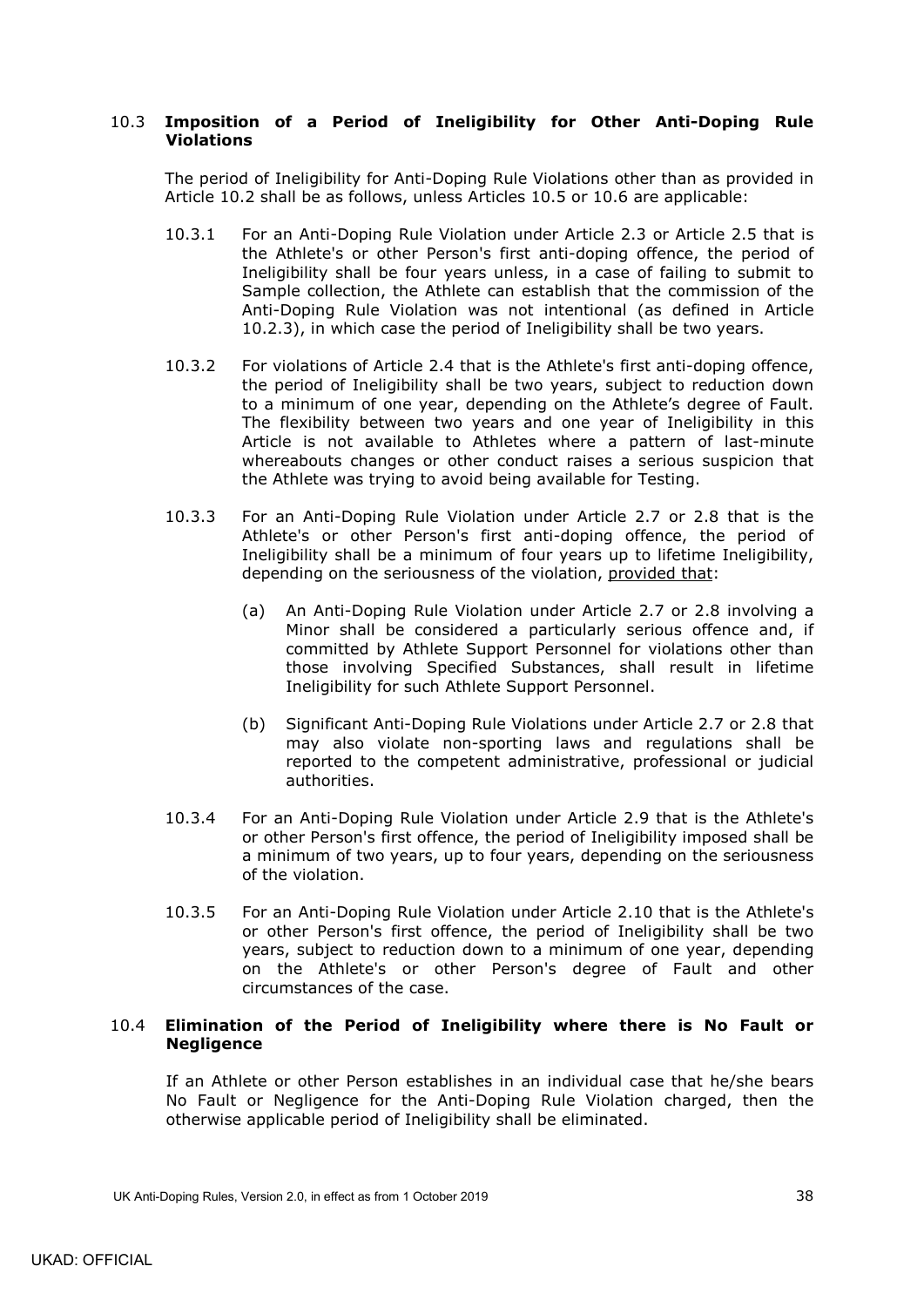## <span id="page-41-0"></span>10.3 **Imposition of a Period of Ineligibility for Other Anti-Doping Rule Violations**

The period of Ineligibility for Anti-Doping Rule Violations other than as provided in Article [10.2](#page-40-0) shall be as follows, unless Articles [10.5](#page-42-0) or [10.6](#page-42-1) are applicable:

- <span id="page-41-2"></span>10.3.1 For an Anti-Doping Rule Violation under Article [2.3](#page-11-1) or Article [2.5](#page-12-0) that is the Athlete's or other Person's first anti-doping offence, the period of Ineligibility shall be four years unless, in a case of failing to submit to Sample collection, the Athlete can establish that the commission of the Anti-Doping Rule Violation was not intentional (as defined in Article [10.2.3\)](#page-40-3), in which case the period of Ineligibility shall be two years.
- 10.3.2 For violations of Article [2.4](#page-11-2) that is the Athlete's first anti-doping offence, the period of Ineligibility shall be two years, subject to reduction down to a minimum of one year, depending on the Athlete's degree of Fault. The flexibility between two years and one year of Ineligibility in this Article is not available to Athletes where a pattern of last-minute whereabouts changes or other conduct raises a serious suspicion that the Athlete was trying to avoid being available for Testing.
- 10.3.3 For an Anti-Doping Rule Violation under Article [2.7](#page-12-2) or [2.8](#page-12-3) that is the Athlete's or other Person's first anti-doping offence, the period of Ineligibility shall be a minimum of four years up to lifetime Ineligibility, depending on the seriousness of the violation, provided that:
	- (a) An Anti-Doping Rule Violation under Article [2.7](#page-12-2) or [2.8](#page-12-3) involving a Minor shall be considered a particularly serious offence and, if committed by Athlete Support Personnel for violations other than those involving Specified Substances, shall result in lifetime Ineligibility for such Athlete Support Personnel.
	- (b) Significant Anti-Doping Rule Violations under Article [2.7](#page-12-2) or [2.8](#page-12-3) that may also violate non-sporting laws and regulations shall be reported to the competent administrative, professional or judicial authorities.
- 10.3.4 For an Anti-Doping Rule Violation under Article [2.9](#page-12-4) that is the Athlete's or other Person's first offence, the period of Ineligibility imposed shall be a minimum of two years, up to four years, depending on the seriousness of the violation.
- 10.3.5 For an Anti-Doping Rule Violation under Article [2.10](#page-12-5) that is the Athlete's or other Person's first offence, the period of Ineligibility shall be two years, subject to reduction down to a minimum of one year, depending on the Athlete's or other Person's degree of Fault and other circumstances of the case.

### <span id="page-41-1"></span>10.4 **Elimination of the Period of Ineligibility where there is No Fault or Negligence**

If an Athlete or other Person establishes in an individual case that he/she bears No Fault or Negligence for the Anti-Doping Rule Violation charged, then the otherwise applicable period of Ineligibility shall be eliminated.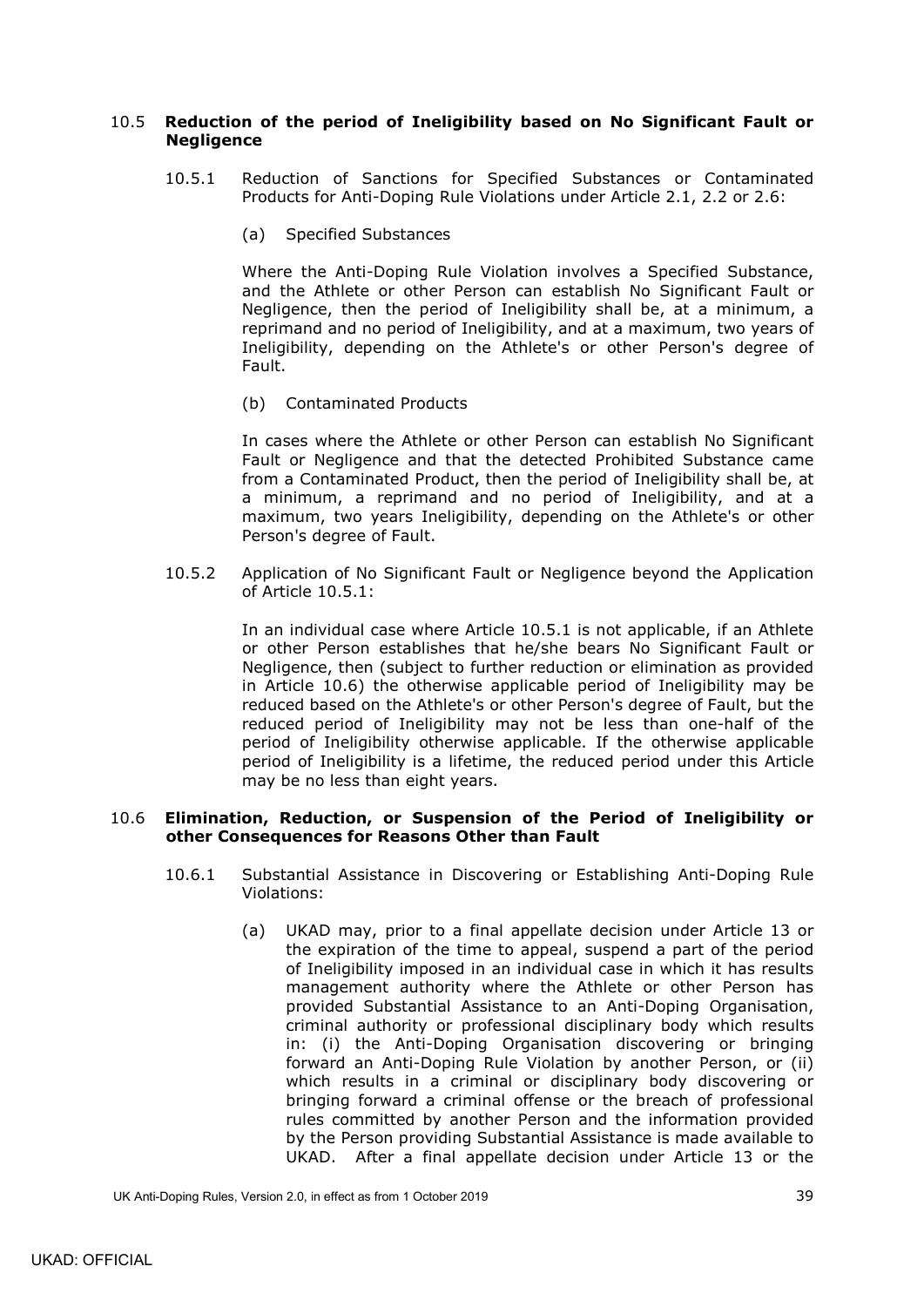## <span id="page-42-2"></span><span id="page-42-0"></span>10.5 **Reduction of the period of Ineligibility based on No Significant Fault or Negligence**

- 10.5.1 Reduction of Sanctions for Specified Substances or Contaminated Products for Anti-Doping Rule Violations under Article [2.1,](#page-10-1) [2.2](#page-11-0) or [2.6:](#page-12-1)
	- (a) Specified Substances

Where the Anti-Doping Rule Violation involves a Specified Substance, and the Athlete or other Person can establish No Significant Fault or Negligence, then the period of Ineligibility shall be, at a minimum, a reprimand and no period of Ineligibility, and at a maximum, two years of Ineligibility, depending on the Athlete's or other Person's degree of Fault.

(b) Contaminated Products

In cases where the Athlete or other Person can establish No Significant Fault or Negligence and that the detected Prohibited Substance came from a Contaminated Product, then the period of Ineligibility shall be, at a minimum, a reprimand and no period of Ineligibility, and at a maximum, two years Ineligibility, depending on the Athlete's or other Person's degree of Fault.

<span id="page-42-5"></span>10.5.2 Application of No Significant Fault or Negligence beyond the Application of Article [10.5.1:](#page-42-2)

> In an individual case where Article [10.5.1](#page-42-2) is not applicable, if an Athlete or other Person establishes that he/she bears No Significant Fault or Negligence, then (subject to further reduction or elimination as provided in Article [10.6\)](#page-42-1) the otherwise applicable period of Ineligibility may be reduced based on the Athlete's or other Person's degree of Fault, but the reduced period of Ineligibility may not be less than one-half of the period of Ineligibility otherwise applicable. If the otherwise applicable period of Ineligibility is a lifetime, the reduced period under this Article may be no less than eight years.

#### <span id="page-42-3"></span><span id="page-42-1"></span>10.6 **Elimination, Reduction, or Suspension of the Period of Ineligibility or other Consequences for Reasons Other than Fault**

- <span id="page-42-4"></span>10.6.1 Substantial Assistance in Discovering or Establishing Anti-Doping Rule Violations:
	- (a) UKAD may, prior to a final appellate decision under Article 13 or the expiration of the time to appeal, suspend a part of the period of Ineligibility imposed in an individual case in which it has results management authority where the Athlete or other Person has provided Substantial Assistance to an Anti-Doping Organisation, criminal authority or professional disciplinary body which results in: (i) the Anti-Doping Organisation discovering or bringing forward an Anti-Doping Rule Violation by another Person, or (ii) which results in a criminal or disciplinary body discovering or bringing forward a criminal offense or the breach of professional rules committed by another Person and the information provided by the Person providing Substantial Assistance is made available to UKAD. After a final appellate decision under Article 13 or the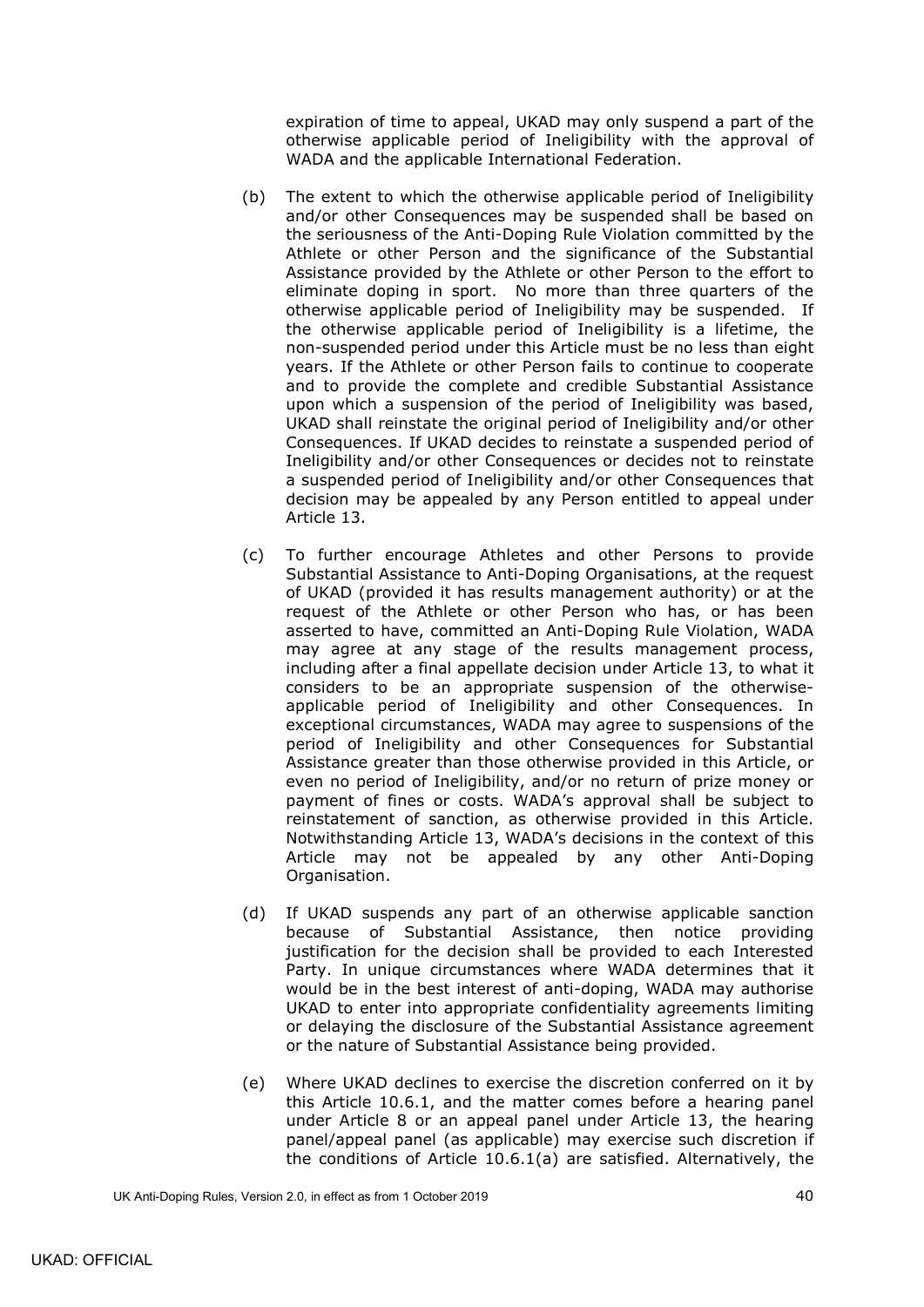expiration of time to appeal, UKAD may only suspend a part of the otherwise applicable period of Ineligibility with the approval of WADA and the applicable International Federation.

- (b) The extent to which the otherwise applicable period of Ineligibility and/or other Consequences may be suspended shall be based on the seriousness of the Anti-Doping Rule Violation committed by the Athlete or other Person and the significance of the Substantial Assistance provided by the Athlete or other Person to the effort to eliminate doping in sport. No more than three quarters of the otherwise applicable period of Ineligibility may be suspended. If the otherwise applicable period of Ineligibility is a lifetime, the non-suspended period under this Article must be no less than eight years. If the Athlete or other Person fails to continue to cooperate and to provide the complete and credible Substantial Assistance upon which a suspension of the period of Ineligibility was based, UKAD shall reinstate the original period of Ineligibility and/or other Consequences. If UKAD decides to reinstate a suspended period of Ineligibility and/or other Consequences or decides not to reinstate a suspended period of Ineligibility and/or other Consequences that decision may be appealed by any Person entitled to appeal under Article 13.
- (c) To further encourage Athletes and other Persons to provide Substantial Assistance to Anti-Doping Organisations, at the request of UKAD (provided it has results management authority) or at the request of the Athlete or other Person who has, or has been asserted to have, committed an Anti-Doping Rule Violation, WADA may agree at any stage of the results management process, including after a final appellate decision under Article 13, to what it considers to be an appropriate suspension of the otherwiseapplicable period of Ineligibility and other Consequences. In exceptional circumstances, WADA may agree to suspensions of the period of Ineligibility and other Consequences for Substantial Assistance greater than those otherwise provided in this Article, or even no period of Ineligibility, and/or no return of prize money or payment of fines or costs. WADA's approval shall be subject to reinstatement of sanction, as otherwise provided in this Article. Notwithstanding Article 13, WADA's decisions in the context of this Article may not be appealed by any other Anti-Doping Organisation.
- (d) If UKAD suspends any part of an otherwise applicable sanction because of Substantial Assistance, then notice providing justification for the decision shall be provided to each Interested Party. In unique circumstances where WADA determines that it would be in the best interest of anti-doping, WADA may authorise UKAD to enter into appropriate confidentiality agreements limiting or delaying the disclosure of the Substantial Assistance agreement or the nature of Substantial Assistance being provided.
- (e) Where UKAD declines to exercise the discretion conferred on it by this Article [10.6.1,](#page-42-3) and the matter comes before a hearing panel under Article 8 or an appeal panel under Article 13, the hearing panel/appeal panel (as applicable) may exercise such discretion if the conditions of Article [10.6.1\(a\)](#page-42-4) are satisfied. Alternatively, the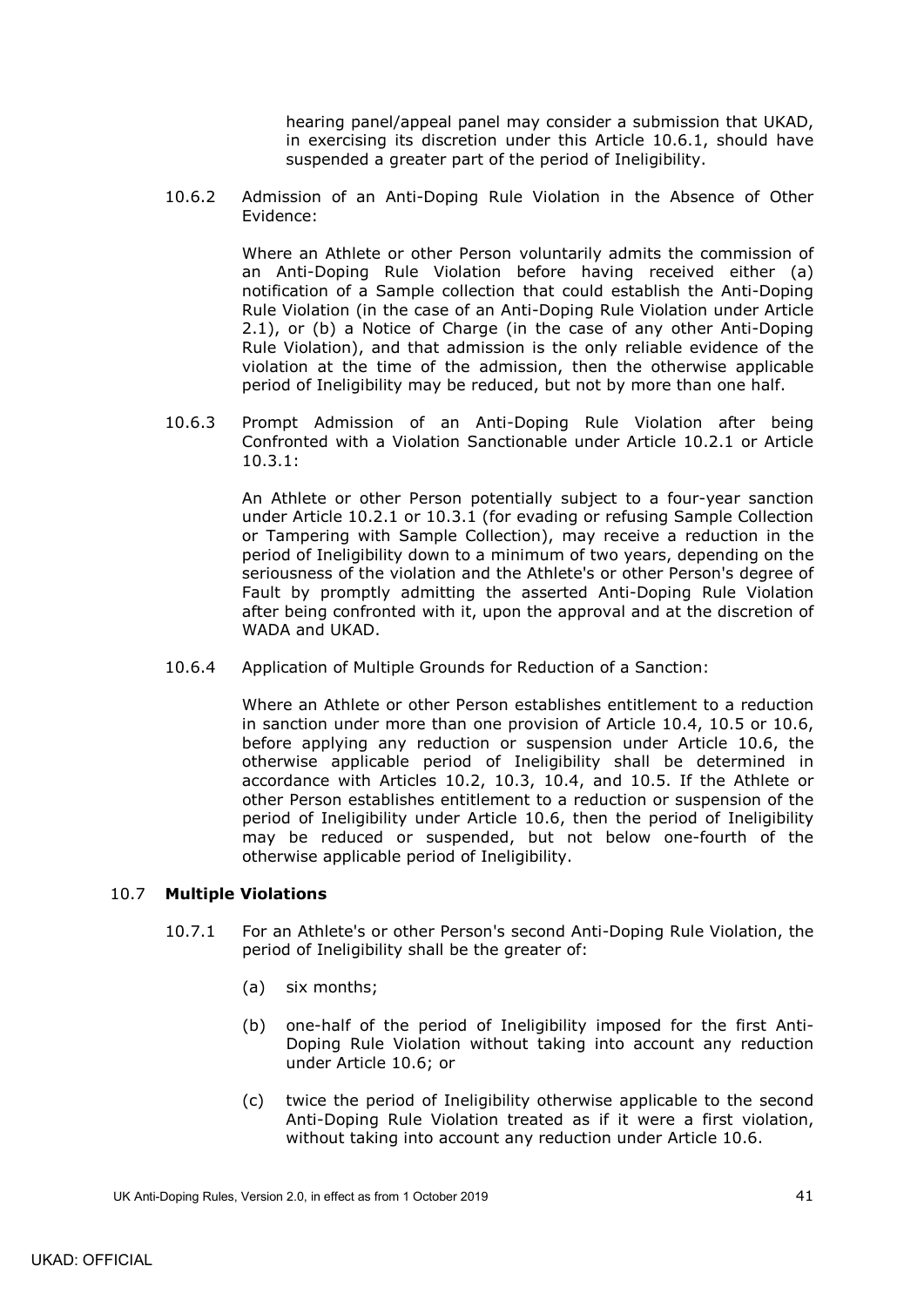hearing panel/appeal panel may consider a submission that UKAD, in exercising its discretion under this Article [10.6.1,](#page-42-3) should have suspended a greater part of the period of Ineligibility.

10.6.2 Admission of an Anti-Doping Rule Violation in the Absence of Other Evidence:

> Where an Athlete or other Person voluntarily admits the commission of an Anti-Doping Rule Violation before having received either (a) notification of a Sample collection that could establish the Anti-Doping Rule Violation (in the case of an Anti-Doping Rule Violation under Article [2.1\)](#page-10-1), or (b) a Notice of Charge (in the case of any other Anti-Doping Rule Violation), and that admission is the only reliable evidence of the violation at the time of the admission, then the otherwise applicable period of Ineligibility may be reduced, but not by more than one half.

<span id="page-44-1"></span>10.6.3 Prompt Admission of an Anti-Doping Rule Violation after being Confronted with a Violation Sanctionable under Article [10.2.1](#page-40-2) or Article [10.3.1:](#page-41-2)

> An Athlete or other Person potentially subject to a four-year sanction under Article [10.2.1](#page-40-2) or [10.3.1](#page-41-2) (for evading or refusing Sample Collection or Tampering with Sample Collection), may receive a reduction in the period of Ineligibility down to a minimum of two years, depending on the seriousness of the violation and the Athlete's or other Person's degree of Fault by promptly admitting the asserted Anti-Doping Rule Violation after being confronted with it, upon the approval and at the discretion of WADA and UKAD.

10.6.4 Application of Multiple Grounds for Reduction of a Sanction:

Where an Athlete or other Person establishes entitlement to a reduction in sanction under more than one provision of Article [10.4,](#page-41-1) [10.5](#page-42-0) or [10.6,](#page-42-1) before applying any reduction or suspension under Article [10.6,](#page-42-1) the otherwise applicable period of Ineligibility shall be determined in accordance with Articles [10.2,](#page-40-0) [10.3,](#page-41-0) [10.4,](#page-41-1) and [10.5.](#page-42-0) If the Athlete or other Person establishes entitlement to a reduction or suspension of the period of Ineligibility under Article [10.6,](#page-42-1) then the period of Ineligibility may be reduced or suspended, but not below one-fourth of the otherwise applicable period of Ineligibility.

## <span id="page-44-0"></span>10.7 **Multiple Violations**

- 10.7.1 For an Athlete's or other Person's second Anti-Doping Rule Violation, the period of Ineligibility shall be the greater of:
	- (a) six months;
	- (b) one-half of the period of Ineligibility imposed for the first Anti-Doping Rule Violation without taking into account any reduction under Article [10.6;](#page-42-1) or
	- (c) twice the period of Ineligibility otherwise applicable to the second Anti-Doping Rule Violation treated as if it were a first violation, without taking into account any reduction under Article [10.6.](#page-42-1)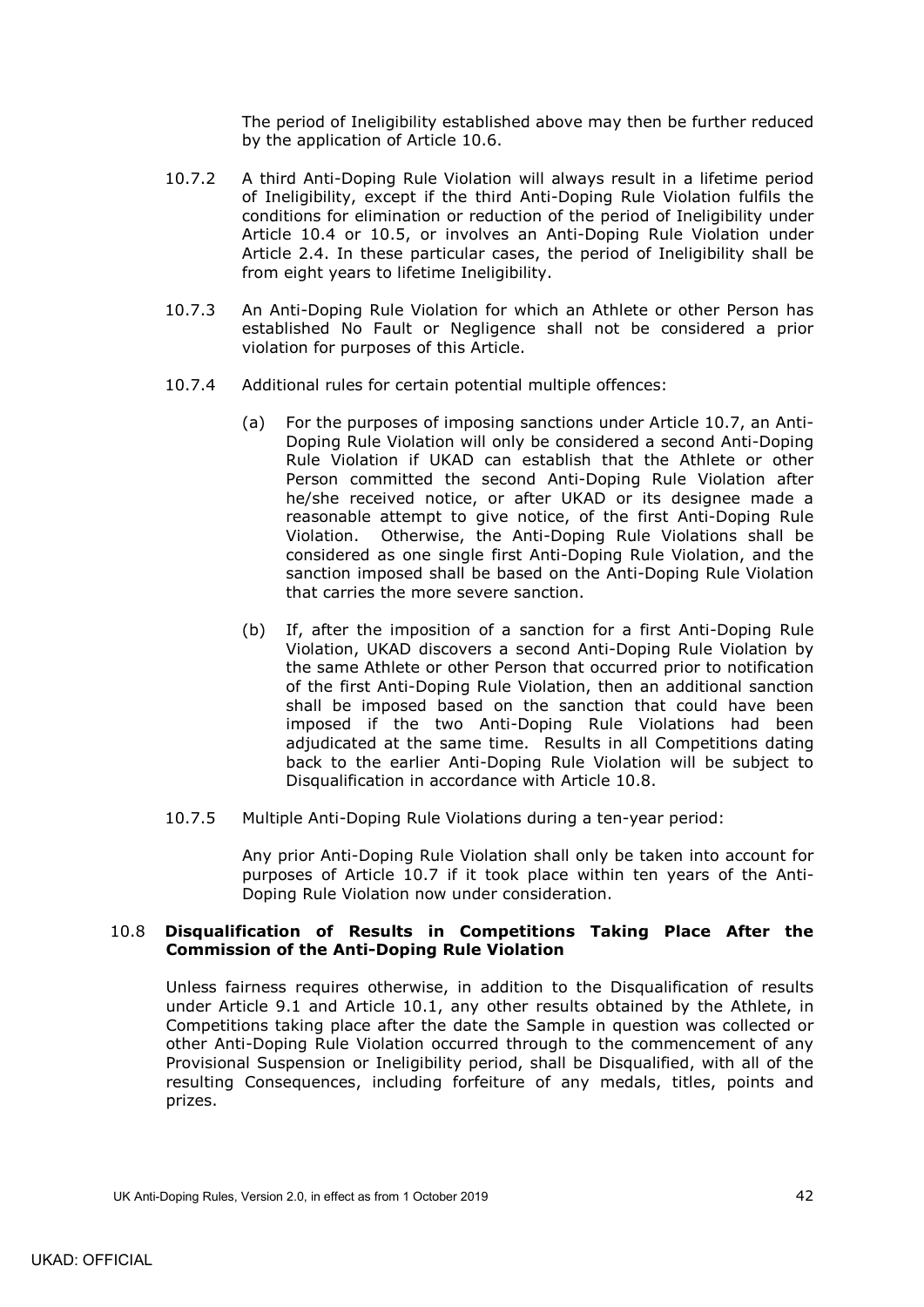The period of Ineligibility established above may then be further reduced by the application of Article [10.6.](#page-42-1)

- 10.7.2 A third Anti-Doping Rule Violation will always result in a lifetime period of Ineligibility, except if the third Anti-Doping Rule Violation fulfils the conditions for elimination or reduction of the period of Ineligibility under Article [10.4](#page-41-1) or [10.5,](#page-42-0) or involves an Anti-Doping Rule Violation under Article [2.4.](#page-11-2) In these particular cases, the period of Ineligibility shall be from eight years to lifetime Ineligibility.
- 10.7.3 An Anti-Doping Rule Violation for which an Athlete or other Person has established No Fault or Negligence shall not be considered a prior violation for purposes of this Article.
- 10.7.4 Additional rules for certain potential multiple offences:
	- (a) For the purposes of imposing sanctions under Article [10.7,](#page-44-0) an Anti-Doping Rule Violation will only be considered a second Anti-Doping Rule Violation if UKAD can establish that the Athlete or other Person committed the second Anti-Doping Rule Violation after he/she received notice, or after UKAD or its designee made a reasonable attempt to give notice, of the first Anti-Doping Rule Violation. Otherwise, the Anti-Doping Rule Violations shall be considered as one single first Anti-Doping Rule Violation, and the sanction imposed shall be based on the Anti-Doping Rule Violation that carries the more severe sanction.
	- (b) If, after the imposition of a sanction for a first Anti-Doping Rule Violation, UKAD discovers a second Anti-Doping Rule Violation by the same Athlete or other Person that occurred prior to notification of the first Anti-Doping Rule Violation, then an additional sanction shall be imposed based on the sanction that could have been imposed if the two Anti-Doping Rule Violations had been adjudicated at the same time. Results in all Competitions dating back to the earlier Anti-Doping Rule Violation will be subject to Disqualification in accordance with Article [10.8.](#page-45-0)
- <span id="page-45-1"></span>10.7.5 Multiple Anti-Doping Rule Violations during a ten-year period:

Any prior Anti-Doping Rule Violation shall only be taken into account for purposes of Article [10.7](#page-44-0) if it took place within ten years of the Anti-Doping Rule Violation now under consideration.

#### <span id="page-45-0"></span>10.8 **Disqualification of Results in Competitions Taking Place After the Commission of the Anti-Doping Rule Violation**

Unless fairness requires otherwise, in addition to the Disqualification of results under Article [9.1](#page-39-2) and Article [10.1,](#page-39-5) any other results obtained by the Athlete, in Competitions taking place after the date the Sample in question was collected or other Anti-Doping Rule Violation occurred through to the commencement of any Provisional Suspension or Ineligibility period, shall be Disqualified, with all of the resulting Consequences, including forfeiture of any medals, titles, points and prizes.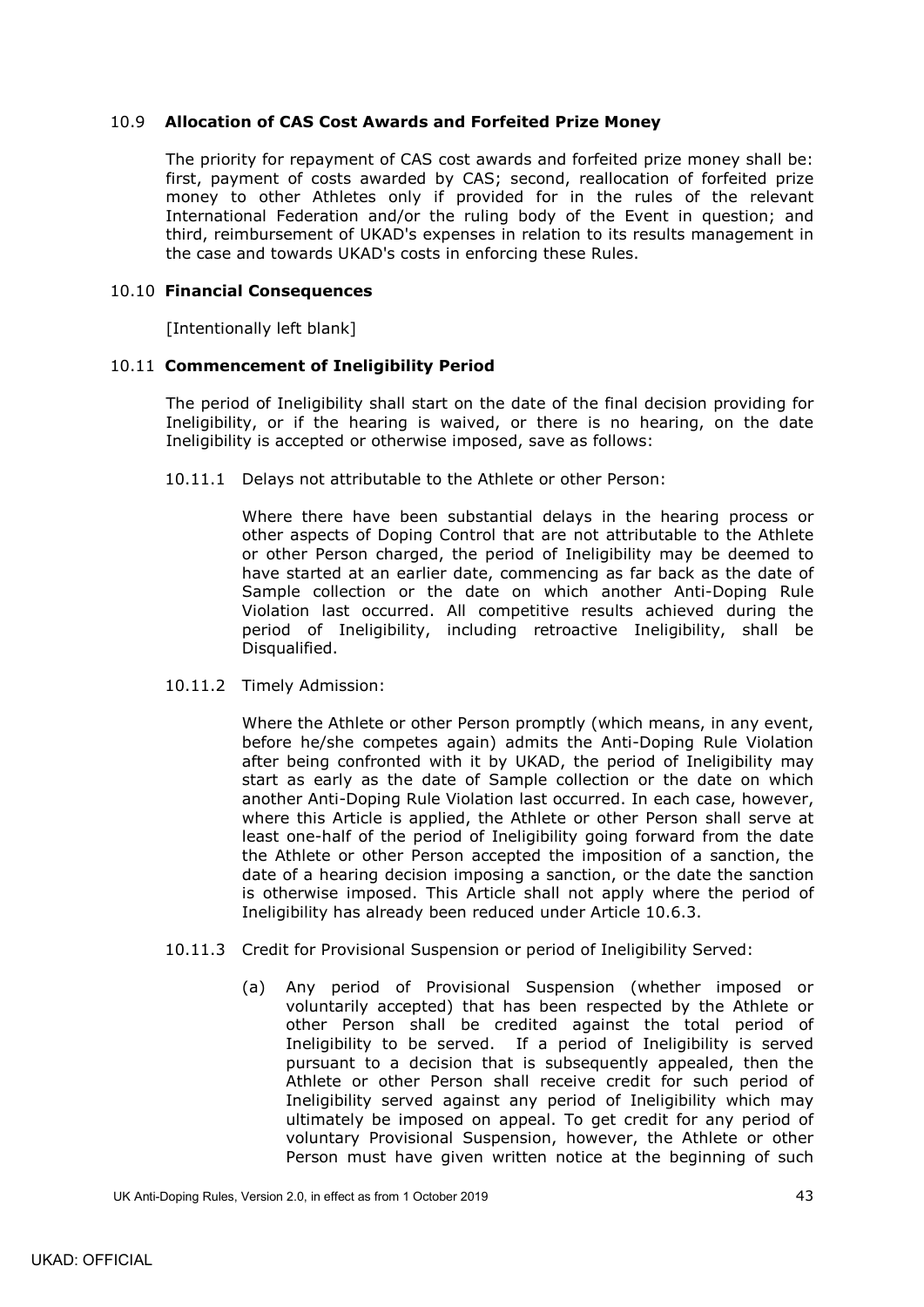## <span id="page-46-0"></span>10.9 **Allocation of CAS Cost Awards and Forfeited Prize Money**

The priority for repayment of CAS cost awards and forfeited prize money shall be: first, payment of costs awarded by CAS; second, reallocation of forfeited prize money to other Athletes only if provided for in the rules of the relevant International Federation and/or the ruling body of the Event in question; and third, reimbursement of UKAD's expenses in relation to its results management in the case and towards UKAD's costs in enforcing these Rules.

### <span id="page-46-1"></span>10.10 **Financial Consequences**

[Intentionally left blank]

## <span id="page-46-2"></span>10.11 **Commencement of Ineligibility Period**

The period of Ineligibility shall start on the date of the final decision providing for Ineligibility, or if the hearing is waived, or there is no hearing, on the date Ineligibility is accepted or otherwise imposed, save as follows:

10.11.1 Delays not attributable to the Athlete or other Person:

Where there have been substantial delays in the hearing process or other aspects of Doping Control that are not attributable to the Athlete or other Person charged, the period of Ineligibility may be deemed to have started at an earlier date, commencing as far back as the date of Sample collection or the date on which another Anti-Doping Rule Violation last occurred. All competitive results achieved during the period of Ineligibility, including retroactive Ineligibility, shall be Disqualified.

10.11.2 Timely Admission:

Where the Athlete or other Person promptly (which means, in any event, before he/she competes again) admits the Anti-Doping Rule Violation after being confronted with it by UKAD, the period of Ineligibility may start as early as the date of Sample collection or the date on which another Anti-Doping Rule Violation last occurred. In each case, however, where this Article is applied, the Athlete or other Person shall serve at least one-half of the period of Ineligibility going forward from the date the Athlete or other Person accepted the imposition of a sanction, the date of a hearing decision imposing a sanction, or the date the sanction is otherwise imposed. This Article shall not apply where the period of Ineligibility has already been reduced under Article [10.6.3.](#page-44-1)

- 10.11.3 Credit for Provisional Suspension or period of Ineligibility Served:
	- (a) Any period of Provisional Suspension (whether imposed or voluntarily accepted) that has been respected by the Athlete or other Person shall be credited against the total period of Ineligibility to be served. If a period of Ineligibility is served pursuant to a decision that is subsequently appealed, then the Athlete or other Person shall receive credit for such period of Ineligibility served against any period of Ineligibility which may ultimately be imposed on appeal. To get credit for any period of voluntary Provisional Suspension, however, the Athlete or other Person must have given written notice at the beginning of such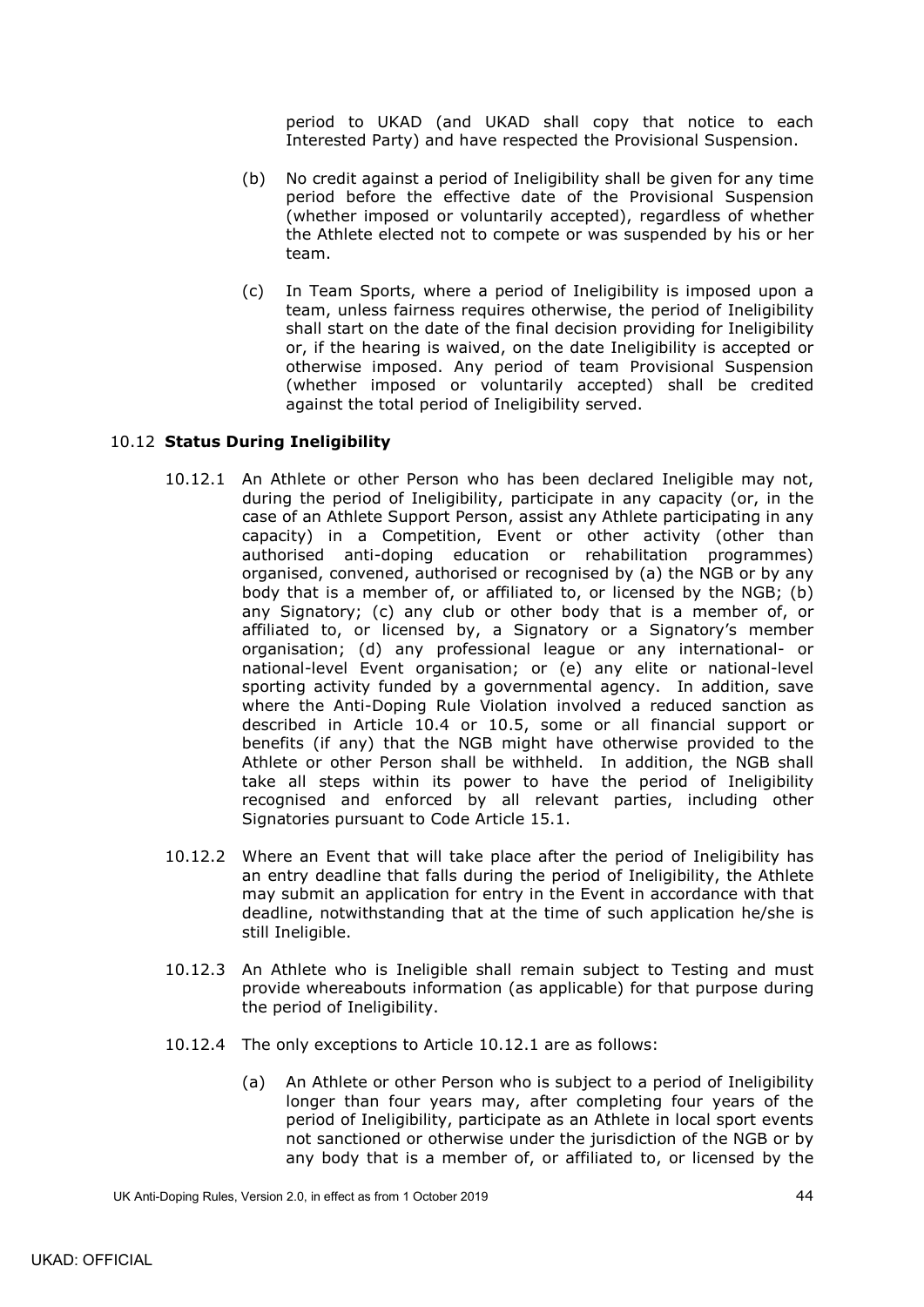period to UKAD (and UKAD shall copy that notice to each Interested Party) and have respected the Provisional Suspension.

- (b) No credit against a period of Ineligibility shall be given for any time period before the effective date of the Provisional Suspension (whether imposed or voluntarily accepted), regardless of whether the Athlete elected not to compete or was suspended by his or her team.
- (c) In Team Sports, where a period of Ineligibility is imposed upon a team, unless fairness requires otherwise, the period of Ineligibility shall start on the date of the final decision providing for Ineligibility or, if the hearing is waived, on the date Ineligibility is accepted or otherwise imposed. Any period of team Provisional Suspension (whether imposed or voluntarily accepted) shall be credited against the total period of Ineligibility served.

## <span id="page-47-1"></span><span id="page-47-0"></span>10.12 **Status During Ineligibility**

- 10.12.1 An Athlete or other Person who has been declared Ineligible may not, during the period of Ineligibility, participate in any capacity (or, in the case of an Athlete Support Person, assist any Athlete participating in any capacity) in a Competition, Event or other activity (other than authorised anti-doping education or rehabilitation programmes) organised, convened, authorised or recognised by (a) the NGB or by any body that is a member of, or affiliated to, or licensed by the NGB; (b) any Signatory; (c) any club or other body that is a member of, or affiliated to, or licensed by, a Signatory or a Signatory's member organisation; (d) any professional league or any international- or national-level Event organisation; or (e) any elite or national-level sporting activity funded by a governmental agency. In addition, save where the Anti-Doping Rule Violation involved a reduced sanction as described in Article [10.4](#page-41-1) or [10.5,](#page-42-0) some or all financial support or benefits (if any) that the NGB might have otherwise provided to the Athlete or other Person shall be withheld. In addition, the NGB shall take all steps within its power to have the period of Ineligibility recognised and enforced by all relevant parties, including other Signatories pursuant to Code Article 15.1.
- 10.12.2 Where an Event that will take place after the period of Ineligibility has an entry deadline that falls during the period of Ineligibility, the Athlete may submit an application for entry in the Event in accordance with that deadline, notwithstanding that at the time of such application he/she is still Ineligible.
- <span id="page-47-2"></span>10.12.3 An Athlete who is Ineligible shall remain subject to Testing and must provide whereabouts information (as applicable) for that purpose during the period of Ineligibility.
- 10.12.4 The only exceptions to Article [10.12.1](#page-47-1) are as follows:
	- (a) An Athlete or other Person who is subject to a period of Ineligibility longer than four years may, after completing four years of the period of Ineligibility, participate as an Athlete in local sport events not sanctioned or otherwise under the jurisdiction of the NGB or by any body that is a member of, or affiliated to, or licensed by the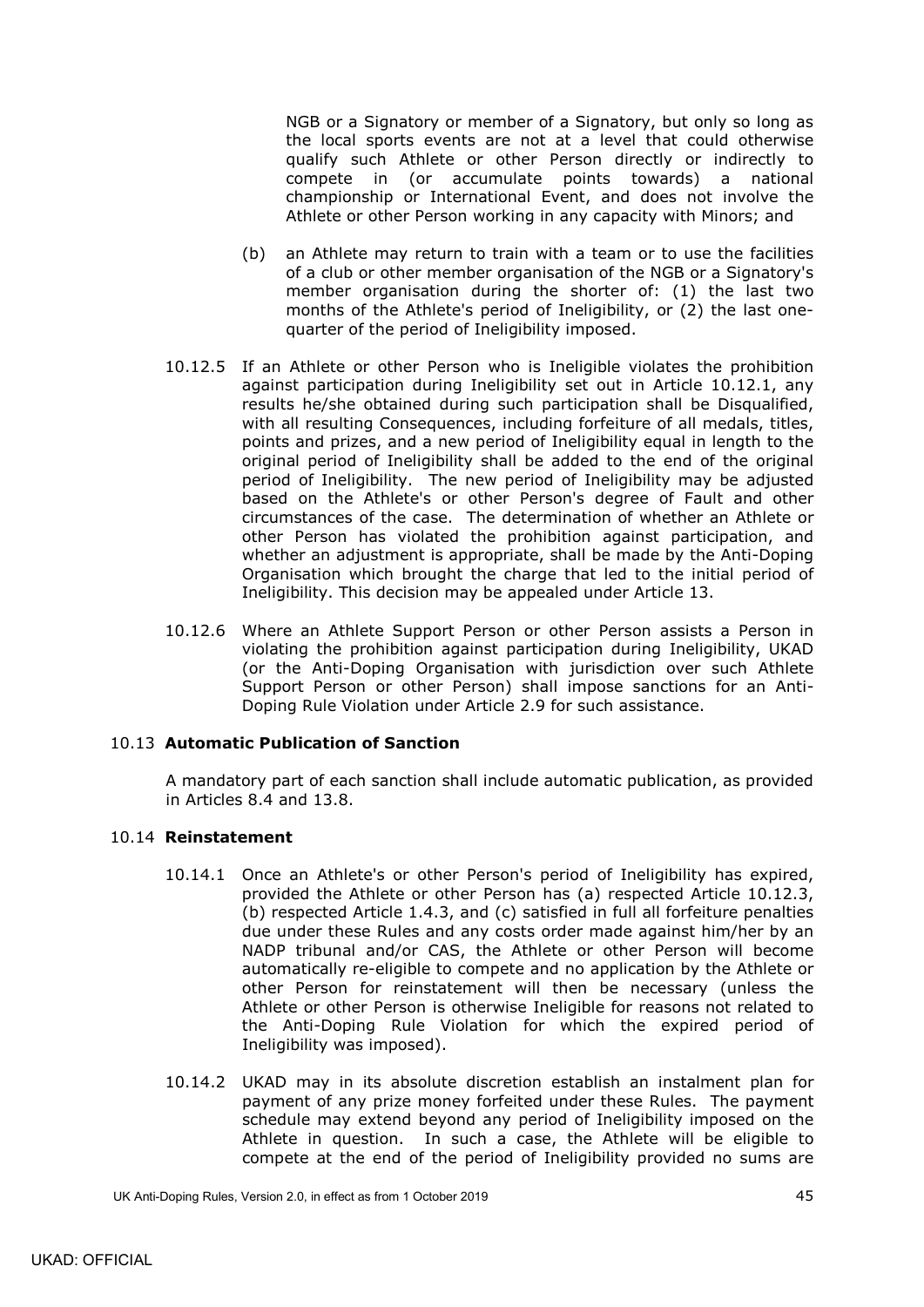NGB or a Signatory or member of a Signatory, but only so long as the local sports events are not at a level that could otherwise qualify such Athlete or other Person directly or indirectly to compete in (or accumulate points towards) a national championship or International Event, and does not involve the Athlete or other Person working in any capacity with Minors; and

- (b) an Athlete may return to train with a team or to use the facilities of a club or other member organisation of the NGB or a Signatory's member organisation during the shorter of: (1) the last two months of the Athlete's period of Ineligibility, or (2) the last onequarter of the period of Ineligibility imposed.
- <span id="page-48-2"></span>10.12.5 If an Athlete or other Person who is Ineligible violates the prohibition against participation during Ineligibility set out in Article [10.12.1,](#page-47-1) any results he/she obtained during such participation shall be Disqualified, with all resulting Consequences, including forfeiture of all medals, titles, points and prizes, and a new period of Ineligibility equal in length to the original period of Ineligibility shall be added to the end of the original period of Ineligibility. The new period of Ineligibility may be adjusted based on the Athlete's or other Person's degree of Fault and other circumstances of the case. The determination of whether an Athlete or other Person has violated the prohibition against participation, and whether an adjustment is appropriate, shall be made by the Anti-Doping Organisation which brought the charge that led to the initial period of Ineligibility. This decision may be appealed under Article 13.
- 10.12.6 Where an Athlete Support Person or other Person assists a Person in violating the prohibition against participation during Ineligibility, UKAD (or the Anti-Doping Organisation with jurisdiction over such Athlete Support Person or other Person) shall impose sanctions for an Anti-Doping Rule Violation under Article [2.9](#page-12-4) for such assistance.

### <span id="page-48-0"></span>10.13 **Automatic Publication of Sanction**

A mandatory part of each sanction shall include automatic publication, as provided in Articles [8.4](#page-38-0) and [13.8.](#page-53-0)

#### <span id="page-48-1"></span>10.14 **Reinstatement**

- 10.14.1 Once an Athlete's or other Person's period of Ineligibility has expired, provided the Athlete or other Person has (a) respected Article [10.12.3,](#page-47-2) (b) respected Article [1.4.3,](#page-8-1) and (c) satisfied in full all forfeiture penalties due under these Rules and any costs order made against him/her by an NADP tribunal and/or CAS, the Athlete or other Person will become automatically re-eligible to compete and no application by the Athlete or other Person for reinstatement will then be necessary (unless the Athlete or other Person is otherwise Ineligible for reasons not related to the Anti-Doping Rule Violation for which the expired period of Ineligibility was imposed).
- 10.14.2 UKAD may in its absolute discretion establish an instalment plan for payment of any prize money forfeited under these Rules. The payment schedule may extend beyond any period of Ineligibility imposed on the Athlete in question. In such a case, the Athlete will be eligible to compete at the end of the period of Ineligibility provided no sums are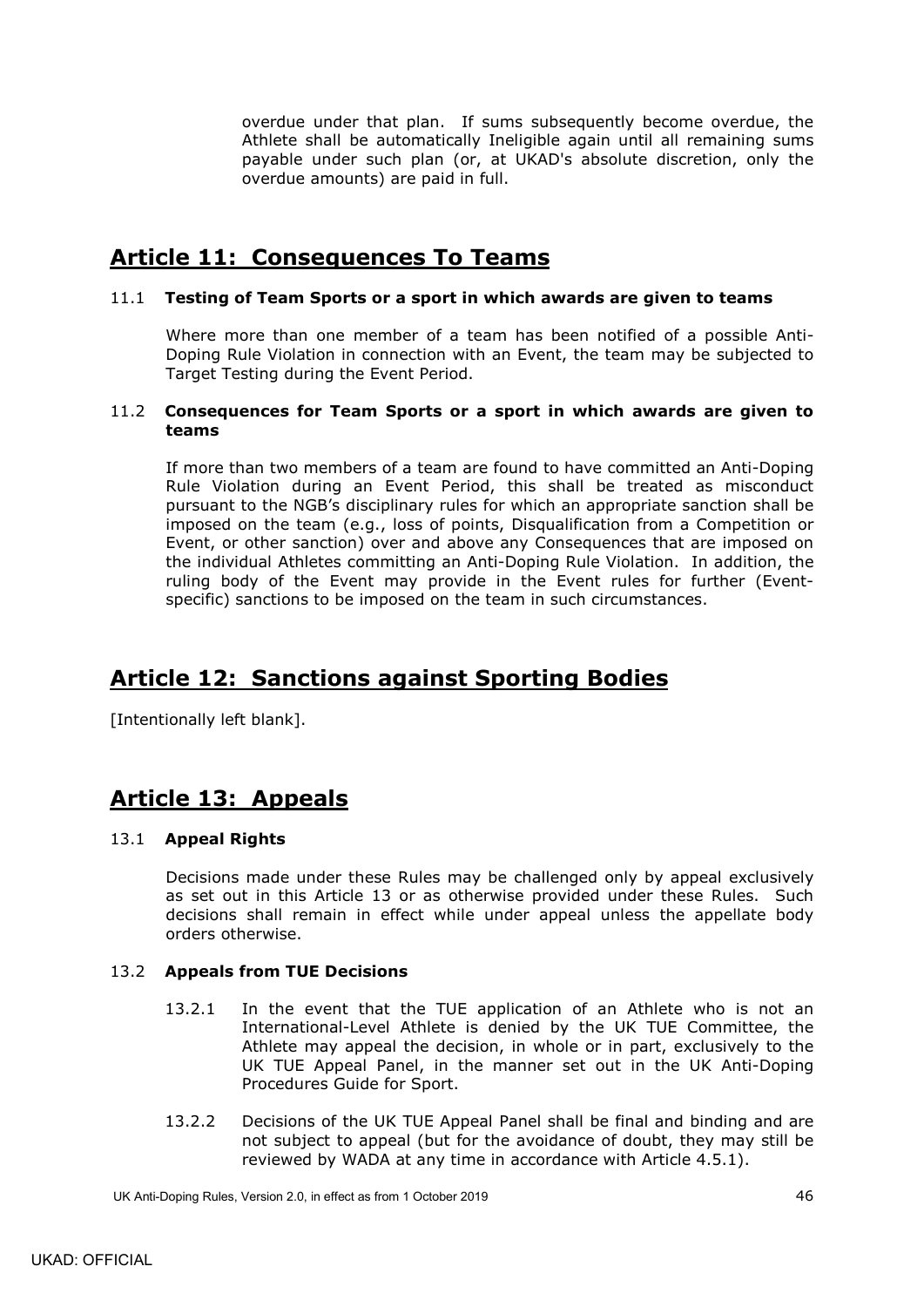overdue under that plan. If sums subsequently become overdue, the Athlete shall be automatically Ineligible again until all remaining sums payable under such plan (or, at UKAD's absolute discretion, only the overdue amounts) are paid in full.

# <span id="page-49-0"></span>**Article 11: Consequences To Teams**

## <span id="page-49-1"></span>11.1 **Testing of Team Sports or a sport in which awards are given to teams**

Where more than one member of a team has been notified of a possible Anti-Doping Rule Violation in connection with an Event, the team may be subjected to Target Testing during the Event Period.

#### <span id="page-49-2"></span>11.2 **Consequences for Team Sports or a sport in which awards are given to teams**

If more than two members of a team are found to have committed an Anti-Doping Rule Violation during an Event Period, this shall be treated as misconduct pursuant to the NGB's disciplinary rules for which an appropriate sanction shall be imposed on the team (e.g., loss of points, Disqualification from a Competition or Event, or other sanction) over and above any Consequences that are imposed on the individual Athletes committing an Anti-Doping Rule Violation. In addition, the ruling body of the Event may provide in the Event rules for further (Eventspecific) sanctions to be imposed on the team in such circumstances.

# <span id="page-49-3"></span>**Article 12: Sanctions against Sporting Bodies**

[Intentionally left blank].

# <span id="page-49-4"></span>**Article 13: Appeals**

## <span id="page-49-5"></span>13.1 **Appeal Rights**

Decisions made under these Rules may be challenged only by appeal exclusively as set out in this Article 13 or as otherwise provided under these Rules. Such decisions shall remain in effect while under appeal unless the appellate body orders otherwise.

## <span id="page-49-6"></span>13.2 **Appeals from TUE Decisions**

- 13.2.1 In the event that the TUE application of an Athlete who is not an International-Level Athlete is denied by the UK TUE Committee, the Athlete may appeal the decision, in whole or in part, exclusively to the UK TUE Appeal Panel, in the manner set out in the UK Anti-Doping Procedures Guide for Sport.
- 13.2.2 Decisions of the UK TUE Appeal Panel shall be final and binding and are not subject to appeal (but for the avoidance of doubt, they may still be reviewed by WADA at any time in accordance with Article [4.5.1\)](#page-19-1).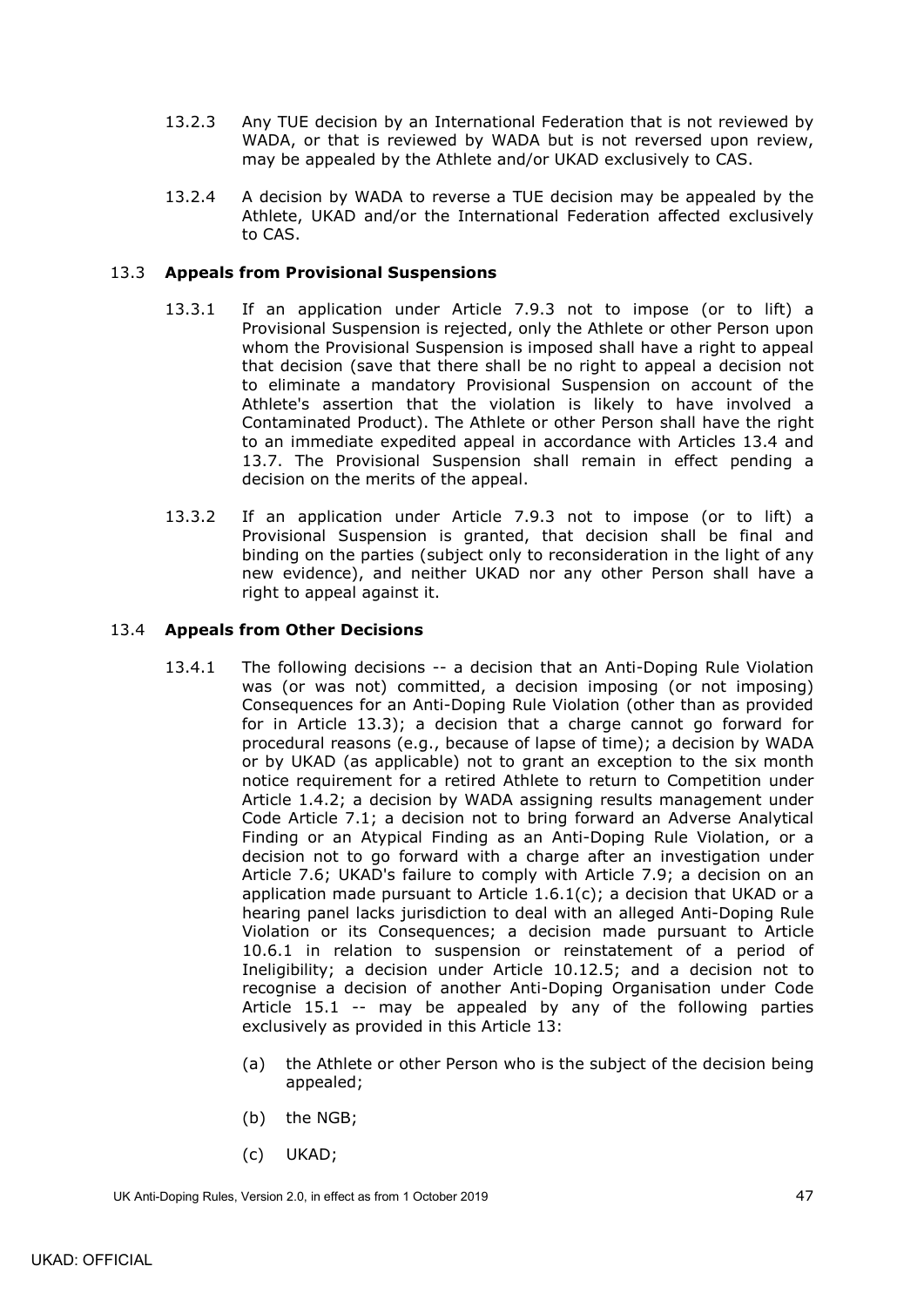- 13.2.3 Any TUE decision by an International Federation that is not reviewed by WADA, or that is reviewed by WADA but is not reversed upon review, may be appealed by the Athlete and/or UKAD exclusively to CAS.
- 13.2.4 A decision by WADA to reverse a TUE decision may be appealed by the Athlete, UKAD and/or the International Federation affected exclusively to CAS.

## <span id="page-50-0"></span>13.3 **Appeals from Provisional Suspensions**

- 13.3.1 If an application under Article [7.9.3](#page-34-4) not to impose (or to lift) a Provisional Suspension is rejected, only the Athlete or other Person upon whom the Provisional Suspension is imposed shall have a right to appeal that decision (save that there shall be no right to appeal a decision not to eliminate a mandatory Provisional Suspension on account of the Athlete's assertion that the violation is likely to have involved a Contaminated Product). The Athlete or other Person shall have the right to an immediate expedited appeal in accordance with Articles [13.4](#page-50-1) and [13.7.](#page-52-0) The Provisional Suspension shall remain in effect pending a decision on the merits of the appeal.
- 13.3.2 If an application under Article [7.9.3](#page-34-4) not to impose (or to lift) a Provisional Suspension is granted, that decision shall be final and binding on the parties (subject only to reconsideration in the light of any new evidence), and neither UKAD nor any other Person shall have a right to appeal against it.

## <span id="page-50-2"></span><span id="page-50-1"></span>13.4 **Appeals from Other Decisions**

- 13.4.1 The following decisions -- a decision that an Anti-Doping Rule Violation was (or was not) committed, a decision imposing (or not imposing) Consequences for an Anti-Doping Rule Violation (other than as provided for in Article [13.3\)](#page-50-0); a decision that a charge cannot go forward for procedural reasons (e.g., because of lapse of time); a decision by WADA or by UKAD (as applicable) not to grant an exception to the six month notice requirement for a retired Athlete to return to Competition under Article [1.4.2;](#page-7-2) a decision by WADA assigning results management under Code Article [7.1;](#page-26-2) a decision not to bring forward an Adverse Analytical Finding or an Atypical Finding as an Anti-Doping Rule Violation, or a decision not to go forward with a charge after an investigation under Article [7.6;](#page-31-0) UKAD's failure to comply with Article [7.9;](#page-34-0) a decision on an application made pursuant to Article  $1.6.1(c)$ ; a decision that UKAD or a hearing panel lacks jurisdiction to deal with an alleged Anti-Doping Rule Violation or its Consequences; a decision made pursuant to Article [10.6.1](#page-42-3) in relation to suspension or reinstatement of a period of Ineligibility; a decision under Article [10.12.5;](#page-48-2) and a decision not to recognise a decision of another Anti-Doping Organisation under Code Article 15.1 -- may be appealed by any of the following parties exclusively as provided in this Article 13:
	- (a) the Athlete or other Person who is the subject of the decision being appealed;
	- (b) the NGB;
	- (c) UKAD;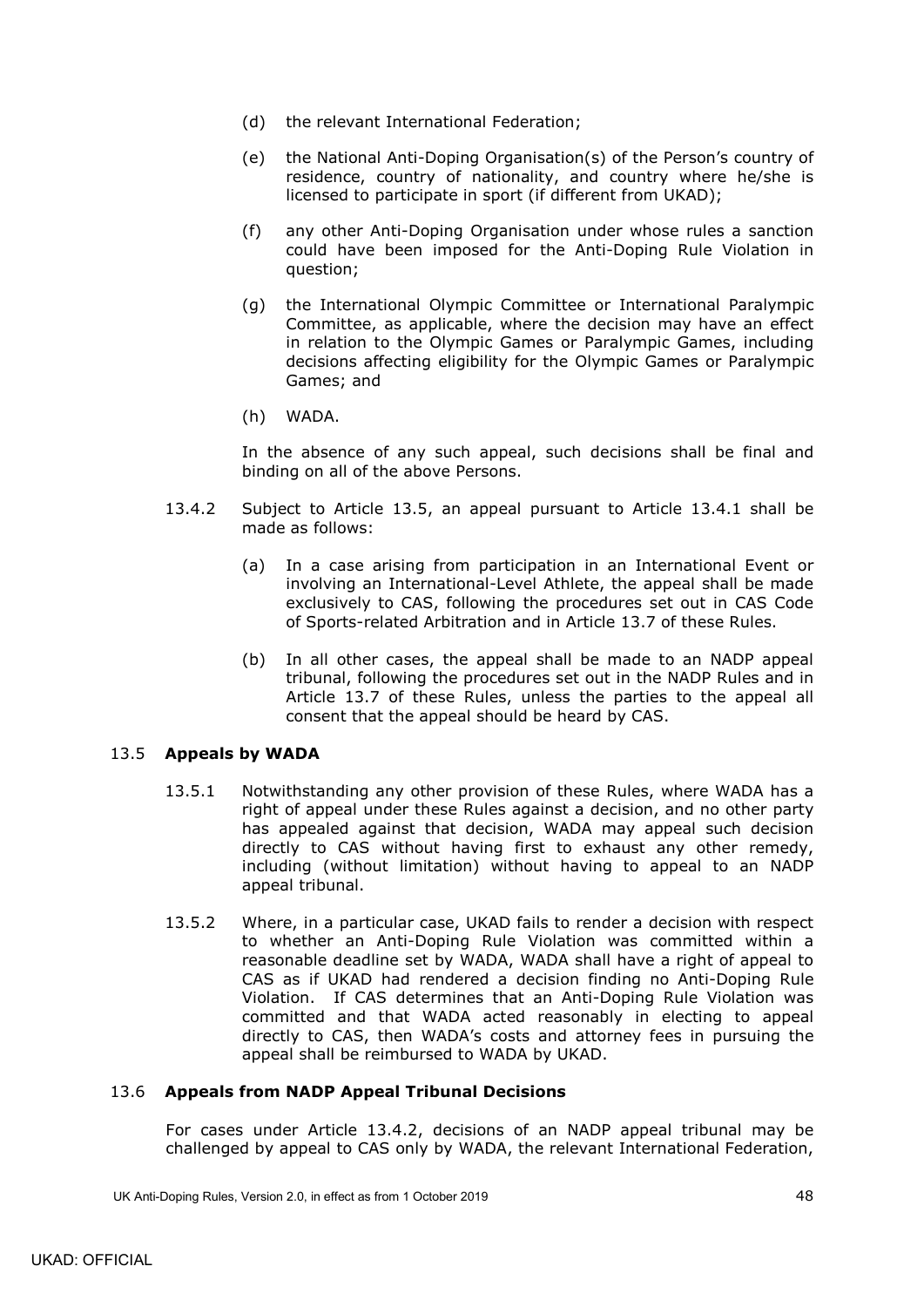- (d) the relevant International Federation;
- (e) the National Anti-Doping Organisation(s) of the Person's country of residence, country of nationality, and country where he/she is licensed to participate in sport (if different from UKAD);
- (f) any other Anti-Doping Organisation under whose rules a sanction could have been imposed for the Anti-Doping Rule Violation in question;
- (g) the International Olympic Committee or International Paralympic Committee, as applicable, where the decision may have an effect in relation to the Olympic Games or Paralympic Games, including decisions affecting eligibility for the Olympic Games or Paralympic Games; and
- (h) WADA.

In the absence of any such appeal, such decisions shall be final and binding on all of the above Persons.

- <span id="page-51-2"></span>13.4.2 Subject to Article [13.5,](#page-51-0) an appeal pursuant to Article [13.4.1](#page-50-2) shall be made as follows:
	- (a) In a case arising from participation in an International Event or involving an International-Level Athlete, the appeal shall be made exclusively to CAS, following the procedures set out in CAS Code of Sports-related Arbitration and in Article [13.7](#page-52-0) of these Rules.
	- (b) In all other cases, the appeal shall be made to an NADP appeal tribunal, following the procedures set out in the NADP Rules and in Article [13.7](#page-52-0) of these Rules, unless the parties to the appeal all consent that the appeal should be heard by CAS.

### <span id="page-51-0"></span>13.5 **Appeals by WADA**

- 13.5.1 Notwithstanding any other provision of these Rules, where WADA has a right of appeal under these Rules against a decision, and no other party has appealed against that decision, WADA may appeal such decision directly to CAS without having first to exhaust any other remedy, including (without limitation) without having to appeal to an NADP appeal tribunal.
- 13.5.2 Where, in a particular case, UKAD fails to render a decision with respect to whether an Anti-Doping Rule Violation was committed within a reasonable deadline set by WADA, WADA shall have a right of appeal to CAS as if UKAD had rendered a decision finding no Anti-Doping Rule Violation. If CAS determines that an Anti-Doping Rule Violation was committed and that WADA acted reasonably in electing to appeal directly to CAS, then WADA's costs and attorney fees in pursuing the appeal shall be reimbursed to WADA by UKAD.

#### <span id="page-51-1"></span>13.6 **Appeals from NADP Appeal Tribunal Decisions**

For cases under Article [13.4.2,](#page-51-2) decisions of an NADP appeal tribunal may be challenged by appeal to CAS only by WADA, the relevant International Federation,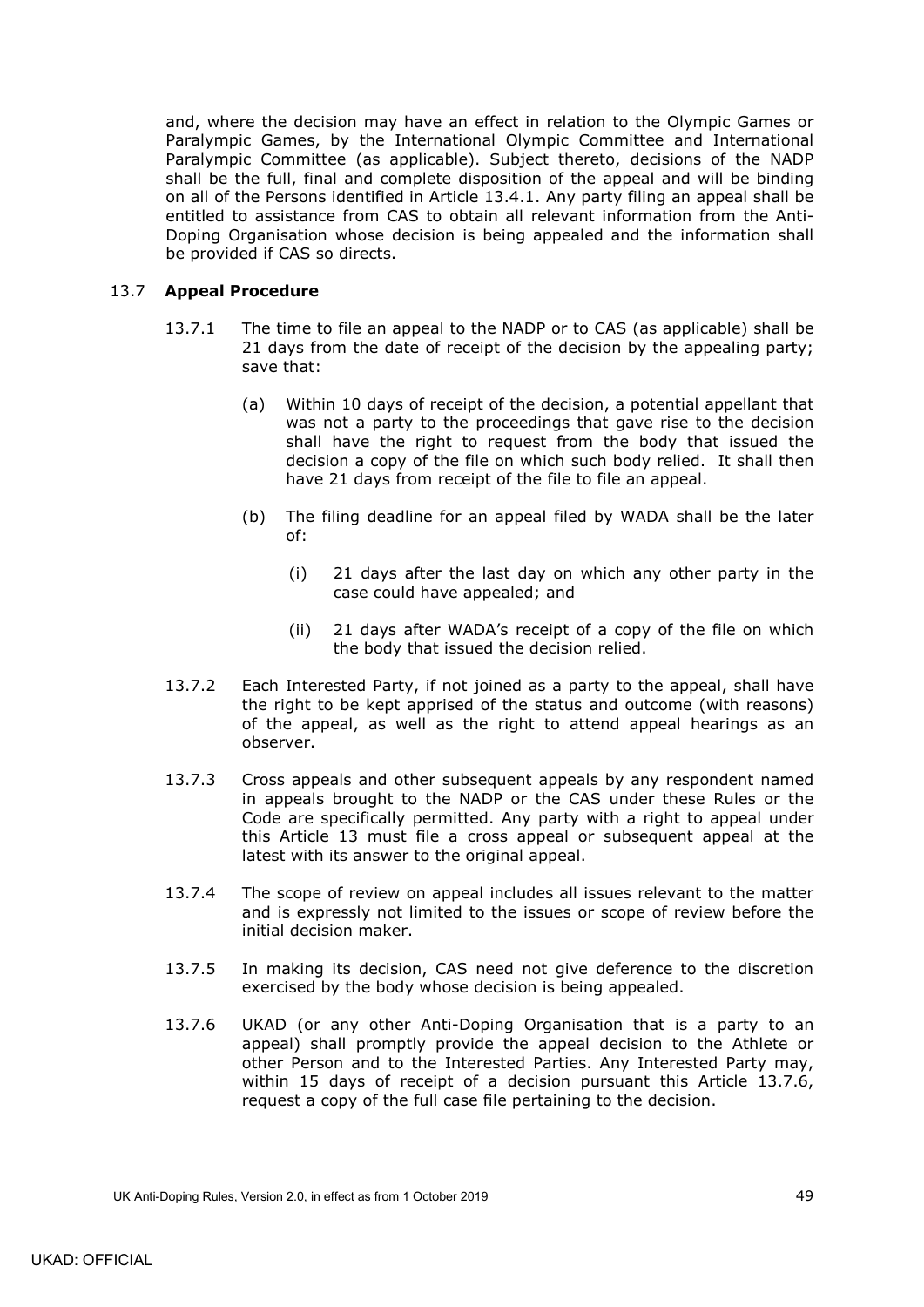and, where the decision may have an effect in relation to the Olympic Games or Paralympic Games, by the International Olympic Committee and International Paralympic Committee (as applicable). Subject thereto, decisions of the NADP shall be the full, final and complete disposition of the appeal and will be binding on all of the Persons identified in Article [13.4.1.](#page-50-2) Any party filing an appeal shall be entitled to assistance from CAS to obtain all relevant information from the Anti-Doping Organisation whose decision is being appealed and the information shall be provided if CAS so directs.

## <span id="page-52-0"></span>13.7 **Appeal Procedure**

- 13.7.1 The time to file an appeal to the NADP or to CAS (as applicable) shall be 21 days from the date of receipt of the decision by the appealing party; save that:
	- (a) Within 10 days of receipt of the decision, a potential appellant that was not a party to the proceedings that gave rise to the decision shall have the right to request from the body that issued the decision a copy of the file on which such body relied. It shall then have 21 days from receipt of the file to file an appeal.
	- (b) The filing deadline for an appeal filed by WADA shall be the later of:
		- (i) 21 days after the last day on which any other party in the case could have appealed; and
		- (ii) 21 days after WADA's receipt of a copy of the file on which the body that issued the decision relied.
- 13.7.2 Each Interested Party, if not joined as a party to the appeal, shall have the right to be kept apprised of the status and outcome (with reasons) of the appeal, as well as the right to attend appeal hearings as an observer.
- 13.7.3 Cross appeals and other subsequent appeals by any respondent named in appeals brought to the NADP or the CAS under these Rules or the Code are specifically permitted. Any party with a right to appeal under this Article 13 must file a cross appeal or subsequent appeal at the latest with its answer to the original appeal.
- 13.7.4 The scope of review on appeal includes all issues relevant to the matter and is expressly not limited to the issues or scope of review before the initial decision maker.
- 13.7.5 In making its decision, CAS need not give deference to the discretion exercised by the body whose decision is being appealed.
- <span id="page-52-1"></span>13.7.6 UKAD (or any other Anti-Doping Organisation that is a party to an appeal) shall promptly provide the appeal decision to the Athlete or other Person and to the Interested Parties. Any Interested Party may, within 15 days of receipt of a decision pursuant this Article [13.7.6,](#page-52-1) request a copy of the full case file pertaining to the decision.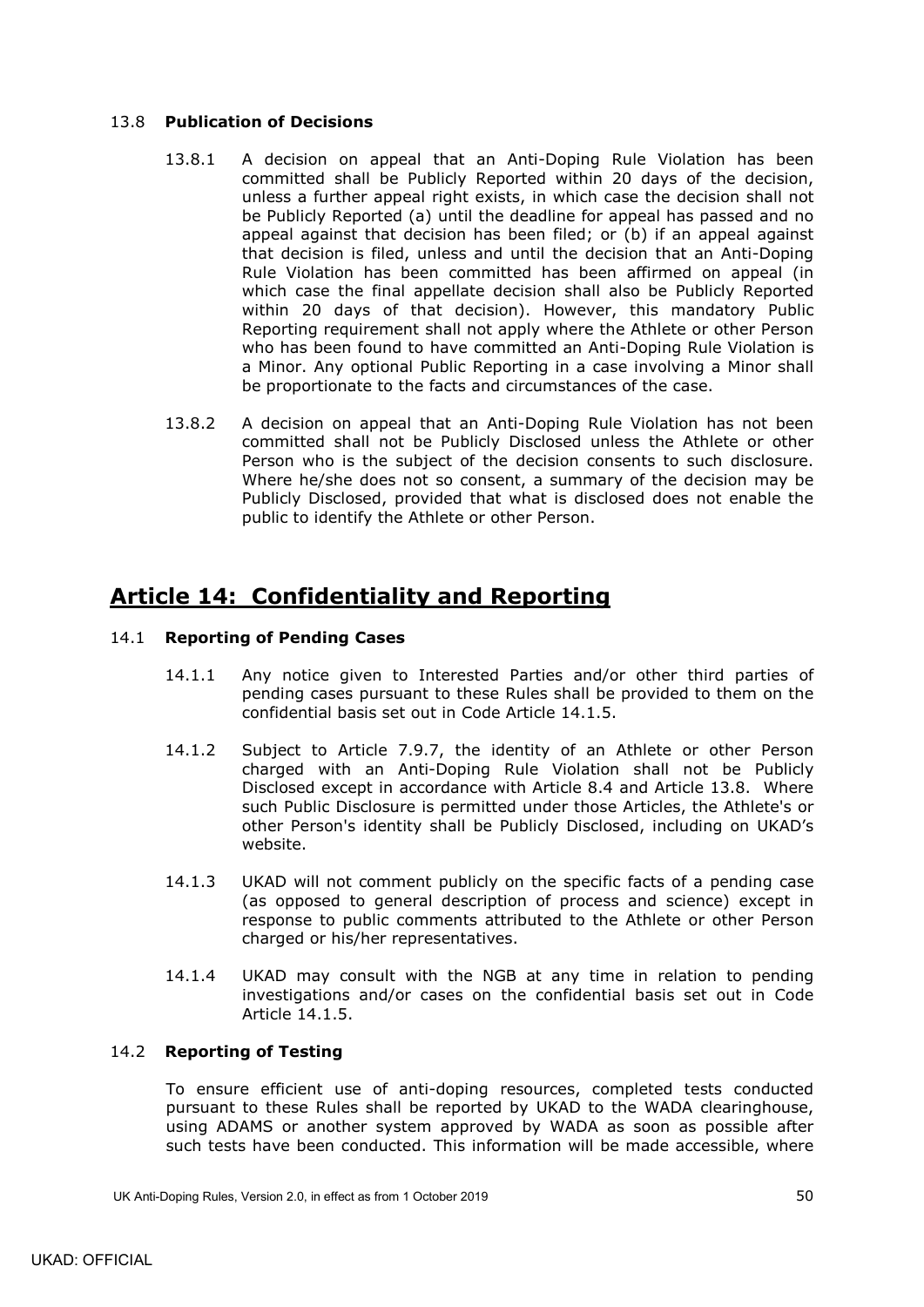## <span id="page-53-0"></span>13.8 **Publication of Decisions**

- 13.8.1 A decision on appeal that an Anti-Doping Rule Violation has been committed shall be Publicly Reported within 20 days of the decision, unless a further appeal right exists, in which case the decision shall not be Publicly Reported (a) until the deadline for appeal has passed and no appeal against that decision has been filed; or (b) if an appeal against that decision is filed, unless and until the decision that an Anti-Doping Rule Violation has been committed has been affirmed on appeal (in which case the final appellate decision shall also be Publicly Reported within 20 days of that decision). However, this mandatory Public Reporting requirement shall not apply where the Athlete or other Person who has been found to have committed an Anti-Doping Rule Violation is a Minor. Any optional Public Reporting in a case involving a Minor shall be proportionate to the facts and circumstances of the case.
- 13.8.2 A decision on appeal that an Anti-Doping Rule Violation has not been committed shall not be Publicly Disclosed unless the Athlete or other Person who is the subject of the decision consents to such disclosure. Where he/she does not so consent, a summary of the decision may be Publicly Disclosed, provided that what is disclosed does not enable the public to identify the Athlete or other Person.

# <span id="page-53-1"></span>**Article 14: Confidentiality and Reporting**

## <span id="page-53-2"></span>14.1 **Reporting of Pending Cases**

- 14.1.1 Any notice given to Interested Parties and/or other third parties of pending cases pursuant to these Rules shall be provided to them on the confidential basis set out in Code Article 14.1.5.
- 14.1.2 Subject to Article [7.9.7,](#page-36-3) the identity of an Athlete or other Person charged with an Anti-Doping Rule Violation shall not be Publicly Disclosed except in accordance with Article [8.4](#page-38-0) and Article [13.8.](#page-53-0) Where such Public Disclosure is permitted under those Articles, the Athlete's or other Person's identity shall be Publicly Disclosed, including on UKAD's website.
- 14.1.3 UKAD will not comment publicly on the specific facts of a pending case (as opposed to general description of process and science) except in response to public comments attributed to the Athlete or other Person charged or his/her representatives.
- 14.1.4 UKAD may consult with the NGB at any time in relation to pending investigations and/or cases on the confidential basis set out in Code Article 14.1.5.

## <span id="page-53-3"></span>14.2 **Reporting of Testing**

To ensure efficient use of anti-doping resources, completed tests conducted pursuant to these Rules shall be reported by UKAD to the WADA clearinghouse, using ADAMS or another system approved by WADA as soon as possible after such tests have been conducted. This information will be made accessible, where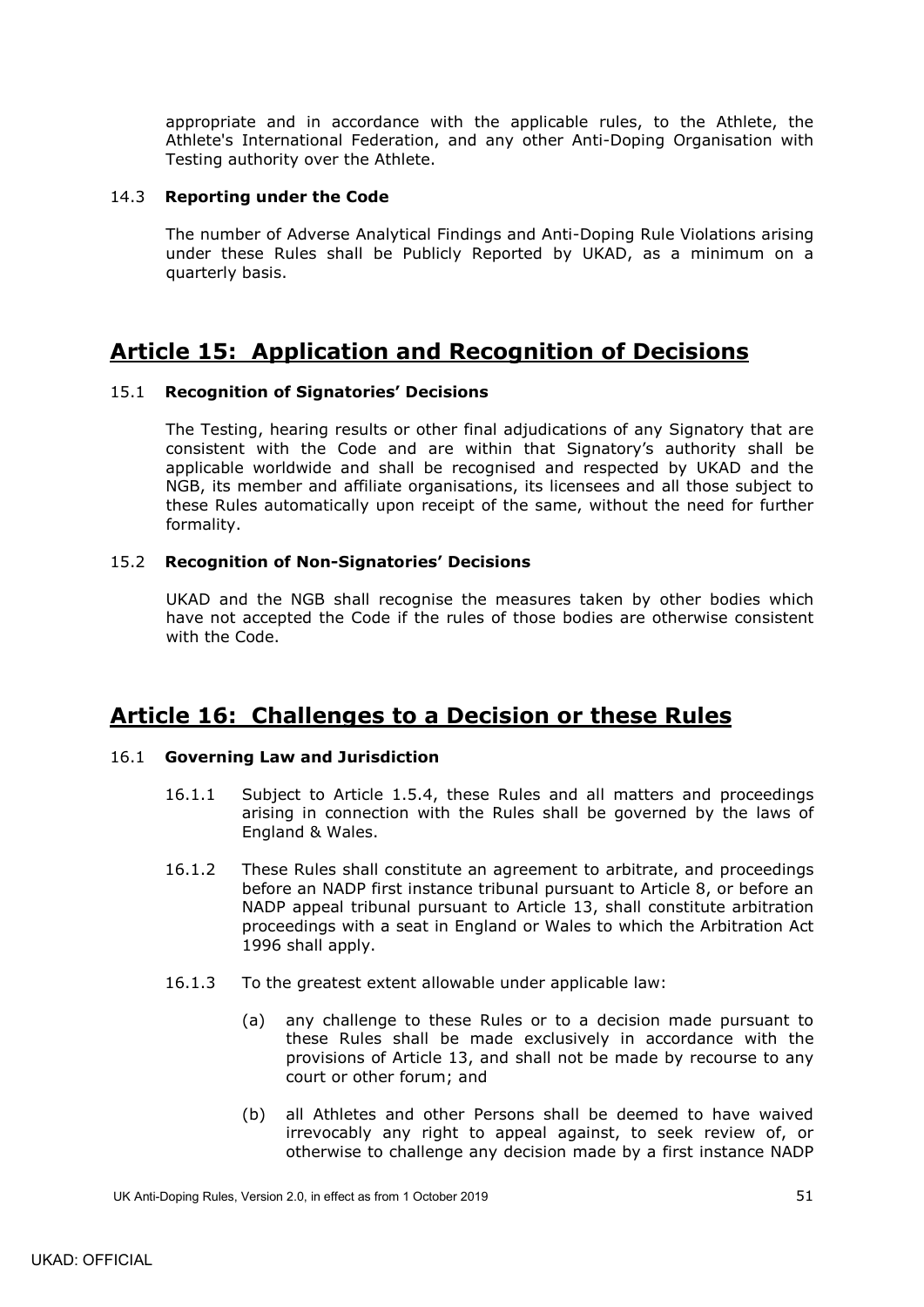appropriate and in accordance with the applicable rules, to the Athlete, the Athlete's International Federation, and any other Anti-Doping Organisation with Testing authority over the Athlete.

### <span id="page-54-0"></span>14.3 **Reporting under the Code**

The number of Adverse Analytical Findings and Anti-Doping Rule Violations arising under these Rules shall be Publicly Reported by UKAD, as a minimum on a quarterly basis.

# <span id="page-54-1"></span>**Article 15: Application and Recognition of Decisions**

## <span id="page-54-2"></span>15.1 **Recognition of Signatories' Decisions**

The Testing, hearing results or other final adjudications of any Signatory that are consistent with the Code and are within that Signatory's authority shall be applicable worldwide and shall be recognised and respected by UKAD and the NGB, its member and affiliate organisations, its licensees and all those subject to these Rules automatically upon receipt of the same, without the need for further formality.

## <span id="page-54-3"></span>15.2 **Recognition of Non-Signatories' Decisions**

UKAD and the NGB shall recognise the measures taken by other bodies which have not accepted the Code if the rules of those bodies are otherwise consistent with the Code.

# <span id="page-54-4"></span>**Article 16: Challenges to a Decision or these Rules**

### <span id="page-54-5"></span>16.1 **Governing Law and Jurisdiction**

- 16.1.1 Subject to Article [1.5.4,](#page-8-2) these Rules and all matters and proceedings arising in connection with the Rules shall be governed by the laws of England & Wales.
- <span id="page-54-6"></span>16.1.2 These Rules shall constitute an agreement to arbitrate, and proceedings before an NADP first instance tribunal pursuant to Article 8, or before an NADP appeal tribunal pursuant to Article 13, shall constitute arbitration proceedings with a seat in England or Wales to which the Arbitration Act 1996 shall apply.
- <span id="page-54-7"></span>16.1.3 To the greatest extent allowable under applicable law:
	- (a) any challenge to these Rules or to a decision made pursuant to these Rules shall be made exclusively in accordance with the provisions of Article 13, and shall not be made by recourse to any court or other forum; and
	- (b) all Athletes and other Persons shall be deemed to have waived irrevocably any right to appeal against, to seek review of, or otherwise to challenge any decision made by a first instance NADP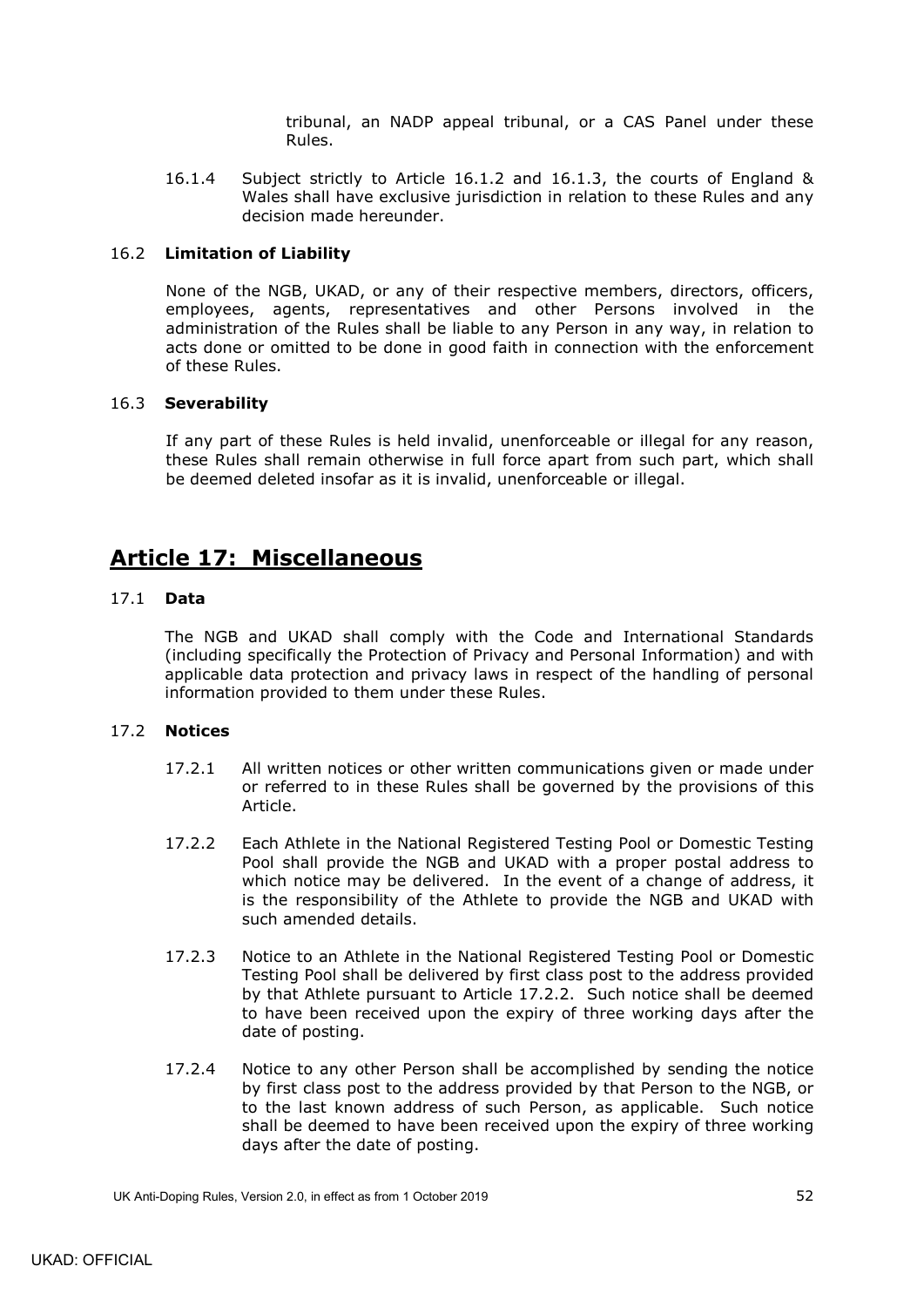tribunal, an NADP appeal tribunal, or a CAS Panel under these Rules.

16.1.4 Subject strictly to Article [16.1.2](#page-54-6) and [16.1.3,](#page-54-7) the courts of England & Wales shall have exclusive jurisdiction in relation to these Rules and any decision made hereunder.

## <span id="page-55-0"></span>16.2 **Limitation of Liability**

None of the NGB, UKAD, or any of their respective members, directors, officers, employees, agents, representatives and other Persons involved in the administration of the Rules shall be liable to any Person in any way, in relation to acts done or omitted to be done in good faith in connection with the enforcement of these Rules.

### <span id="page-55-1"></span>16.3 **Severability**

If any part of these Rules is held invalid, unenforceable or illegal for any reason, these Rules shall remain otherwise in full force apart from such part, which shall be deemed deleted insofar as it is invalid, unenforceable or illegal.

# <span id="page-55-2"></span>**Article 17: Miscellaneous**

### <span id="page-55-3"></span>17.1 **Data**

The NGB and UKAD shall comply with the Code and International Standards (including specifically the Protection of Privacy and Personal Information) and with applicable data protection and privacy laws in respect of the handling of personal information provided to them under these Rules.

## <span id="page-55-4"></span>17.2 **Notices**

- 17.2.1 All written notices or other written communications given or made under or referred to in these Rules shall be governed by the provisions of this Article.
- 17.2.2 Each Athlete in the National Registered Testing Pool or Domestic Testing Pool shall provide the NGB and UKAD with a proper postal address to which notice may be delivered. In the event of a change of address, it is the responsibility of the Athlete to provide the NGB and UKAD with such amended details.
- 17.2.3 Notice to an Athlete in the National Registered Testing Pool or Domestic Testing Pool shall be delivered by first class post to the address provided by that Athlete pursuant to Article 17.2.2. Such notice shall be deemed to have been received upon the expiry of three working days after the date of posting.
- 17.2.4 Notice to any other Person shall be accomplished by sending the notice by first class post to the address provided by that Person to the NGB, or to the last known address of such Person, as applicable. Such notice shall be deemed to have been received upon the expiry of three working days after the date of posting.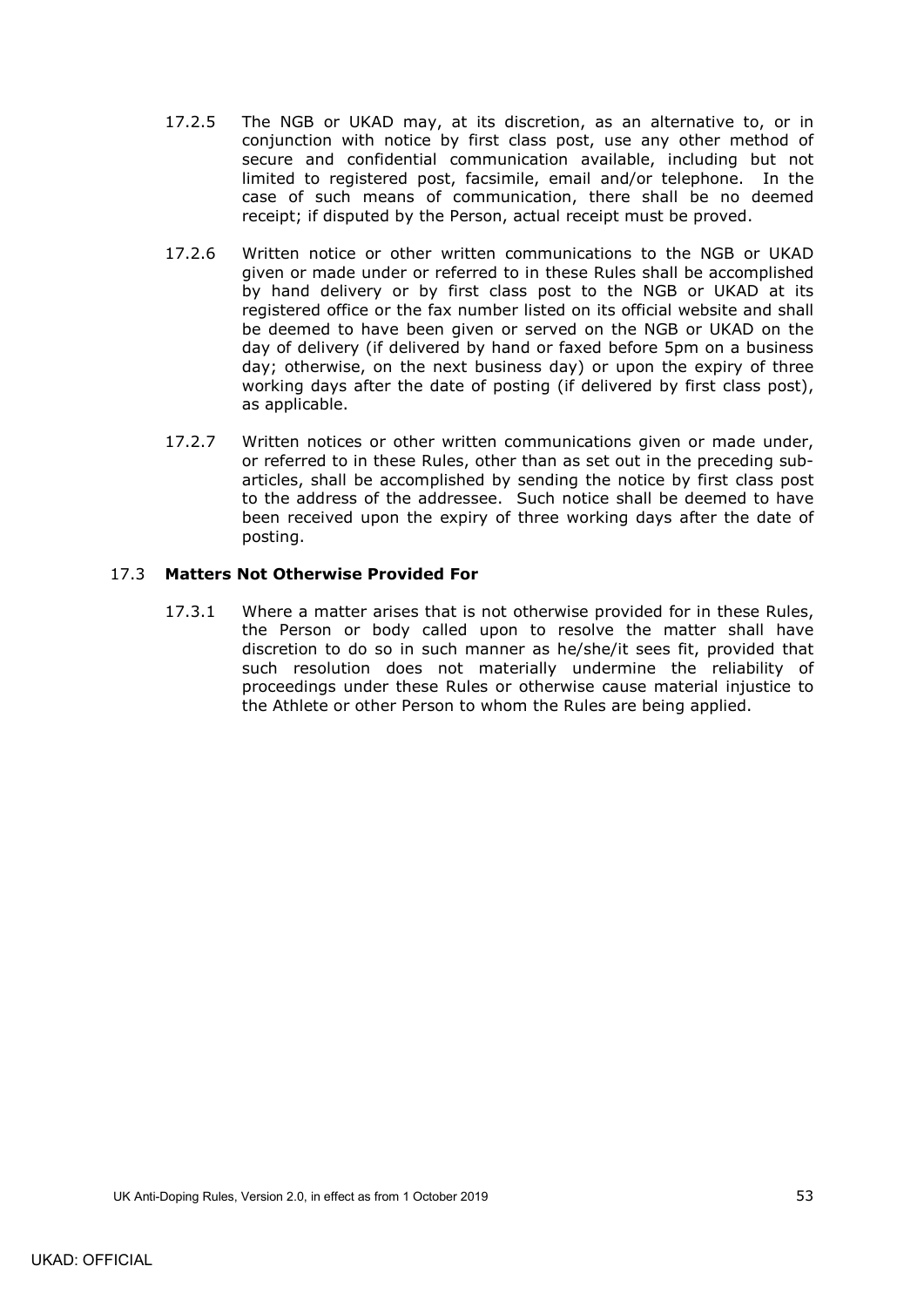- 17.2.5 The NGB or UKAD may, at its discretion, as an alternative to, or in conjunction with notice by first class post, use any other method of secure and confidential communication available, including but not limited to registered post, facsimile, email and/or telephone. In the case of such means of communication, there shall be no deemed receipt; if disputed by the Person, actual receipt must be proved.
- 17.2.6 Written notice or other written communications to the NGB or UKAD given or made under or referred to in these Rules shall be accomplished by hand delivery or by first class post to the NGB or UKAD at its registered office or the fax number listed on its official website and shall be deemed to have been given or served on the NGB or UKAD on the day of delivery (if delivered by hand or faxed before 5pm on a business day; otherwise, on the next business day) or upon the expiry of three working days after the date of posting (if delivered by first class post), as applicable.
- 17.2.7 Written notices or other written communications given or made under, or referred to in these Rules, other than as set out in the preceding subarticles, shall be accomplished by sending the notice by first class post to the address of the addressee. Such notice shall be deemed to have been received upon the expiry of three working days after the date of posting.

## <span id="page-56-0"></span>17.3 **Matters Not Otherwise Provided For**

17.3.1 Where a matter arises that is not otherwise provided for in these Rules, the Person or body called upon to resolve the matter shall have discretion to do so in such manner as he/she/it sees fit, provided that such resolution does not materially undermine the reliability of proceedings under these Rules or otherwise cause material injustice to the Athlete or other Person to whom the Rules are being applied.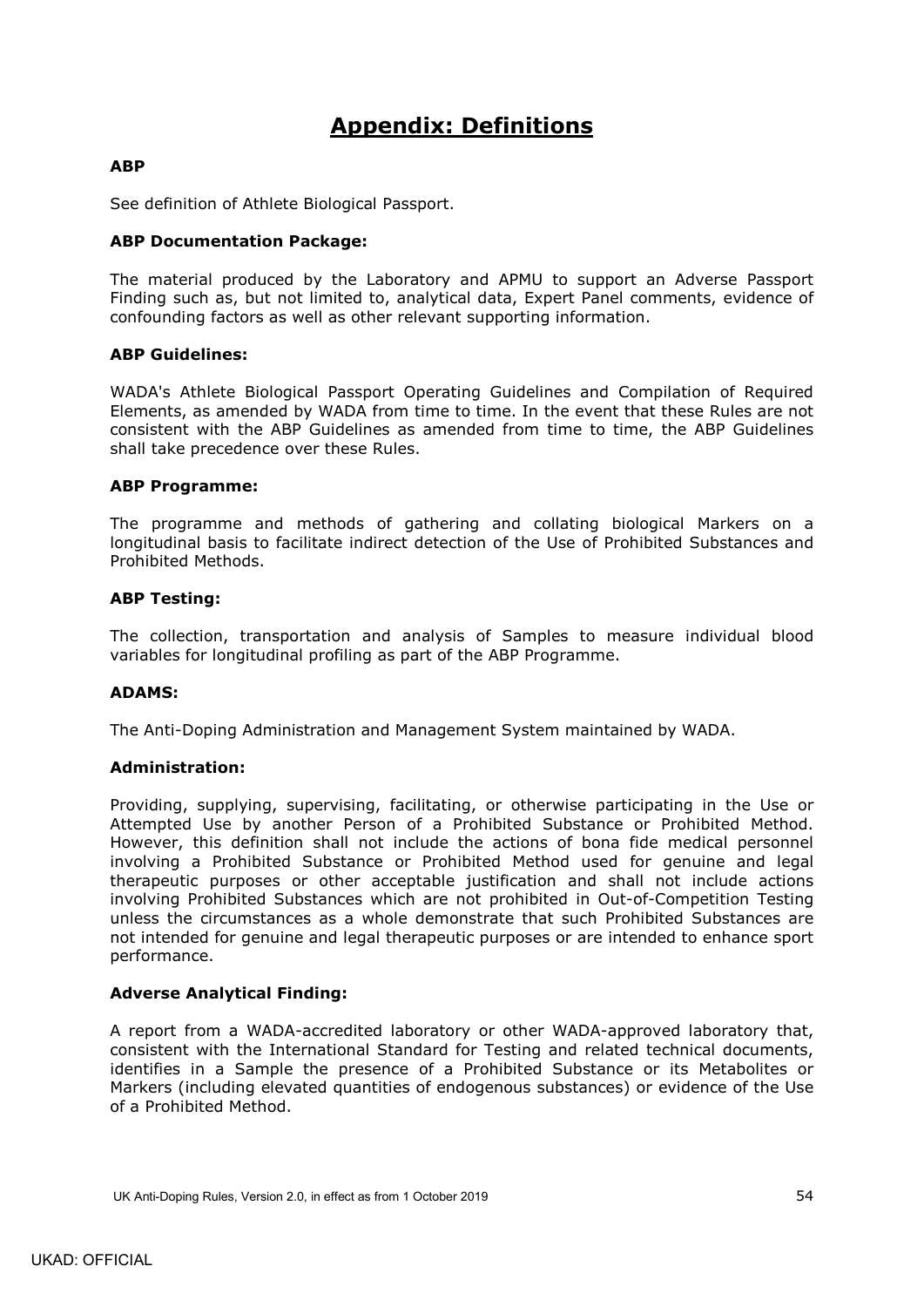# **Appendix: Definitions**

## <span id="page-57-0"></span>**ABP**

See definition of Athlete Biological Passport.

## **ABP Documentation Package:**

The material produced by the Laboratory and APMU to support an Adverse Passport Finding such as, but not limited to, analytical data, Expert Panel comments, evidence of confounding factors as well as other relevant supporting information.

### **ABP Guidelines:**

WADA's Athlete Biological Passport Operating Guidelines and Compilation of Required Elements, as amended by WADA from time to time. In the event that these Rules are not consistent with the ABP Guidelines as amended from time to time, the ABP Guidelines shall take precedence over these Rules.

#### **ABP Programme:**

The programme and methods of gathering and collating biological Markers on a longitudinal basis to facilitate indirect detection of the Use of Prohibited Substances and Prohibited Methods.

#### **ABP Testing:**

The collection, transportation and analysis of Samples to measure individual blood variables for longitudinal profiling as part of the ABP Programme.

### **ADAMS:**

The Anti-Doping Administration and Management System maintained by WADA.

### **Administration:**

Providing, supplying, supervising, facilitating, or otherwise participating in the Use or Attempted Use by another Person of a Prohibited Substance or Prohibited Method. However, this definition shall not include the actions of bona fide medical personnel involving a Prohibited Substance or Prohibited Method used for genuine and legal therapeutic purposes or other acceptable justification and shall not include actions involving Prohibited Substances which are not prohibited in Out-of-Competition Testing unless the circumstances as a whole demonstrate that such Prohibited Substances are not intended for genuine and legal therapeutic purposes or are intended to enhance sport performance.

### **Adverse Analytical Finding:**

A report from a WADA-accredited laboratory or other WADA-approved laboratory that, consistent with the International Standard for Testing and related technical documents, identifies in a Sample the presence of a Prohibited Substance or its Metabolites or Markers (including elevated quantities of endogenous substances) or evidence of the Use of a Prohibited Method.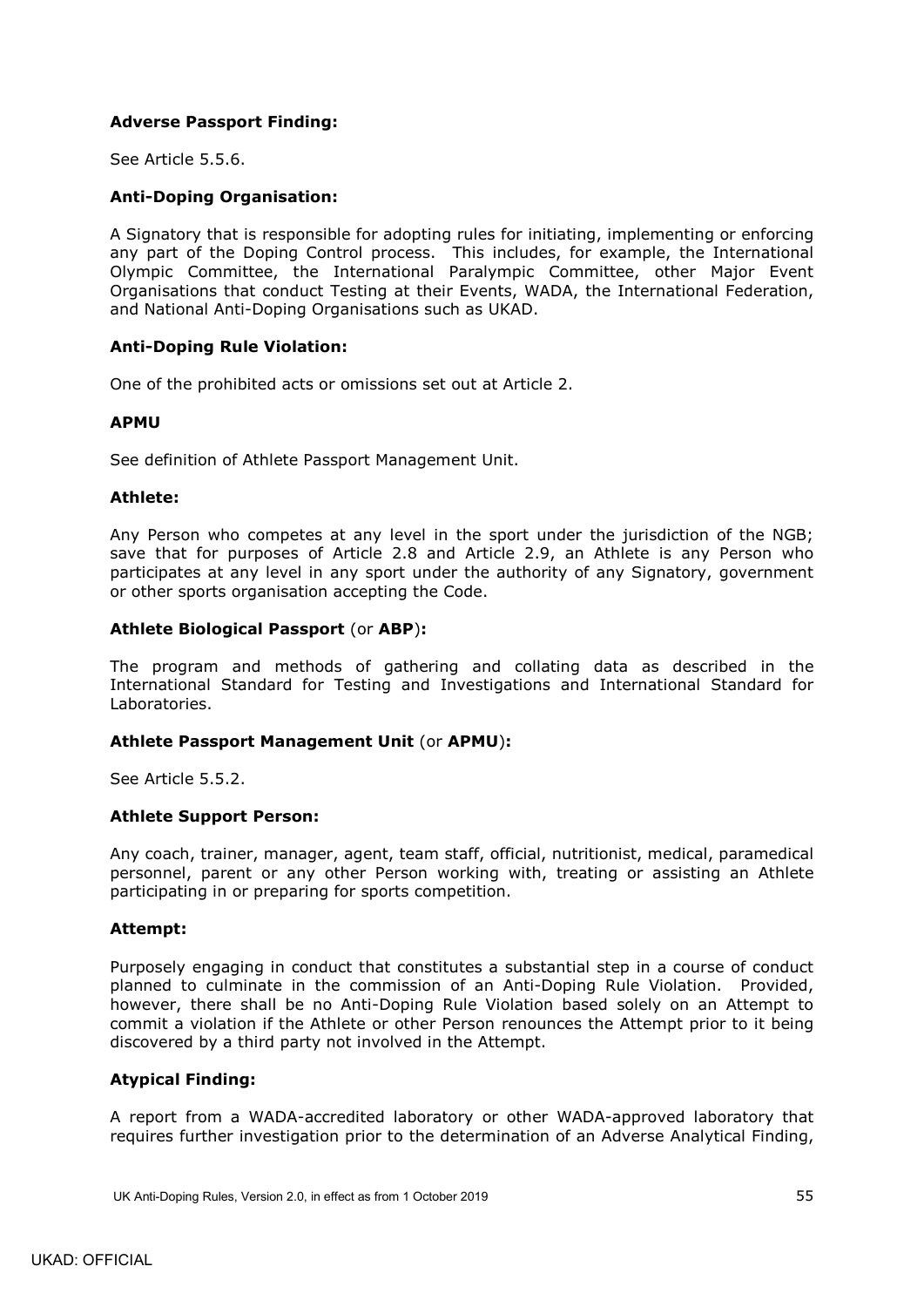## **Adverse Passport Finding:**

See Article [5.5.6.](#page-22-3)

### **Anti-Doping Organisation:**

A Signatory that is responsible for adopting rules for initiating, implementing or enforcing any part of the Doping Control process. This includes, for example, the International Olympic Committee, the International Paralympic Committee, other Major Event Organisations that conduct Testing at their Events, WADA, the International Federation, and National Anti-Doping Organisations such as UKAD.

### **Anti-Doping Rule Violation:**

One of the prohibited acts or omissions set out at Article 2.

### **APMU**

See definition of Athlete Passport Management Unit.

#### **Athlete:**

Any Person who competes at any level in the sport under the jurisdiction of the NGB; save that for purposes of Article 2.8 and Article [2.9,](#page-12-4) an Athlete is any Person who participates at any level in any sport under the authority of any Signatory, government or other sports organisation accepting the Code.

### **Athlete Biological Passport** (or **ABP**)**:**

The program and methods of gathering and collating data as described in the International Standard for Testing and Investigations and International Standard for Laboratories.

### **Athlete Passport Management Unit** (or **APMU**)**:**

See Article [5.5.2.](#page-22-4)

#### **Athlete Support Person:**

Any coach, trainer, manager, agent, team staff, official, nutritionist, medical, paramedical personnel, parent or any other Person working with, treating or assisting an Athlete participating in or preparing for sports competition.

#### **Attempt:**

Purposely engaging in conduct that constitutes a substantial step in a course of conduct planned to culminate in the commission of an Anti-Doping Rule Violation. Provided, however, there shall be no Anti-Doping Rule Violation based solely on an Attempt to commit a violation if the Athlete or other Person renounces the Attempt prior to it being discovered by a third party not involved in the Attempt.

### **Atypical Finding:**

A report from a WADA-accredited laboratory or other WADA-approved laboratory that requires further investigation prior to the determination of an Adverse Analytical Finding,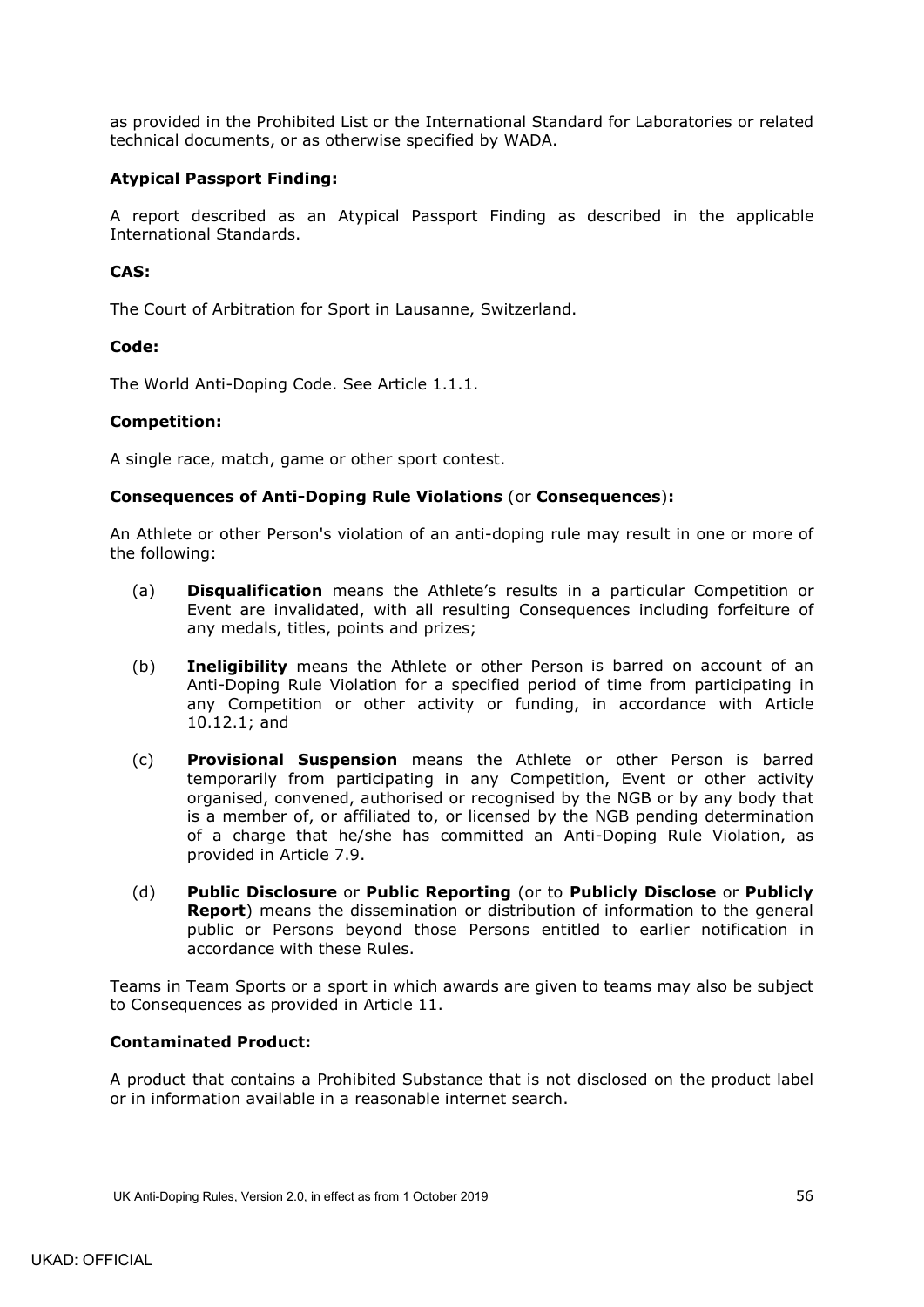as provided in the Prohibited List or the International Standard for Laboratories or related technical documents, or as otherwise specified by WADA.

## **Atypical Passport Finding:**

A report described as an Atypical Passport Finding as described in the applicable International Standards.

## **CAS:**

The Court of Arbitration for Sport in Lausanne, Switzerland.

### **Code:**

The World Anti-Doping Code. See Article [1.1.1.](#page-4-3)

### **Competition:**

A single race, match, game or other sport contest.

### **Consequences of Anti-Doping Rule Violations** (or **Consequences**)**:**

An Athlete or other Person's violation of an anti-doping rule may result in one or more of the following:

- (a) **Disqualification** means the Athlete's results in a particular Competition or Event are invalidated, with all resulting Consequences including forfeiture of any medals, titles, points and prizes;
- (b) **Ineligibility** means the Athlete or other Person is barred on account of an Anti-Doping Rule Violation for a specified period of time from participating in any Competition or other activity or funding, in accordance with Article [10.12.1;](#page-47-1) and
- (c) **Provisional Suspension** means the Athlete or other Person is barred temporarily from participating in any Competition, Event or other activity organised, convened, authorised or recognised by the NGB or by any body that is a member of, or affiliated to, or licensed by the NGB pending determination of a charge that he/she has committed an Anti-Doping Rule Violation, as provided in Article [7.9.](#page-34-0)
- (d) **Public Disclosure** or **Public Reporting** (or to **Publicly Disclose** or **Publicly Report**) means the dissemination or distribution of information to the general public or Persons beyond those Persons entitled to earlier notification in accordance with these Rules.

Teams in Team Sports or a sport in which awards are given to teams may also be subject to Consequences as provided in Article 11.

### **Contaminated Product:**

A product that contains a Prohibited Substance that is not disclosed on the product label or in information available in a reasonable internet search.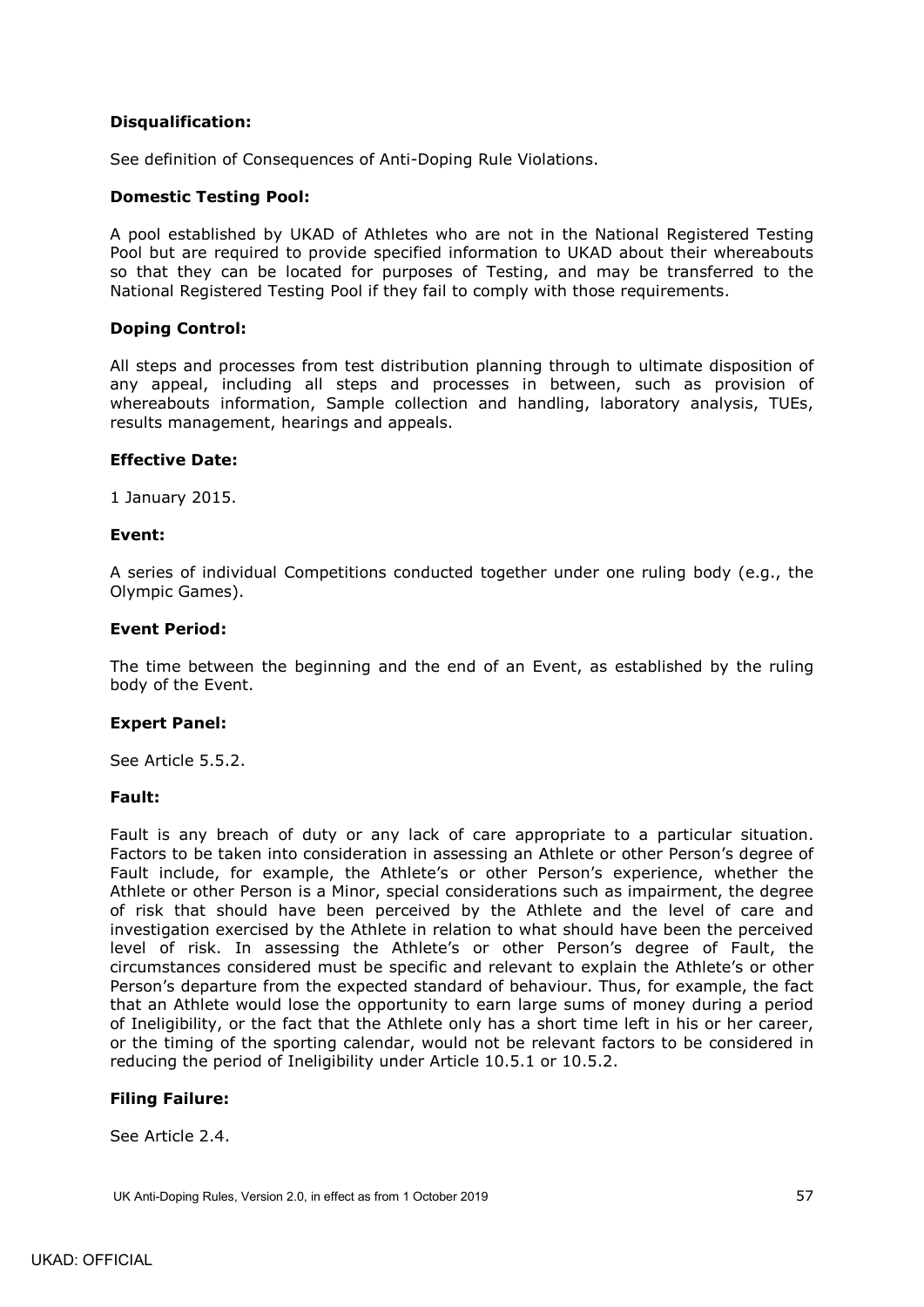## **Disqualification:**

See definition of Consequences of Anti-Doping Rule Violations.

#### **Domestic Testing Pool:**

A pool established by UKAD of Athletes who are not in the National Registered Testing Pool but are required to provide specified information to UKAD about their whereabouts so that they can be located for purposes of Testing, and may be transferred to the National Registered Testing Pool if they fail to comply with those requirements.

### **Doping Control:**

All steps and processes from test distribution planning through to ultimate disposition of any appeal, including all steps and processes in between, such as provision of whereabouts information, Sample collection and handling, laboratory analysis, TUEs, results management, hearings and appeals.

#### **Effective Date:**

1 January 2015.

#### **Event:**

A series of individual Competitions conducted together under one ruling body (e.g., the Olympic Games).

#### **Event Period:**

The time between the beginning and the end of an Event, as established by the ruling body of the Event.

### **Expert Panel:**

See Article [5.5.2.](#page-22-5)

### **Fault:**

Fault is any breach of duty or any lack of care appropriate to a particular situation. Factors to be taken into consideration in assessing an Athlete or other Person's degree of Fault include, for example, the Athlete's or other Person's experience, whether the Athlete or other Person is a Minor, special considerations such as impairment, the degree of risk that should have been perceived by the Athlete and the level of care and investigation exercised by the Athlete in relation to what should have been the perceived level of risk. In assessing the Athlete's or other Person's degree of Fault, the circumstances considered must be specific and relevant to explain the Athlete's or other Person's departure from the expected standard of behaviour. Thus, for example, the fact that an Athlete would lose the opportunity to earn large sums of money during a period of Ineligibility, or the fact that the Athlete only has a short time left in his or her career, or the timing of the sporting calendar, would not be relevant factors to be considered in reducing the period of Ineligibility under Article [10.5.1](#page-42-2) or [10.5.2.](#page-42-5)

### **Filing Failure:**

See Article [2.4.](#page-11-2)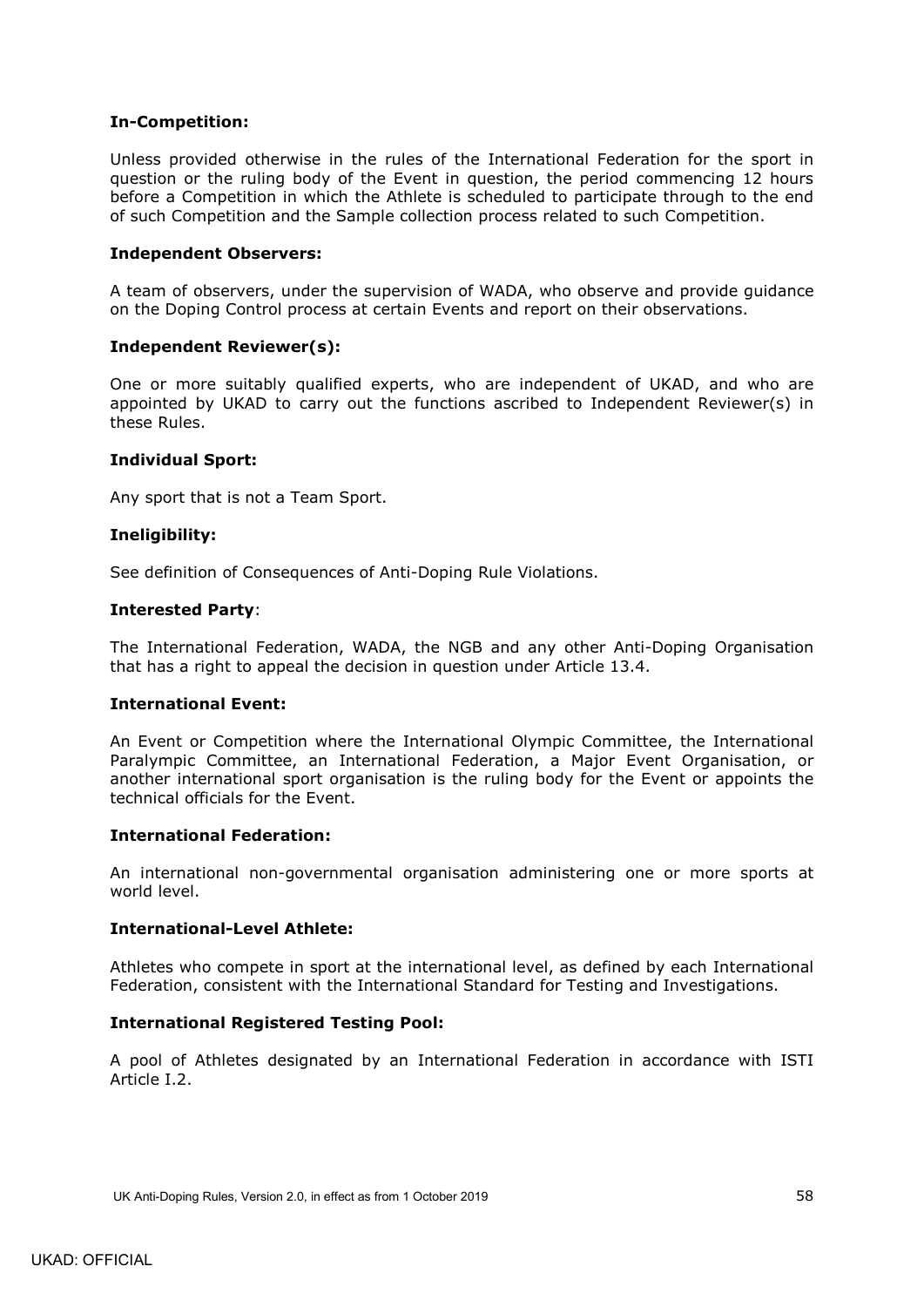## **In-Competition:**

Unless provided otherwise in the rules of the International Federation for the sport in question or the ruling body of the Event in question, the period commencing 12 hours before a Competition in which the Athlete is scheduled to participate through to the end of such Competition and the Sample collection process related to such Competition.

### **Independent Observers:**

A team of observers, under the supervision of WADA, who observe and provide guidance on the Doping Control process at certain Events and report on their observations.

### **Independent Reviewer(s):**

One or more suitably qualified experts, who are independent of UKAD, and who are appointed by UKAD to carry out the functions ascribed to Independent Reviewer(s) in these Rules.

### **Individual Sport:**

Any sport that is not a Team Sport.

### **Ineligibility:**

See definition of Consequences of Anti-Doping Rule Violations.

#### **Interested Party**:

The International Federation, WADA, the NGB and any other Anti-Doping Organisation that has a right to appeal the decision in question under Article [13.4.](#page-50-1)

#### **International Event:**

An Event or Competition where the International Olympic Committee, the International Paralympic Committee, an International Federation, a Major Event Organisation, or another international sport organisation is the ruling body for the Event or appoints the technical officials for the Event.

### **International Federation:**

An international non-governmental organisation administering one or more sports at world level.

#### **International-Level Athlete:**

Athletes who compete in sport at the international level, as defined by each International Federation, consistent with the International Standard for Testing and Investigations.

### **International Registered Testing Pool:**

A pool of Athletes designated by an International Federation in accordance with ISTI Article I.2.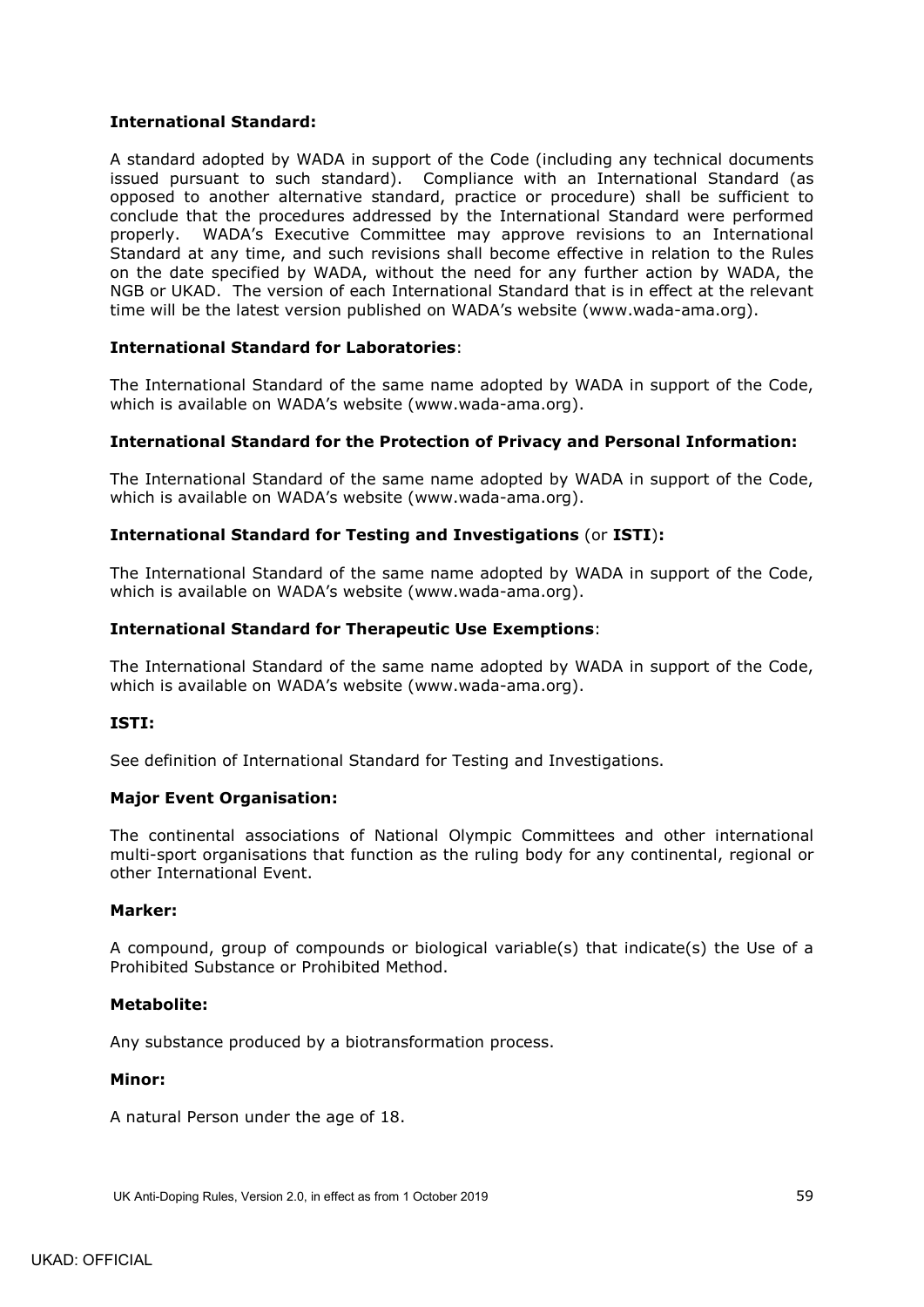## **International Standard:**

A standard adopted by WADA in support of the Code (including any technical documents issued pursuant to such standard). Compliance with an International Standard (as opposed to another alternative standard, practice or procedure) shall be sufficient to conclude that the procedures addressed by the International Standard were performed properly. WADA's Executive Committee may approve revisions to an International Standard at any time, and such revisions shall become effective in relation to the Rules on the date specified by WADA, without the need for any further action by WADA, the NGB or UKAD. The version of each International Standard that is in effect at the relevant time will be the latest version published on WADA's website (www.wada-ama.org).

## **International Standard for Laboratories**:

The International Standard of the same name adopted by WADA in support of the Code, which is available on WADA's website (www.wada-ama.org).

### **International Standard for the Protection of Privacy and Personal Information:**

The International Standard of the same name adopted by WADA in support of the Code, which is available on WADA's website (www.wada-ama.org).

## **International Standard for Testing and Investigations** (or **ISTI**)**:**

The International Standard of the same name adopted by WADA in support of the Code, which is available on WADA's website (www.wada-ama.org).

### **International Standard for Therapeutic Use Exemptions**:

The International Standard of the same name adopted by WADA in support of the Code, which is available on WADA's website (www.wada-ama.org).

### **ISTI:**

See definition of International Standard for Testing and Investigations.

### **Major Event Organisation:**

The continental associations of National Olympic Committees and other international multi-sport organisations that function as the ruling body for any continental, regional or other International Event.

### **Marker:**

A compound, group of compounds or biological variable(s) that indicate(s) the Use of a Prohibited Substance or Prohibited Method.

### **Metabolite:**

Any substance produced by a biotransformation process.

### **Minor:**

A natural Person under the age of 18.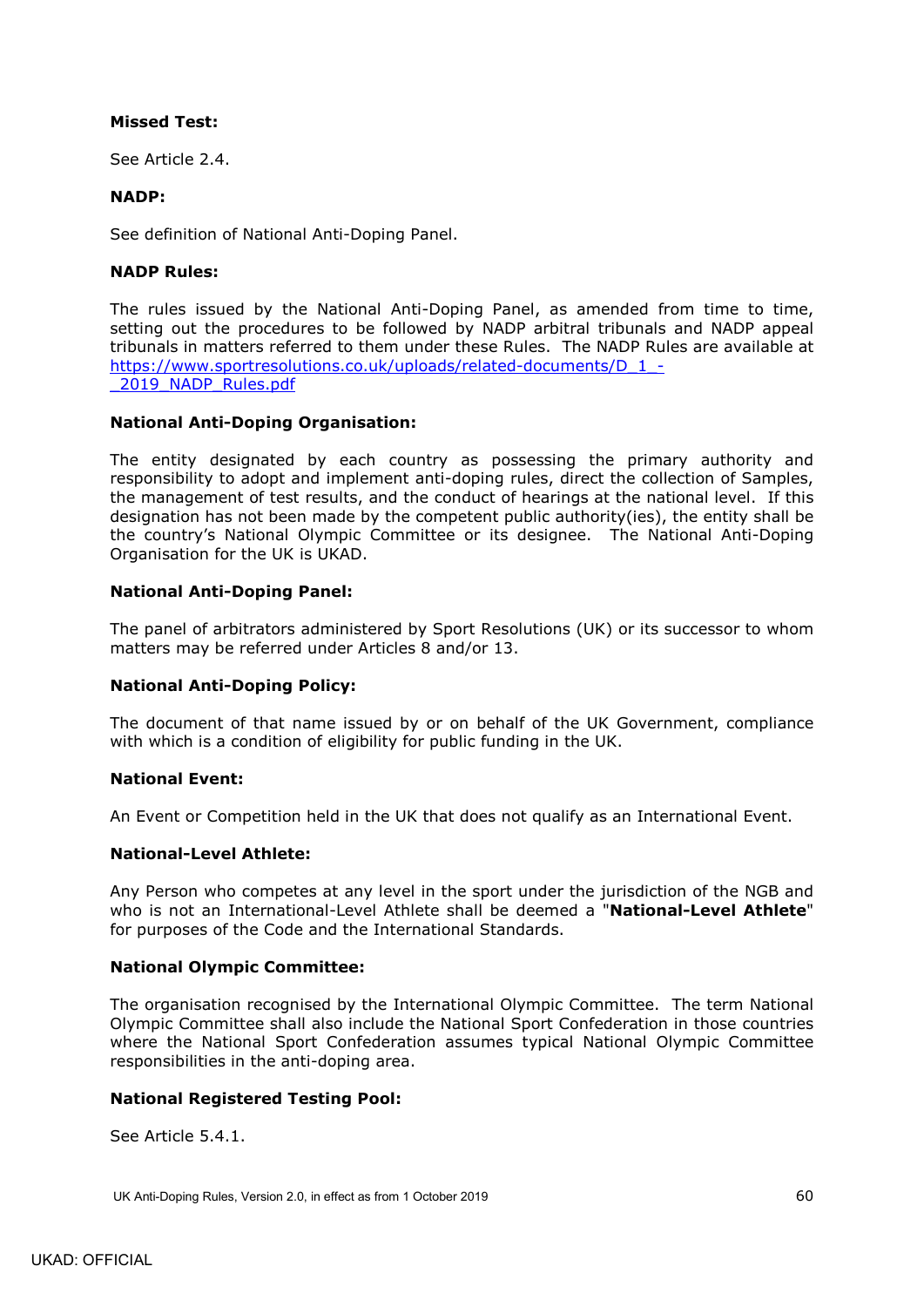## **Missed Test:**

See Article [2.4.](#page-11-2)

## **NADP:**

See definition of National Anti-Doping Panel.

## **NADP Rules:**

The rules issued by the National Anti-Doping Panel, as amended from time to time, setting out the procedures to be followed by NADP arbitral tribunals and NADP appeal tribunals in matters referred to them under these Rules. The NADP Rules are available at [https://www.sportresolutions.co.uk/uploads/related-documents/D\\_1\\_-](https://www.sportresolutions.co.uk/uploads/related-documents/D_1_-_2019_NADP_Rules.pdf) [\\_2019\\_NADP\\_Rules.pdf](https://www.sportresolutions.co.uk/uploads/related-documents/D_1_-_2019_NADP_Rules.pdf)

## **National Anti-Doping Organisation:**

The entity designated by each country as possessing the primary authority and responsibility to adopt and implement anti-doping rules, direct the collection of Samples, the management of test results, and the conduct of hearings at the national level. If this designation has not been made by the competent public authority(ies), the entity shall be the country's National Olympic Committee or its designee. The National Anti-Doping Organisation for the UK is UKAD.

## **National Anti-Doping Panel:**

The panel of arbitrators administered by Sport Resolutions (UK) or its successor to whom matters may be referred under Articles 8 and/or 13.

### **National Anti-Doping Policy:**

The document of that name issued by or on behalf of the UK Government, compliance with which is a condition of eligibility for public funding in the UK.

### **National Event:**

An Event or Competition held in the UK that does not qualify as an International Event.

### **National-Level Athlete:**

Any Person who competes at any level in the sport under the jurisdiction of the NGB and who is not an International-Level Athlete shall be deemed a "**National-Level Athlete**" for purposes of the Code and the International Standards.

### **National Olympic Committee:**

The organisation recognised by the International Olympic Committee. The term National Olympic Committee shall also include the National Sport Confederation in those countries where the National Sport Confederation assumes typical National Olympic Committee responsibilities in the anti-doping area.

### **National Registered Testing Pool:**

See Article [5.4.1.](#page-21-2)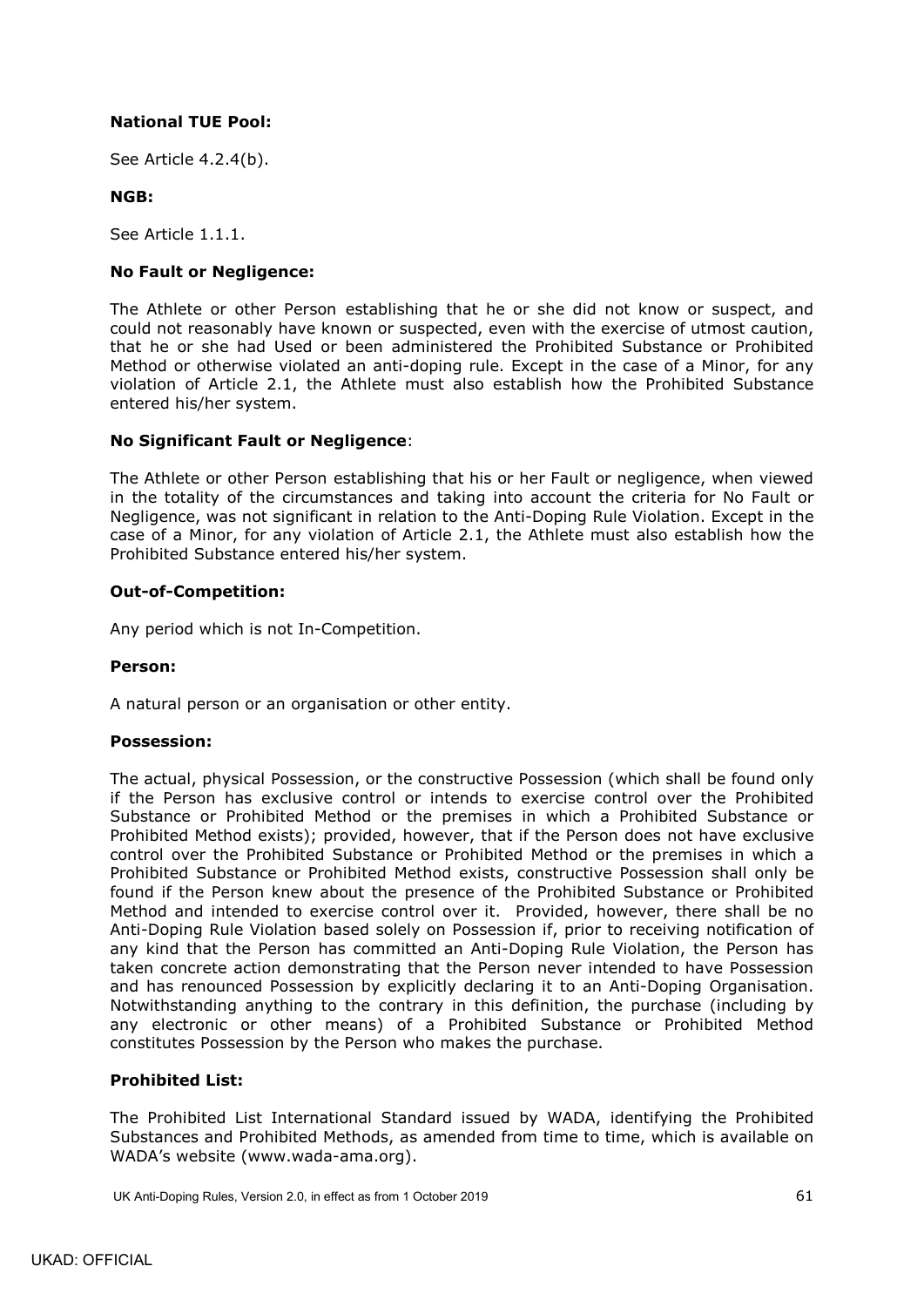## **National TUE Pool:**

See Article [4.2.4\(b\).](#page-16-2)

## **NGB:**

See Article [1.1.1.](#page-4-3)

## **No Fault or Negligence:**

The Athlete or other Person establishing that he or she did not know or suspect, and could not reasonably have known or suspected, even with the exercise of utmost caution, that he or she had Used or been administered the Prohibited Substance or Prohibited Method or otherwise violated an anti-doping rule. Except in the case of a Minor, for any violation of Article [2.1,](#page-10-1) the Athlete must also establish how the Prohibited Substance entered his/her system.

## **No Significant Fault or Negligence**:

The Athlete or other Person establishing that his or her Fault or negligence, when viewed in the totality of the circumstances and taking into account the criteria for No Fault or Negligence, was not significant in relation to the Anti-Doping Rule Violation. Except in the case of a Minor, for any violation of Article [2.1,](#page-10-1) the Athlete must also establish how the Prohibited Substance entered his/her system.

### **Out-of-Competition:**

Any period which is not In-Competition.

### **Person:**

A natural person or an organisation or other entity.

### **Possession:**

The actual, physical Possession, or the constructive Possession (which shall be found only if the Person has exclusive control or intends to exercise control over the Prohibited Substance or Prohibited Method or the premises in which a Prohibited Substance or Prohibited Method exists); provided, however, that if the Person does not have exclusive control over the Prohibited Substance or Prohibited Method or the premises in which a Prohibited Substance or Prohibited Method exists, constructive Possession shall only be found if the Person knew about the presence of the Prohibited Substance or Prohibited Method and intended to exercise control over it. Provided, however, there shall be no Anti-Doping Rule Violation based solely on Possession if, prior to receiving notification of any kind that the Person has committed an Anti-Doping Rule Violation, the Person has taken concrete action demonstrating that the Person never intended to have Possession and has renounced Possession by explicitly declaring it to an Anti-Doping Organisation. Notwithstanding anything to the contrary in this definition, the purchase (including by any electronic or other means) of a Prohibited Substance or Prohibited Method constitutes Possession by the Person who makes the purchase.

### **Prohibited List:**

The Prohibited List International Standard issued by WADA, identifying the Prohibited Substances and Prohibited Methods, as amended from time to time, which is available on WADA's website (www.wada-ama.org).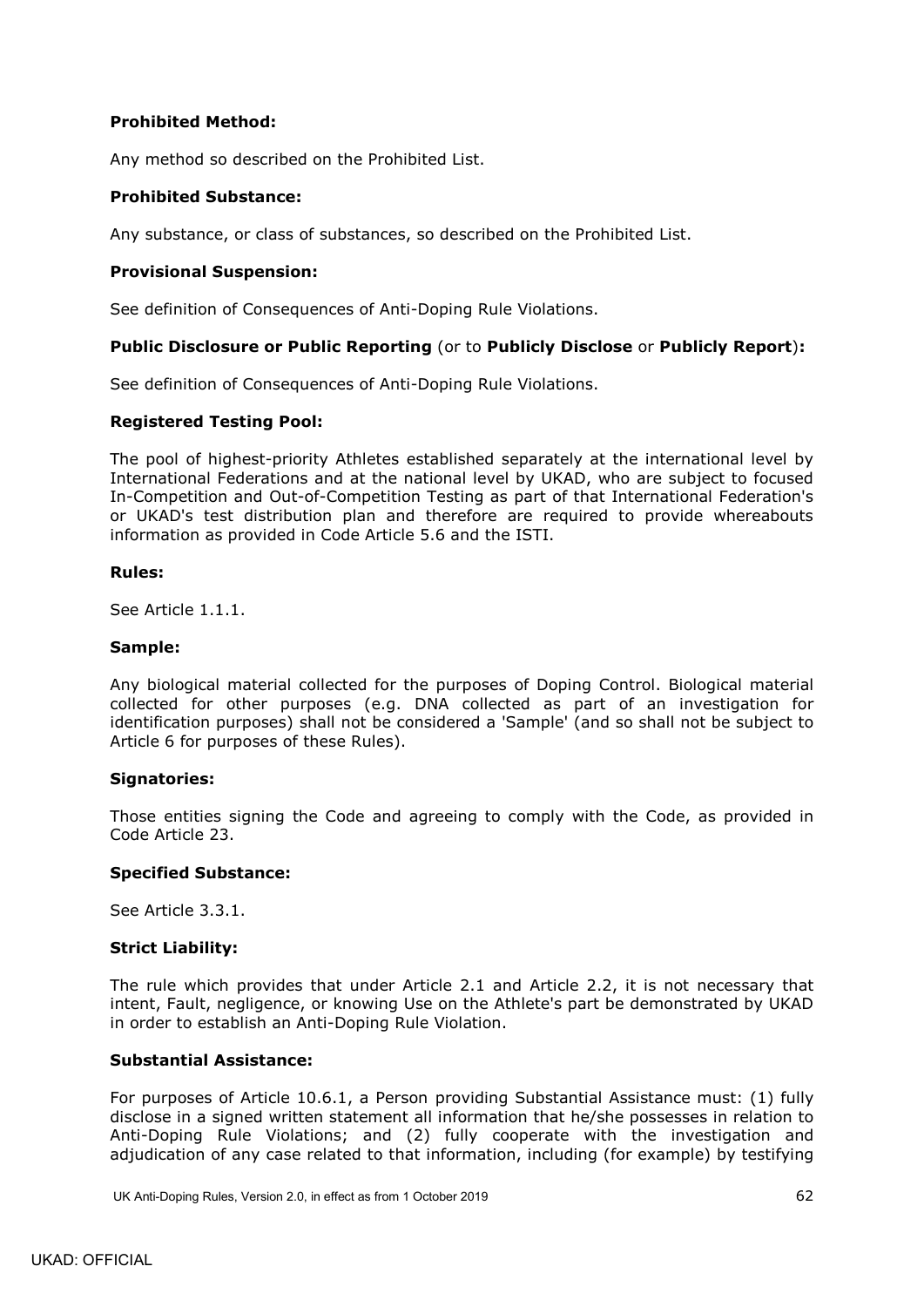## **Prohibited Method:**

Any method so described on the Prohibited List.

### **Prohibited Substance:**

Any substance, or class of substances, so described on the Prohibited List.

#### **Provisional Suspension:**

See definition of Consequences of Anti-Doping Rule Violations.

### **Public Disclosure or Public Reporting** (or to **Publicly Disclose** or **Publicly Report**)**:**

See definition of Consequences of Anti-Doping Rule Violations.

#### **Registered Testing Pool:**

The pool of highest-priority Athletes established separately at the international level by International Federations and at the national level by UKAD, who are subject to focused In-Competition and Out-of-Competition Testing as part of that International Federation's or UKAD's test distribution plan and therefore are required to provide whereabouts information as provided in Code Article 5.6 and the ISTI.

#### **Rules:**

See Article [1.1.1.](#page-4-3)

#### **Sample:**

Any biological material collected for the purposes of Doping Control. Biological material collected for other purposes (e.g. DNA collected as part of an investigation for identification purposes) shall not be considered a 'Sample' (and so shall not be subject to Article 6 for purposes of these Rules).

### **Signatories:**

Those entities signing the Code and agreeing to comply with the Code, as provided in Code Article 23.

#### **Specified Substance:**

See Article [3.3.1.](#page-14-5)

### **Strict Liability:**

The rule which provides that under Article [2.1](#page-10-1) and Article [2.2,](#page-11-0) it is not necessary that intent, Fault, negligence, or knowing Use on the Athlete's part be demonstrated by UKAD in order to establish an Anti-Doping Rule Violation.

### **Substantial Assistance:**

For purposes of Article [10.6.1,](#page-42-3) a Person providing Substantial Assistance must: (1) fully disclose in a signed written statement all information that he/she possesses in relation to Anti-Doping Rule Violations; and (2) fully cooperate with the investigation and adjudication of any case related to that information, including (for example) by testifying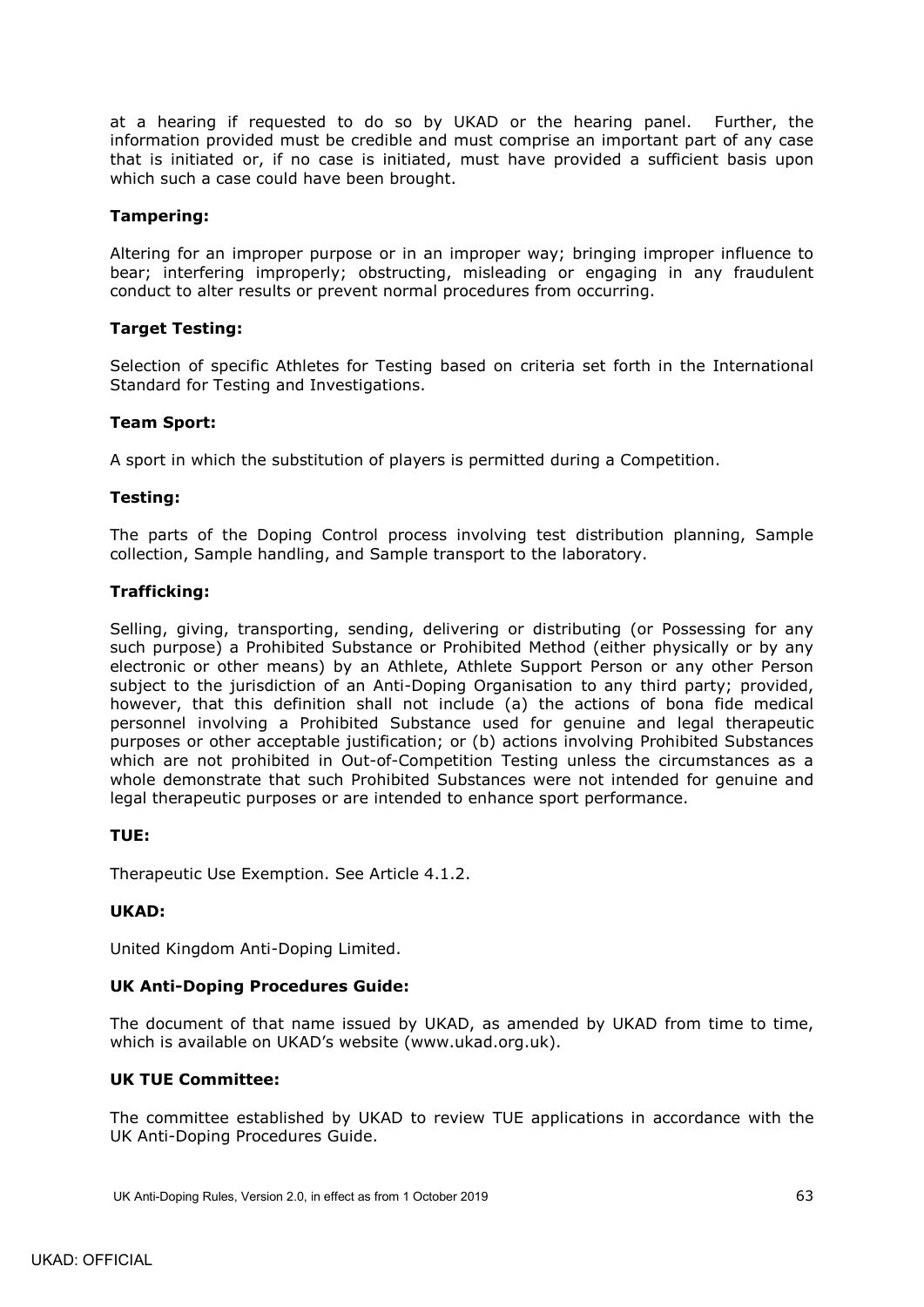at a hearing if requested to do so by UKAD or the hearing panel. Further, the information provided must be credible and must comprise an important part of any case that is initiated or, if no case is initiated, must have provided a sufficient basis upon which such a case could have been brought.

## **Tampering:**

Altering for an improper purpose or in an improper way; bringing improper influence to bear; interfering improperly; obstructing, misleading or engaging in any fraudulent conduct to alter results or prevent normal procedures from occurring.

## **Target Testing:**

Selection of specific Athletes for Testing based on criteria set forth in the International Standard for Testing and Investigations.

## **Team Sport:**

A sport in which the substitution of players is permitted during a Competition.

## **Testing:**

The parts of the Doping Control process involving test distribution planning, Sample collection, Sample handling, and Sample transport to the laboratory.

## **Trafficking:**

Selling, giving, transporting, sending, delivering or distributing (or Possessing for any such purpose) a Prohibited Substance or Prohibited Method (either physically or by any electronic or other means) by an Athlete, Athlete Support Person or any other Person subject to the jurisdiction of an Anti-Doping Organisation to any third party; provided, however, that this definition shall not include (a) the actions of bona fide medical personnel involving a Prohibited Substance used for genuine and legal therapeutic purposes or other acceptable justification; or (b) actions involving Prohibited Substances which are not prohibited in Out-of-Competition Testing unless the circumstances as a whole demonstrate that such Prohibited Substances were not intended for genuine and legal therapeutic purposes or are intended to enhance sport performance.

### **TUE:**

Therapeutic Use Exemption. See Article [4.1.2.](#page-15-3)

### **UKAD:**

United Kingdom Anti-Doping Limited.

### **UK Anti-Doping Procedures Guide:**

The document of that name issued by UKAD, as amended by UKAD from time to time, which is available on UKAD's website (www.ukad.org.uk).

### **UK TUE Committee:**

The committee established by UKAD to review TUE applications in accordance with the UK Anti-Doping Procedures Guide.